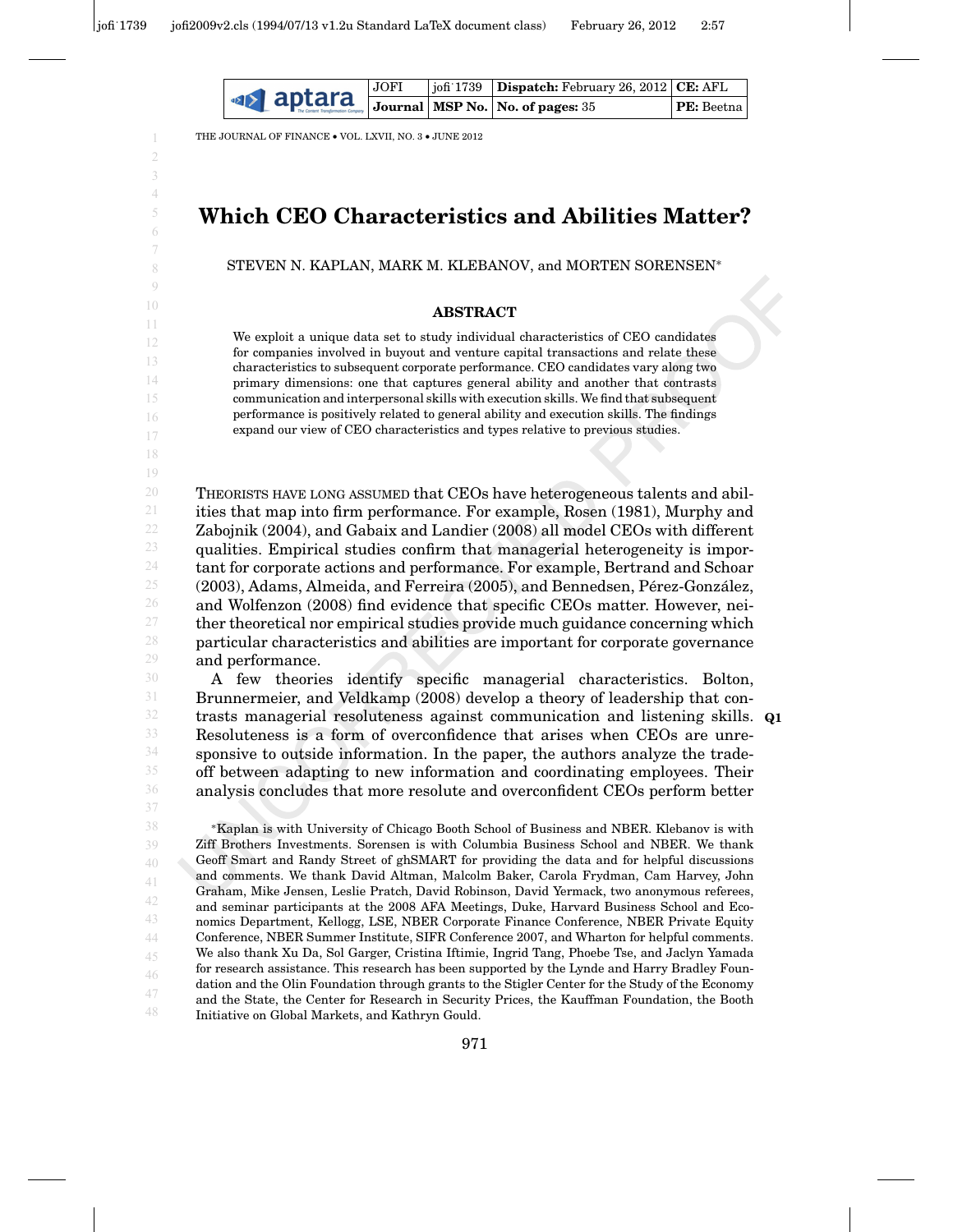| JOFI | jofi 1739   Dispatch: February 26, 2012   CE: AFL  |            |
|------|----------------------------------------------------|------------|
|      | <b>and aptara</b> Journal MSP No. No. of pages: 35 | PE: Beetna |

THE JOURNAL OF FINANCE • VOL. LXVII, NO. 3 • JUNE 2012

# **Which CEO Characteristics and Abilities Matter?**

STEVEN N. KAPLAN, MARK M. KLEBANOV, and MORTEN SORENSEN∗

#### **ABSTRACT**

We exploit a unique data set to study individual characteristics of CEO candidates for companies involved in buyout and venture capital transactions and relate these characteristics to subsequent corporate performance. CEO candidates vary along two primary dimensions: one that captures general ability and another that contrasts communication and interpersonal skills with execution skills. We find that subsequent performance is positively related to general ability and execution skills. The findings expand our view of CEO characteristics and types relative to previous studies.

THEORISTS HAVE LONG ASSUMED that CEOs have heterogeneous talents and abilities that map into firm performance. For example, Rosen (1981), Murphy and Zabojnik (2004), and Gabaix and Landier (2008) all model CEOs with different qualities. Empirical studies confirm that managerial heterogeneity is important for corporate actions and performance. For example, Bertrand and Schoar  $(2003)$ , Adams, Almeida, and Ferreira  $(2005)$ , and Bennedsen, Pérez-González, and Wolfenzon (2008) find evidence that specific CEOs matter. However, neither theoretical nor empirical studies provide much guidance concerning which particular characteristics and abilities are important for corporate governance and performance.

A few theories identify specific managerial characteristics. Bolton, Brunnermeier, and Veldkamp (2008) develop a theory of leadership that contrasts managerial resoluteness against communication and listening skills. **Q1** Resoluteness is a form of overconfidence that arises when CEOs are unresponsive to outside information. In the paper, the authors analyze the tradeoff between adapting to new information and coordinating employees. Their analysis concludes that more resolute and overconfident CEOs perform better

∗Kaplan is with University of Chicago Booth School of Business and NBER. Klebanov is with Ziff Brothers Investments. Sorensen is with Columbia Business School and NBER. We thank Geoff Smart and Randy Street of ghSMART for providing the data and for helpful discussions and comments. We thank David Altman, Malcolm Baker, Carola Frydman, Cam Harvey, John Graham, Mike Jensen, Leslie Pratch, David Robinson, David Yermack, two anonymous referees, and seminar participants at the 2008 AFA Meetings, Duke, Harvard Business School and Economics Department, Kellogg, LSE, NBER Corporate Finance Conference, NBER Private Equity Conference, NBER Summer Institute, SIFR Conference 2007, and Wharton for helpful comments. We also thank Xu Da, Sol Garger, Cristina Iftimie, Ingrid Tang, Phoebe Tse, and Jaclyn Yamada for research assistance. This research has been supported by the Lynde and Harry Bradley Foundation and the Olin Foundation through grants to the Stigler Center for the Study of the Economy and the State, the Center for Research in Security Prices, the Kauffman Foundation, the Booth Initiative on Global Markets, and Kathryn Gould.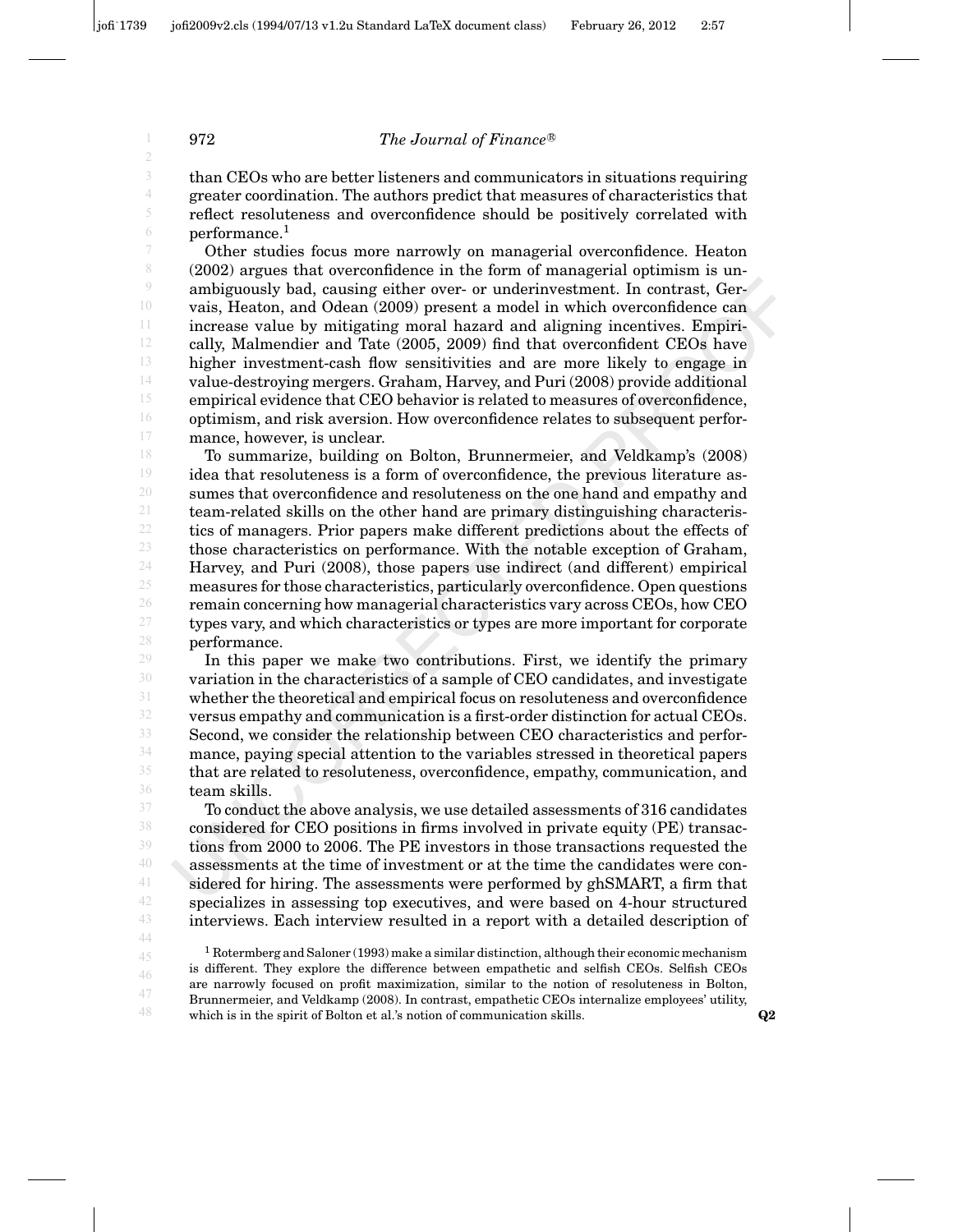#### 972 *The Journal of Finance*

than CEOs who are better listeners and communicators in situations requiring greater coordination. The authors predict that measures of characteristics that reflect resoluteness and overconfidence should be positively correlated with performance.<sup>1</sup>

Other studies focus more narrowly on managerial overconfidence. Heaton (2002) argues that overconfidence in the form of managerial optimism is unambiguously bad, causing either over- or underinvestment. In contrast, Gervais, Heaton, and Odean (2009) present a model in which overconfidence can increase value by mitigating moral hazard and aligning incentives. Empirically, Malmendier and Tate (2005, 2009) find that overconfident CEOs have higher investment-cash flow sensitivities and are more likely to engage in value-destroying mergers. Graham, Harvey, and Puri (2008) provide additional empirical evidence that CEO behavior is related to measures of overconfidence, optimism, and risk aversion. How overconfidence relates to subsequent performance, however, is unclear.

18 19 21 22 23 24 25 27 28 To summarize, building on Bolton, Brunnermeier, and Veldkamp's (2008) idea that resoluteness is a form of overconfidence, the previous literature assumes that overconfidence and resoluteness on the one hand and empathy and team-related skills on the other hand are primary distinguishing characteristics of managers. Prior papers make different predictions about the effects of those characteristics on performance. With the notable exception of Graham, Harvey, and Puri (2008), those papers use indirect (and different) empirical measures for those characteristics, particularly overconfidence. Open questions remain concerning how managerial characteristics vary across CEOs, how CEO types vary, and which characteristics or types are more important for corporate performance.

29 33 36 In this paper we make two contributions. First, we identify the primary variation in the characteristics of a sample of CEO candidates, and investigate whether the theoretical and empirical focus on resoluteness and overconfidence versus empathy and communication is a first-order distinction for actual CEOs. Second, we consider the relationship between CEO characteristics and performance, paying special attention to the variables stressed in theoretical papers that are related to resoluteness, overconfidence, empathy, communication, and team skills.

To conduct the above analysis, we use detailed assessments of 316 candidates considered for CEO positions in firms involved in private equity (PE) transactions from 2000 to 2006. The PE investors in those transactions requested the assessments at the time of investment or at the time the candidates were considered for hiring. The assessments were performed by ghSMART, a firm that specializes in assessing top executives, and were based on 4-hour structured interviews. Each interview resulted in a report with a detailed description of

<sup>1</sup> Rotermberg and Saloner (1993) make a similar distinction, although their economic mechanism is different. They explore the difference between empathetic and selfish CEOs. Selfish CEOs are narrowly focused on profit maximization, similar to the notion of resoluteness in Bolton, Brunnermeier, and Veldkamp (2008). In contrast, empathetic CEOs internalize employees' utility, which is in the spirit of Bolton et al.'s notion of communication skills.

1 2

35

37 38 39

41 42 43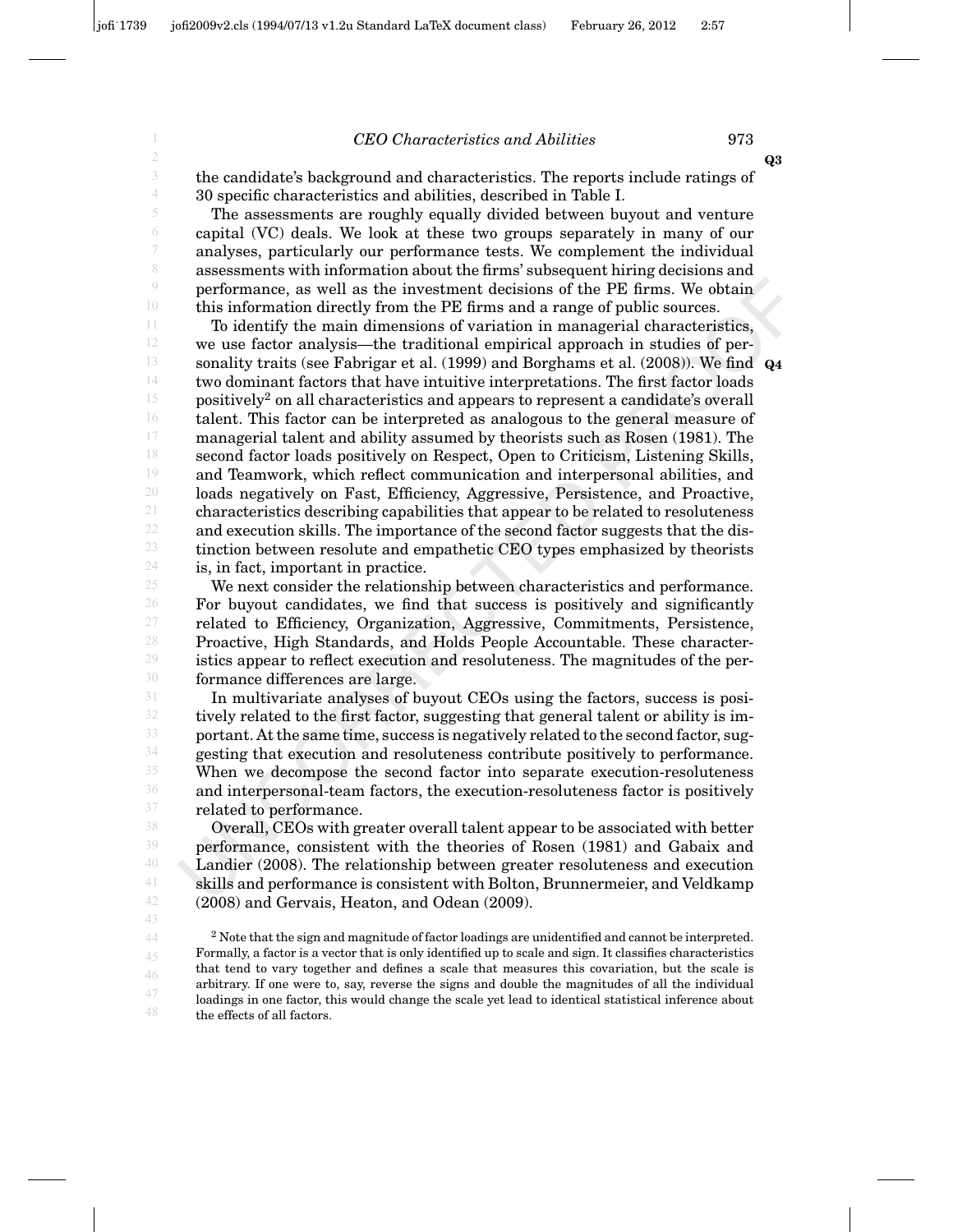the candidate's background and characteristics. The reports include ratings of 30 specific characteristics and abilities, described in Table I.

The assessments are roughly equally divided between buyout and venture capital (VC) deals. We look at these two groups separately in many of our analyses, particularly our performance tests. We complement the individual assessments with information about the firms' subsequent hiring decisions and performance, as well as the investment decisions of the PE firms. We obtain this information directly from the PE firms and a range of public sources.

11 12 13 14 15 16 18 19 20 21 22 23 24 To identify the main dimensions of variation in managerial characteristics, we use factor analysis—the traditional empirical approach in studies of personality traits (see Fabrigar et al. (1999) and Borghams et al. (2008)). We find **Q4** two dominant factors that have intuitive interpretations. The first factor loads positively2 on all characteristics and appears to represent a candidate's overall talent. This factor can be interpreted as analogous to the general measure of managerial talent and ability assumed by theorists such as Rosen (1981). The second factor loads positively on Respect, Open to Criticism, Listening Skills, and Teamwork, which reflect communication and interpersonal abilities, and loads negatively on Fast, Efficiency, Aggressive, Persistence, and Proactive, characteristics describing capabilities that appear to be related to resoluteness and execution skills. The importance of the second factor suggests that the distinction between resolute and empathetic CEO types emphasized by theorists is, in fact, important in practice.

26 27 28 29 30 We next consider the relationship between characteristics and performance. For buyout candidates, we find that success is positively and significantly related to Efficiency, Organization, Aggressive, Commitments, Persistence, Proactive, High Standards, and Holds People Accountable. These characteristics appear to reflect execution and resoluteness. The magnitudes of the performance differences are large.

35 36 In multivariate analyses of buyout CEOs using the factors, success is positively related to the first factor, suggesting that general talent or ability is important. At the same time, success is negatively related to the second factor, suggesting that execution and resoluteness contribute positively to performance. When we decompose the second factor into separate execution-resoluteness and interpersonal-team factors, the execution-resoluteness factor is positively related to performance.

Overall, CEOs with greater overall talent appear to be associated with better performance, consistent with the theories of Rosen (1981) and Gabaix and Landier (2008). The relationship between greater resoluteness and execution skills and performance is consistent with Bolton, Brunnermeier, and Veldkamp (2008) and Gervais, Heaton, and Odean (2009).

41

17

25

37 38 39

> <sup>2</sup> Note that the sign and magnitude of factor loadings are unidentified and cannot be interpreted. Formally, a factor is a vector that is only identified up to scale and sign. It classifies characteristics that tend to vary together and defines a scale that measures this covariation, but the scale is arbitrary. If one were to, say, reverse the signs and double the magnitudes of all the individual loadings in one factor, this would change the scale yet lead to identical statistical inference about the effects of all factors.

**Q3**

<sup>42</sup> 43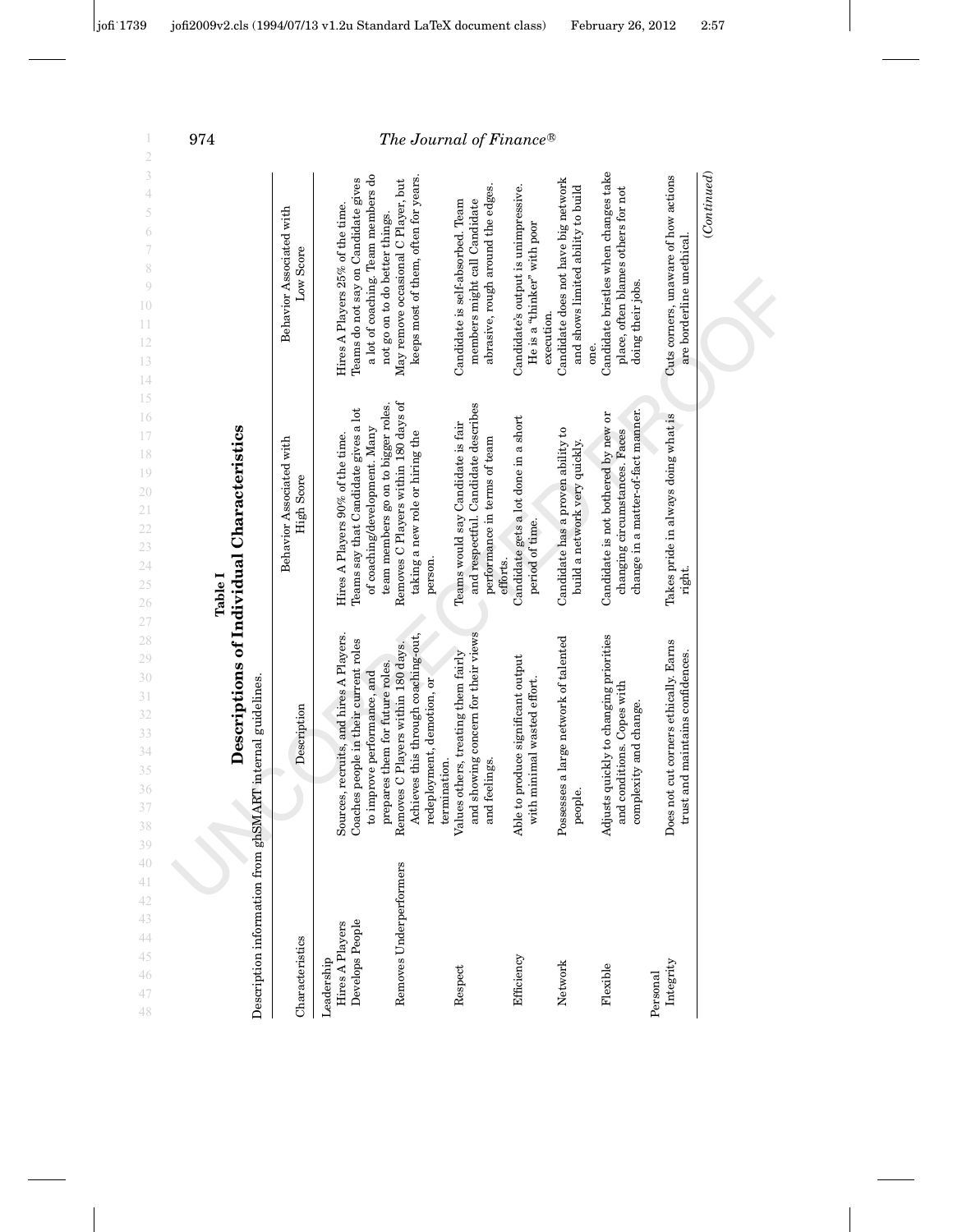| 974                                                       |                                        |                                                                                                                                                                                          | The Journal of Finance <sup>®</sup>                                                                                                                                              |                                                                                                                                                               |                                                                                                            |                                                                           |             |
|-----------------------------------------------------------|----------------------------------------|------------------------------------------------------------------------------------------------------------------------------------------------------------------------------------------|----------------------------------------------------------------------------------------------------------------------------------------------------------------------------------|---------------------------------------------------------------------------------------------------------------------------------------------------------------|------------------------------------------------------------------------------------------------------------|---------------------------------------------------------------------------|-------------|
|                                                           | Behavior Associated with<br>Low Score  | a lot of coaching. Team members do<br>Teams do not say on Candidate gives<br>May remove occasional C Player, but<br>Hires A Players 25% of the time.<br>not go on to do better things.   | keeps most of them, often for years.<br>abrasive, rough around the edges.<br>members might call Candidate<br>Candidate is self-absorbed. Team                                    | Candidate does not have big network<br>Candidate's output is unimpressive.<br>and shows limited ability to build<br>He is a "thinker" with poor<br>execution. | Candidate bristles when changes take<br>place, often blames others for not<br>doing their jobs.<br>one.    | Cuts corners, unaware of how actions<br>are borderline unethical.         | (Continued) |
| Descriptions of Individual Characteristics<br>Table I     | Behavior Associated with<br>High Score | Removes C Players within 180 days of<br>team members go on to bigger roles.<br>Teams say that Candidate gives a lot<br>of coaching/development. Many<br>Hires A Players 90% of the time. | and respectful. Candidate describes<br>Teams would say Candidate is fair<br>taking a new role or hiring the<br>performance in terms of team<br>person.                           | Candidate gets a lot done in a short<br>Candidate has a proven ability to<br>build a network very quickly.<br>period of time.<br>efforts.                     | change in a matter-of-fact manner.<br>Candidate is not bothered by new or<br>changing circumstances. Faces | Takes pride in always doing what is<br>right.                             |             |
| Description information from ghSMART internal guidelines. | Description                            | Sources, recruits, and hires A Players.<br>Coaches people in their current roles<br>Removes C Players within 180 days.<br>prepares them for future roles.<br>to improve performance, and | and showing concern for their views<br>Achieves this through coaching-out,<br>Values others, treating them fairly<br>redeployment, demotion, or<br>and feelings.<br>termination. | Possesses a large network of talented<br>Able to produce significant output<br>with minimal wasted effort.<br>people.                                         | Adjusts quickly to changing priorities<br>and conditions. Copes with<br>complexity and change.             | Does not cut corners ethically. Earns<br>trust and maintains confidences. |             |
|                                                           | Characteristics                        | Removes Underperformers<br>Develops People<br>Hires A Players<br>Leadership                                                                                                              | Respect                                                                                                                                                                          | Efficiency<br>Network                                                                                                                                         | Flexible                                                                                                   | Integrity<br>Personal                                                     |             |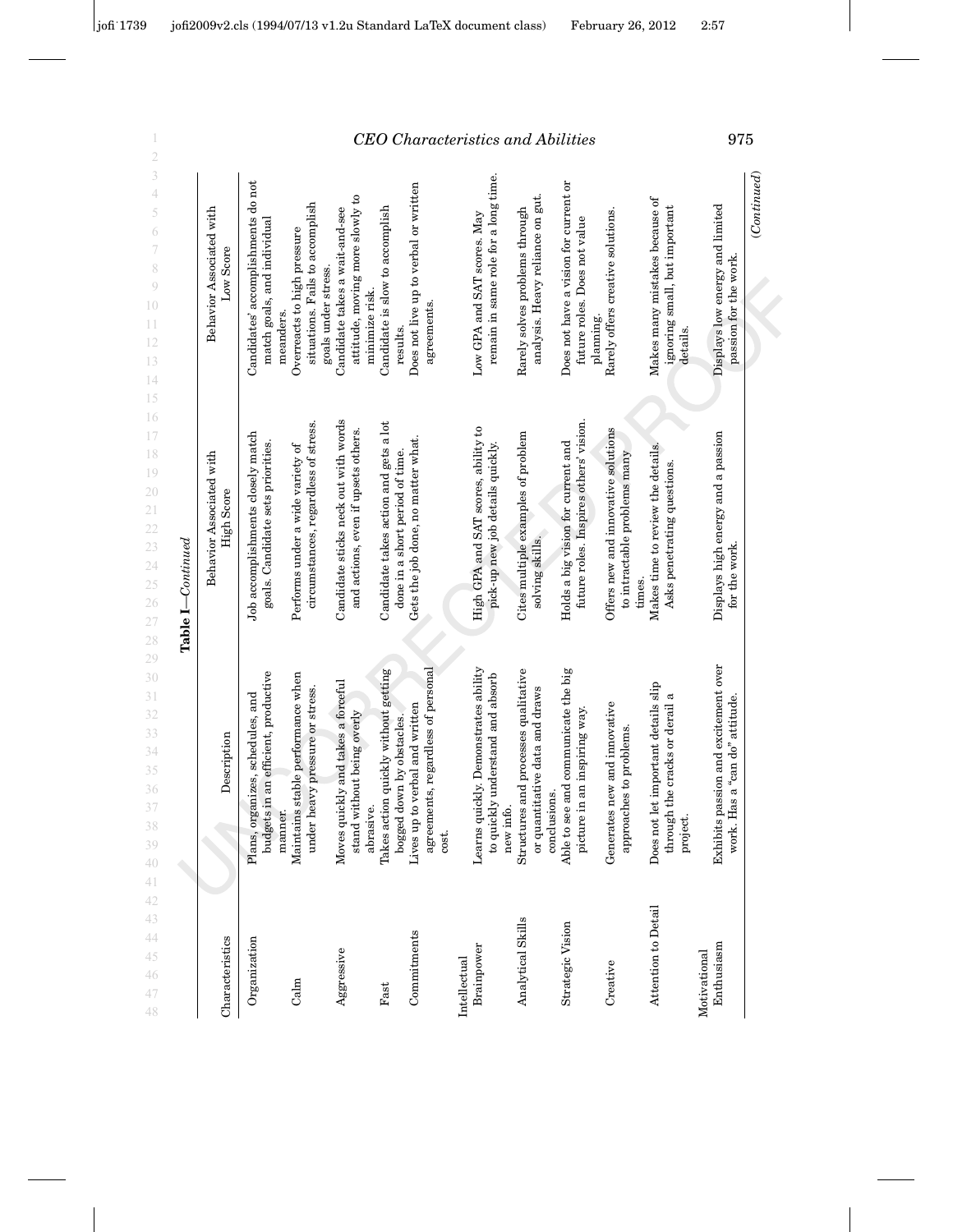|                   |                                              |                                                                                    |                                                                                       |                                                                                     |                                                                          | <b>CEO</b> Characteristics and Abilities                                      |              |                                                                                       |                                                                                        |                                                                                    |                                                                               |                                                                                   | 975                                                                       |             |
|-------------------|----------------------------------------------|------------------------------------------------------------------------------------|---------------------------------------------------------------------------------------|-------------------------------------------------------------------------------------|--------------------------------------------------------------------------|-------------------------------------------------------------------------------|--------------|---------------------------------------------------------------------------------------|----------------------------------------------------------------------------------------|------------------------------------------------------------------------------------|-------------------------------------------------------------------------------|-----------------------------------------------------------------------------------|---------------------------------------------------------------------------|-------------|
|                   | <b>Behavior Associated with</b><br>Low Score | Candidates' accomplishments do not<br>match goals, and individual<br>meanders.     | situations. Fails to accomplish<br>Overreacts to high pressure<br>goals under stress. | attitude, moving more slowly to<br>Candidate takes a wait-and-see<br>minimize risk. | Candidate is slow to accomplish<br>results.                              | Does not live up to verbal or written<br>agreements.                          |              | remain in same role for a long time.<br>Low GPA and SAT scores. May                   | analysis. Heavy reliance on gut.<br>Rarely solves problems through                     | Does not have a vision for current or<br>future roles. Does not value<br>planning. | Rarely offers creative solutions.                                             | Makes many mistakes because of<br>ignoring small, but important<br>details.       | Displays low energy and limited<br>passion for the work.                  | (Continued) |
| Table 1—Continued | Behavior Associated with<br>High Score       | Job accomplishments closely match<br>goals. Candidate sets priorities.             | circumstances, regardless of stress.<br>Performs under a wide variety of              | Candidate sticks neck out with words<br>and actions, even if upsets others.         | Candidate takes action and gets a lot<br>done in a short period of time. | Gets the job done, no matter what.                                            |              | High GPA and SAT scores, ability to<br>pick-up new job details quickly.               | Cites multiple examples of problem<br>solving skills.                                  | future roles. Inspires others' vision.<br>Holds a big vision for current and       | Offers new and innovative solutions<br>to intractable problems many<br>times. | Makes time to review the details.<br>Asks penetrating questions.                  | Displays high energy and a passion<br>for the work.                       |             |
|                   | Description                                  | budgets in an efficient, productive<br>Plans, organizes, schedules, and<br>manner. | Maintains stable performance when<br>heavy pressure or stress.<br>under               | Moves quickly and takes a forceful<br>stand without being overly<br>abrasive.       | Takes action quickly without getting<br>bogged down by obstacles.        | agreements, regardless of personal<br>Lives up to verbal and written<br>cost. |              | Learns quickly. Demonstrates ability<br>to quickly understand and absorb<br>new info. | Structures and processes qualitative<br>or quantitative data and draws<br>conclusions. | Able to see and communicate the big<br>picture in an inspiring way.                | Generates new and innovative<br>approaches to problems.                       | Does not let important details slip<br>through the cracks or derail a<br>project. | Exhibits passion and excitement over<br>Has a "can do" attitude.<br>work. |             |
|                   | Characteristics                              | Organization                                                                       | Calm                                                                                  | Aggressive                                                                          | Fast                                                                     | Commitments                                                                   | Intellectual | Brainpower                                                                            | Analytical Skills                                                                      | Strategic Vision                                                                   | Creative                                                                      | Attention to Detail                                                               | Enthusiasm<br>Motivational                                                |             |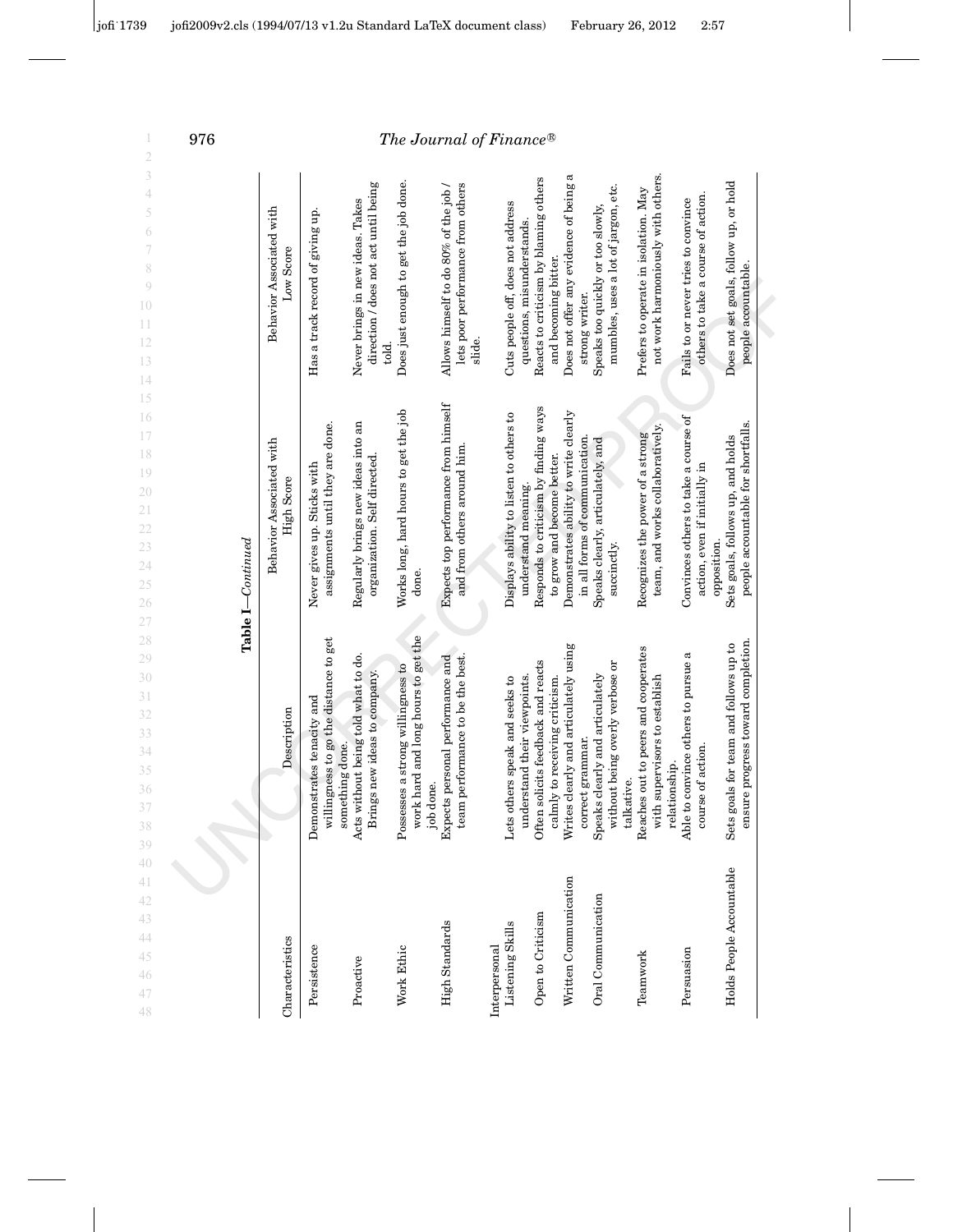|                          |                                                                                       | Table I-Continued                                                                   |                                                                                            |
|--------------------------|---------------------------------------------------------------------------------------|-------------------------------------------------------------------------------------|--------------------------------------------------------------------------------------------|
| Characteristics          | Description                                                                           | Behavior Associated with<br>High Score                                              | Behavior Associated with<br>Low Score                                                      |
| Persistence              | willingness to go the distance to get<br>Demonstrates tenacity and<br>something done. | assignments until they are done.<br>Never gives up. Sticks with                     | Has a track record of giving up.                                                           |
| Proactive                | Acts without being told what to do.<br>Brings new ideas to company.                   | Regularly brings new ideas into an<br>organization. Self directed.                  | direction / does not act until being<br>Never brings in new ideas. Takes<br>$_{\rm{tid.}}$ |
| Work Ethic               | work hard and long hours to get the<br>Possesses a strong willingness to<br>job done. | Works long, hard hours to get the job<br>done.                                      | Does just enough to get the job done.                                                      |
| High Standards           | Expects personal performance and<br>team performance to be the best.                  | Expects top performance from himself<br>and from others around him                  | Allows himself to do 80% of the job /<br>lets poor performance from others<br>slide.       |
| Interpersonal            |                                                                                       |                                                                                     |                                                                                            |
| Listening Skills         | understand their viewpoints.<br>Lets others speak and seeks to                        | Displays ability to listen to others to<br>understand meaning.                      | Cuts people off, does not address<br>questions, misunderstands.                            |
| Open to Criticism        | Often solicits feedback and reacts<br>calmly to receiving criticism.                  | Responds to criticism by finding ways<br>to grow and become better.                 | Reacts to criticism by blaming others<br>and becoming bitter.                              |
| Written Communication    | Writes clearly and articulately using<br>correct grammar.                             | Demonstrates ability to write clearly<br>in all forms of communication.             | α<br>Does not offer any evidence of being<br>strong writer.                                |
| Oral Communication       | without being overly verbose or<br>Speaks clearly and articulately<br>talkative.      | Speaks clearly, articulately, and<br>succinctly.                                    | mumbles, uses a lot of jargon, etc.<br>Speaks too quickly or too slowly,                   |
| Teamwork                 | Reaches out to peers and cooperates<br>with supervisors to establish<br>relationship. | team, and works collaboratively.<br>Recognizes the power of a strong                | not work harmoniously with others<br>Prefers to operate in isolation. May                  |
| Persuasion               | Able to convince others to pursue a<br>course of action.                              | Convinces others to take a course of<br>action, even if initially in<br>opposition. | others to take a course of action.<br>Fails to or never tries to convince                  |
| Holds People Accountable | ensure progress toward completion.<br>Sets goals for team and follows up to           | people accountable for shortfalls.<br>Sets goals, follows up, and holds             | Does not set goals, follow up, or hold<br>people accountable.                              |
|                          |                                                                                       |                                                                                     |                                                                                            |

 $|j$ ofi<sup>-1739</sup> jofi2009v2.cls (1994/07/13 v1.2u Standard LaTeX document class) February 26, 2012 2:57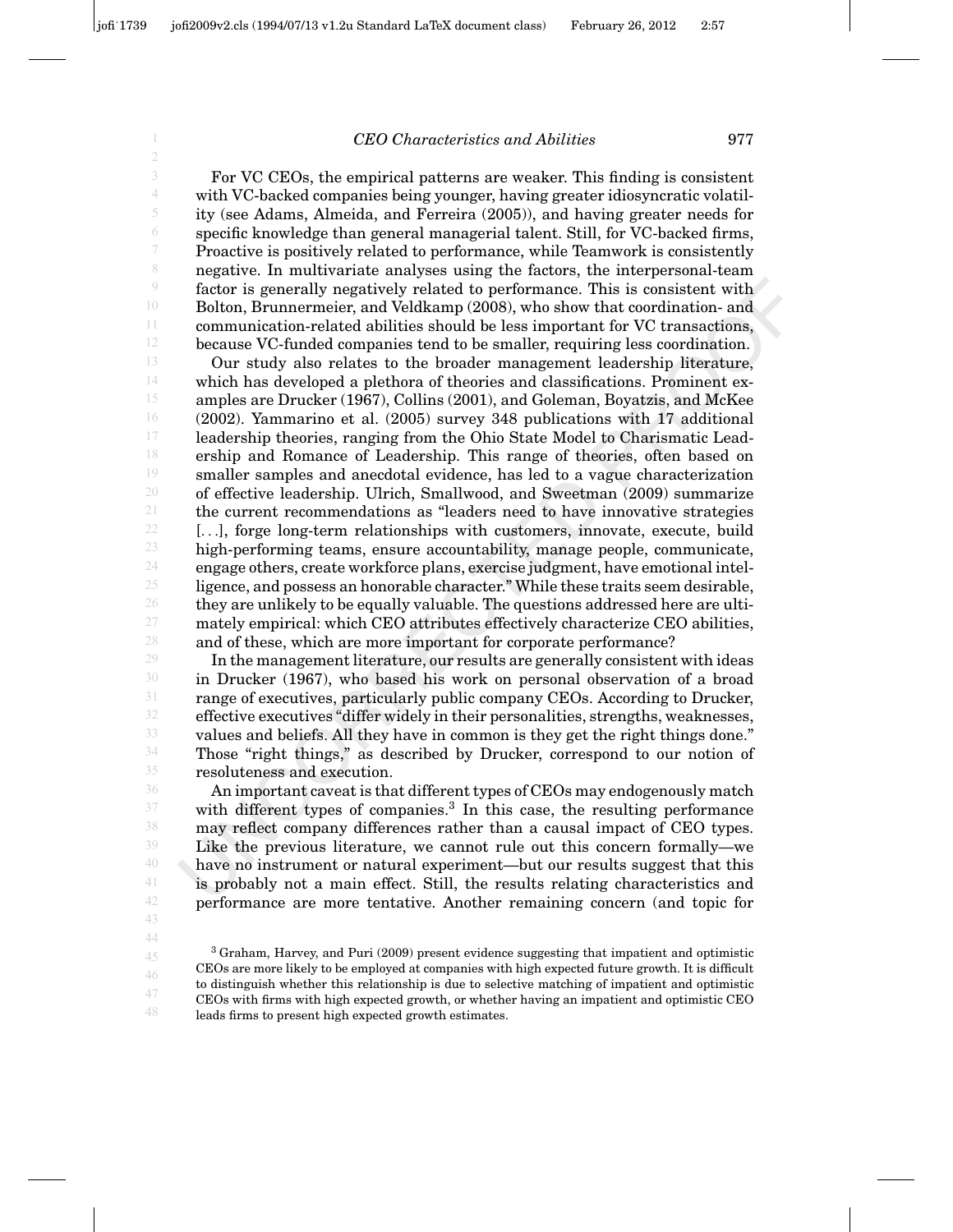For VC CEOs, the empirical patterns are weaker. This finding is consistent with VC-backed companies being younger, having greater idiosyncratic volatility (see Adams, Almeida, and Ferreira (2005)), and having greater needs for specific knowledge than general managerial talent. Still, for VC-backed firms, Proactive is positively related to performance, while Teamwork is consistently negative. In multivariate analyses using the factors, the interpersonal-team factor is generally negatively related to performance. This is consistent with Bolton, Brunnermeier, and Veldkamp (2008), who show that coordination- and communication-related abilities should be less important for VC transactions, because VC-funded companies tend to be smaller, requiring less coordination.

Our study also relates to the broader management leadership literature, which has developed a plethora of theories and classifications. Prominent examples are Drucker (1967), Collins (2001), and Goleman, Boyatzis, and McKee (2002). Yammarino et al. (2005) survey 348 publications with 17 additional leadership theories, ranging from the Ohio State Model to Charismatic Leadership and Romance of Leadership. This range of theories, often based on smaller samples and anecdotal evidence, has led to a vague characterization of effective leadership. Ulrich, Smallwood, and Sweetman (2009) summarize the current recommendations as "leaders need to have innovative strategies [...], forge long-term relationships with customers, innovate, execute, build high-performing teams, ensure accountability, manage people, communicate, engage others, create workforce plans, exercise judgment, have emotional intelligence, and possess an honorable character." While these traits seem desirable, they are unlikely to be equally valuable. The questions addressed here are ultimately empirical: which CEO attributes effectively characterize CEO abilities, and of these, which are more important for corporate performance?

In the management literature, our results are generally consistent with ideas in Drucker (1967), who based his work on personal observation of a broad range of executives, particularly public company CEOs. According to Drucker, effective executives "differ widely in their personalities, strengths, weaknesses, values and beliefs. All they have in common is they get the right things done." Those "right things," as described by Drucker, correspond to our notion of resoluteness and execution.

An important caveat is that different types of CEOs may endogenously match with different types of companies.<sup>3</sup> In this case, the resulting performance may reflect company differences rather than a causal impact of CEO types. Like the previous literature, we cannot rule out this concern formally—we have no instrument or natural experiment—but our results suggest that this is probably not a main effect. Still, the results relating characteristics and performance are more tentative. Another remaining concern (and topic for

42 43 45

46 47 48

41

> <sup>3</sup> Graham, Harvey, and Puri (2009) present evidence suggesting that impatient and optimistic CEOs are more likely to be employed at companies with high expected future growth. It is difficult to distinguish whether this relationship is due to selective matching of impatient and optimistic CEOs with firms with high expected growth, or whether having an impatient and optimistic CEO leads firms to present high expected growth estimates.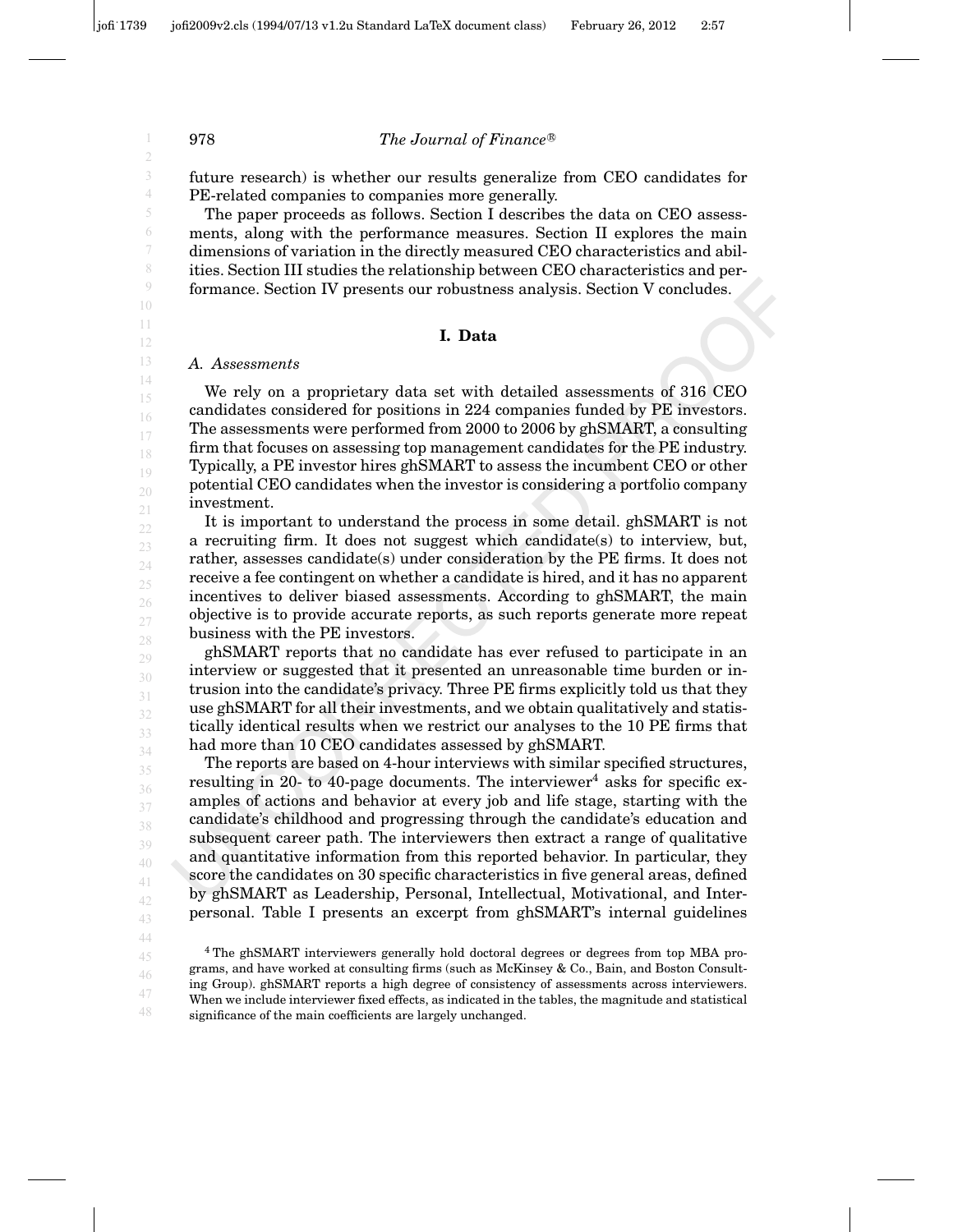## 978 **The Journal of Finance**<sup>®</sup>

future research) is whether our results generalize from CEO candidates for PE-related companies to companies more generally.

The paper proceeds as follows. Section I describes the data on CEO assessments, along with the performance measures. Section II explores the main dimensions of variation in the directly measured CEO characteristics and abilities. Section III studies the relationship between CEO characteristics and performance. Section IV presents our robustness analysis. Section V concludes.

## **I. Data**

#### *A. Assessments*

1 2

17 18

27 28 29

33

35 36

38

41 42

We rely on a proprietary data set with detailed assessments of 316 CEO candidates considered for positions in 224 companies funded by PE investors. The assessments were performed from 2000 to 2006 by ghSMART, a consulting firm that focuses on assessing top management candidates for the PE industry. Typically, a PE investor hires ghSMART to assess the incumbent CEO or other potential CEO candidates when the investor is considering a portfolio company investment.

It is important to understand the process in some detail. ghSMART is not a recruiting firm. It does not suggest which candidate(s) to interview, but, rather, assesses candidate(s) under consideration by the PE firms. It does not receive a fee contingent on whether a candidate is hired, and it has no apparent incentives to deliver biased assessments. According to ghSMART, the main objective is to provide accurate reports, as such reports generate more repeat business with the PE investors.

ghSMART reports that no candidate has ever refused to participate in an interview or suggested that it presented an unreasonable time burden or intrusion into the candidate's privacy. Three PE firms explicitly told us that they use ghSMART for all their investments, and we obtain qualitatively and statistically identical results when we restrict our analyses to the 10 PE firms that had more than 10 CEO candidates assessed by ghSMART.

The reports are based on 4-hour interviews with similar specified structures, resulting in 20- to 40-page documents. The interviewer<sup>4</sup> asks for specific examples of actions and behavior at every job and life stage, starting with the candidate's childhood and progressing through the candidate's education and subsequent career path. The interviewers then extract a range of qualitative and quantitative information from this reported behavior. In particular, they score the candidates on 30 specific characteristics in five general areas, defined by ghSMART as Leadership, Personal, Intellectual, Motivational, and Interpersonal. Table I presents an excerpt from ghSMART's internal guidelines

43 45

46 47 48

<sup>4</sup> The ghSMART interviewers generally hold doctoral degrees or degrees from top MBA programs, and have worked at consulting firms (such as McKinsey & Co., Bain, and Boston Consulting Group). ghSMART reports a high degree of consistency of assessments across interviewers. When we include interviewer fixed effects, as indicated in the tables, the magnitude and statistical significance of the main coefficients are largely unchanged.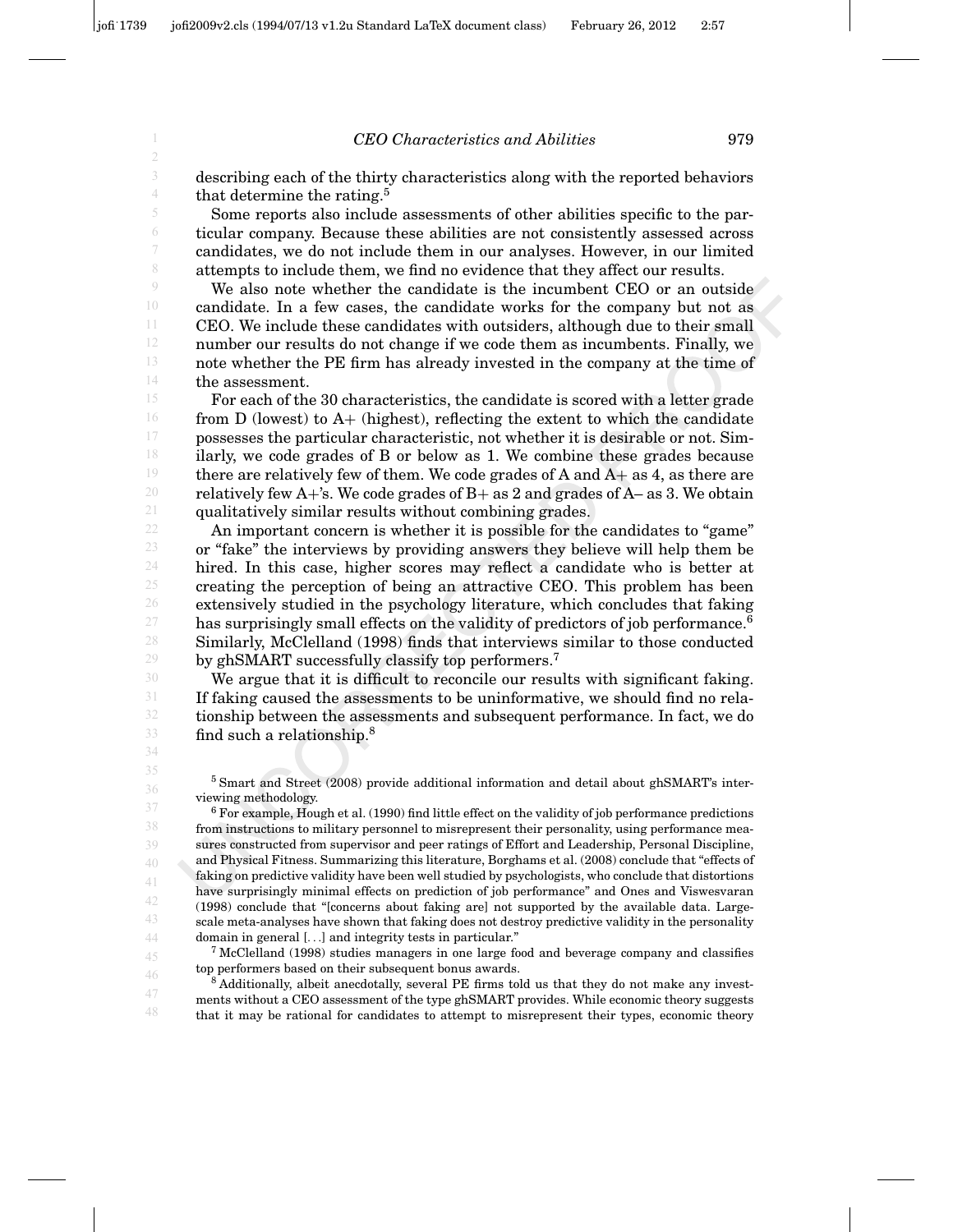describing each of the thirty characteristics along with the reported behaviors that determine the rating.<sup>5</sup>

Some reports also include assessments of other abilities specific to the particular company. Because these abilities are not consistently assessed across candidates, we do not include them in our analyses. However, in our limited attempts to include them, we find no evidence that they affect our results.

We also note whether the candidate is the incumbent CEO or an outside candidate. In a few cases, the candidate works for the company but not as CEO. We include these candidates with outsiders, although due to their small number our results do not change if we code them as incumbents. Finally, we note whether the PE firm has already invested in the company at the time of the assessment.

For each of the 30 characteristics, the candidate is scored with a letter grade from  $D$  (lowest) to  $A<sub>+</sub>$  (highest), reflecting the extent to which the candidate possesses the particular characteristic, not whether it is desirable or not. Similarly, we code grades of B or below as 1. We combine these grades because there are relatively few of them. We code grades of A and  $A<sub>+</sub>$  as 4, as there are relatively few A+'s. We code grades of  $B+$  as 2 and grades of  $A-$  as 3. We obtain qualitatively similar results without combining grades.

An important concern is whether it is possible for the candidates to "game" or "fake" the interviews by providing answers they believe will help them be hired. In this case, higher scores may reflect a candidate who is better at creating the perception of being an attractive CEO. This problem has been extensively studied in the psychology literature, which concludes that faking has surprisingly small effects on the validity of predictors of job performance.<sup>6</sup> Similarly, McClelland (1998) finds that interviews similar to those conducted by ghSMART successfully classify top performers.<sup>7</sup>

We argue that it is difficult to reconcile our results with significant faking. If faking caused the assessments to be uninformative, we should find no relationship between the assessments and subsequent performance. In fact, we do find such a relationship.<sup>8</sup>

33 34 35

 $6$  For example, Hough et al. (1990) find little effect on the validity of job performance predictions from instructions to military personnel to misrepresent their personality, using performance measures constructed from supervisor and peer ratings of Effort and Leadership, Personal Discipline, and Physical Fitness. Summarizing this literature, Borghams et al. (2008) conclude that "effects of faking on predictive validity have been well studied by psychologists, who conclude that distortions have surprisingly minimal effects on prediction of job performance" and Ones and Viswesvaran (1998) conclude that "[concerns about faking are] not supported by the available data. Largescale meta-analyses have shown that faking does not destroy predictive validity in the personality domain in general [*...*] and integrity tests in particular."

<sup>7</sup> McClelland (1998) studies managers in one large food and beverage company and classifies top performers based on their subsequent bonus awards.

<sup>8</sup> Additionally, albeit anecdotally, several PE firms told us that they do not make any investments without a CEO assessment of the type ghSMART provides. While economic theory suggests that it may be rational for candidates to attempt to misrepresent their types, economic theory

<sup>&</sup>lt;sup>5</sup> Smart and Street (2008) provide additional information and detail about ghSMART's interviewing methodology.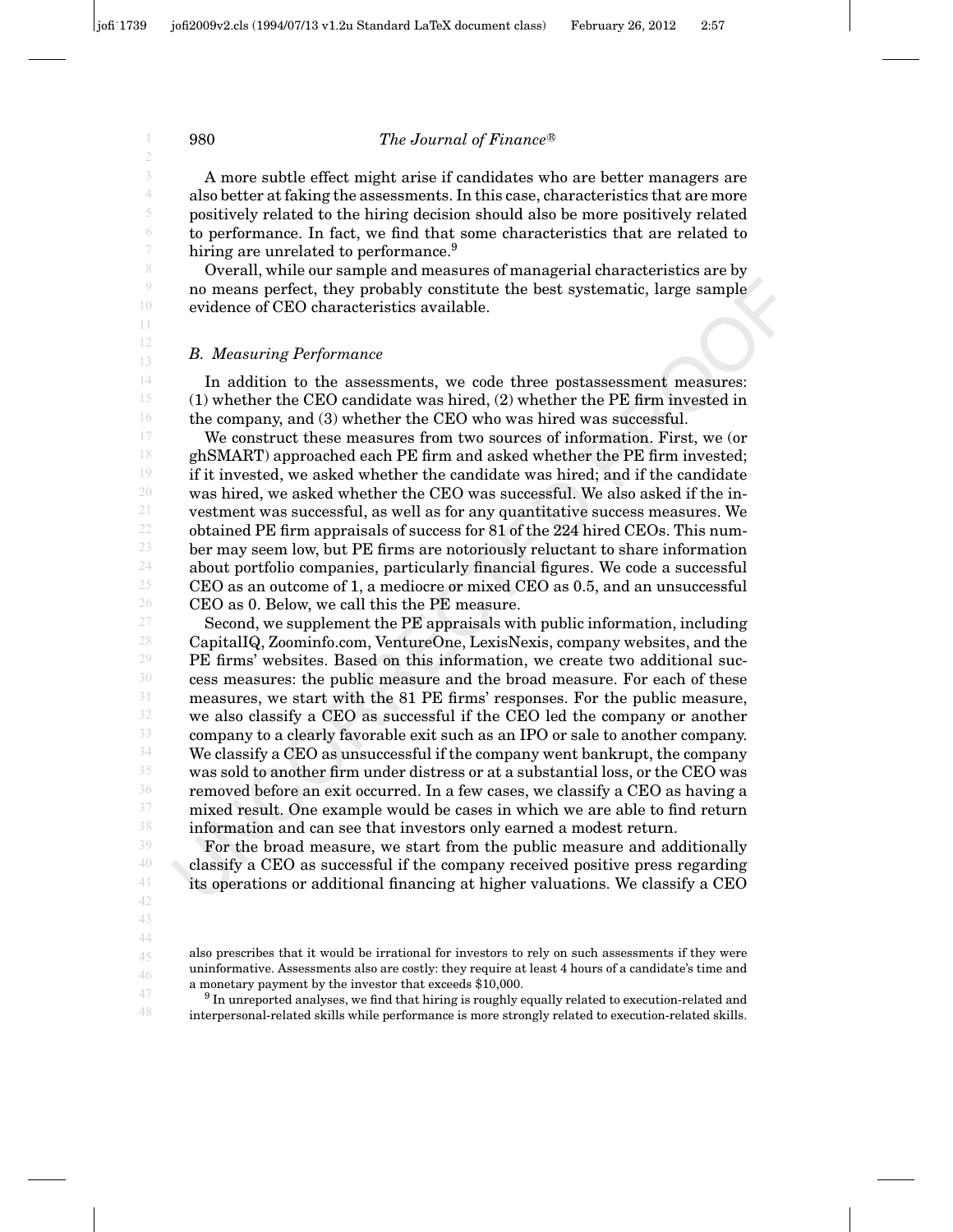## 980 **The Journal of Finance**<sup>®</sup>

A more subtle effect might arise if candidates who are better managers are also better at faking the assessments. In this case, characteristics that are more positively related to the hiring decision should also be more positively related to performance. In fact, we find that some characteristics that are related to hiring are unrelated to performance.<sup>9</sup>

Overall, while our sample and measures of managerial characteristics are by no means perfect, they probably constitute the best systematic, large sample evidence of CEO characteristics available.

# *B. Measuring Performance*

In addition to the assessments, we code three postassessment measures: (1) whether the CEO candidate was hired, (2) whether the PE firm invested in the company, and (3) whether the CEO who was hired was successful.

We construct these measures from two sources of information. First, we (or ghSMART) approached each PE firm and asked whether the PE firm invested; if it invested, we asked whether the candidate was hired; and if the candidate was hired, we asked whether the CEO was successful. We also asked if the investment was successful, as well as for any quantitative success measures. We obtained PE firm appraisals of success for 81 of the 224 hired CEOs. This number may seem low, but PE firms are notoriously reluctant to share information about portfolio companies, particularly financial figures. We code a successful CEO as an outcome of 1, a mediocre or mixed CEO as 0.5, and an unsuccessful CEO as 0. Below, we call this the PE measure.

Second, we supplement the PE appraisals with public information, including CapitalIQ, Zoominfo.com, VentureOne, LexisNexis, company websites, and the PE firms' websites. Based on this information, we create two additional success measures: the public measure and the broad measure. For each of these measures, we start with the 81 PE firms' responses. For the public measure, we also classify a CEO as successful if the CEO led the company or another company to a clearly favorable exit such as an IPO or sale to another company. We classify a CEO as unsuccessful if the company went bankrupt, the company was sold to another firm under distress or at a substantial loss, or the CEO was removed before an exit occurred. In a few cases, we classify a CEO as having a mixed result. One example would be cases in which we are able to find return information and can see that investors only earned a modest return.

For the broad measure, we start from the public measure and additionally classify a CEO as successful if the company received positive press regarding its operations or additional financing at higher valuations. We classify a CEO

47 48

41

45 46

also prescribes that it would be irrational for investors to rely on such assessments if they were uninformative. Assessments also are costly: they require at least 4 hours of a candidate's time and a monetary payment by the investor that exceeds \$10,000.

<sup>9</sup> In unreported analyses, we find that hiring is roughly equally related to execution-related and interpersonal-related skills while performance is more strongly related to execution-related skills.

1 2

17 18 19

27 28 29

33

<sup>42</sup> 43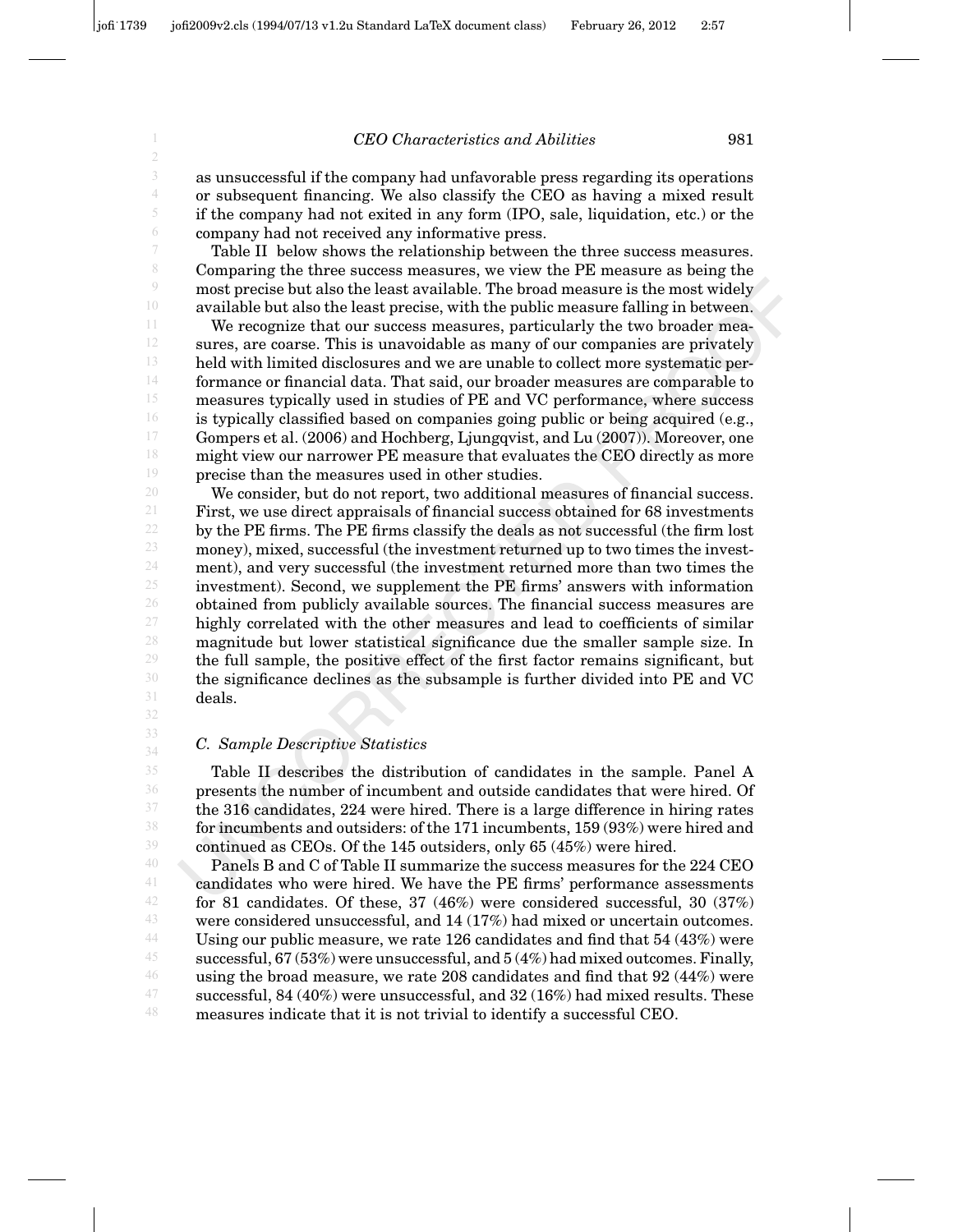as unsuccessful if the company had unfavorable press regarding its operations or subsequent financing. We also classify the CEO as having a mixed result if the company had not exited in any form (IPO, sale, liquidation, etc.) or the company had not received any informative press.

Table II below shows the relationship between the three success measures. Comparing the three success measures, we view the PE measure as being the most precise but also the least available. The broad measure is the most widely available but also the least precise, with the public measure falling in between.

We recognize that our success measures, particularly the two broader measures, are coarse. This is unavoidable as many of our companies are privately held with limited disclosures and we are unable to collect more systematic performance or financial data. That said, our broader measures are comparable to measures typically used in studies of PE and VC performance, where success is typically classified based on companies going public or being acquired (e.g., Gompers et al. (2006) and Hochberg, Ljungqvist, and Lu (2007)). Moreover, one might view our narrower PE measure that evaluates the CEO directly as more precise than the measures used in other studies.

We consider, but do not report, two additional measures of financial success. First, we use direct appraisals of financial success obtained for 68 investments by the PE firms. The PE firms classify the deals as not successful (the firm lost money), mixed, successful (the investment returned up to two times the investment), and very successful (the investment returned more than two times the investment). Second, we supplement the PE firms' answers with information obtained from publicly available sources. The financial success measures are highly correlated with the other measures and lead to coefficients of similar magnitude but lower statistical significance due the smaller sample size. In the full sample, the positive effect of the first factor remains significant, but the significance declines as the subsample is further divided into PE and VC deals.

#### *C. Sample Descriptive Statistics*

Table II describes the distribution of candidates in the sample. Panel A presents the number of incumbent and outside candidates that were hired. Of the 316 candidates, 224 were hired. There is a large difference in hiring rates for incumbents and outsiders: of the 171 incumbents, 159 (93%) were hired and continued as CEOs. Of the 145 outsiders, only 65 (45%) were hired.

Panels B and C of Table II summarize the success measures for the 224 CEO candidates who were hired. We have the PE firms' performance assessments for 81 candidates. Of these, 37 (46%) were considered successful, 30 (37%) were considered unsuccessful, and 14 (17%) had mixed or uncertain outcomes. Using our public measure, we rate 126 candidates and find that 54 (43%) were successful, 67 (53%) were unsuccessful, and 5 (4%) had mixed outcomes. Finally, using the broad measure, we rate 208 candidates and find that 92 (44%) were successful, 84 (40%) were unsuccessful, and 32 (16%) had mixed results. These measures indicate that it is not trivial to identify a successful CEO.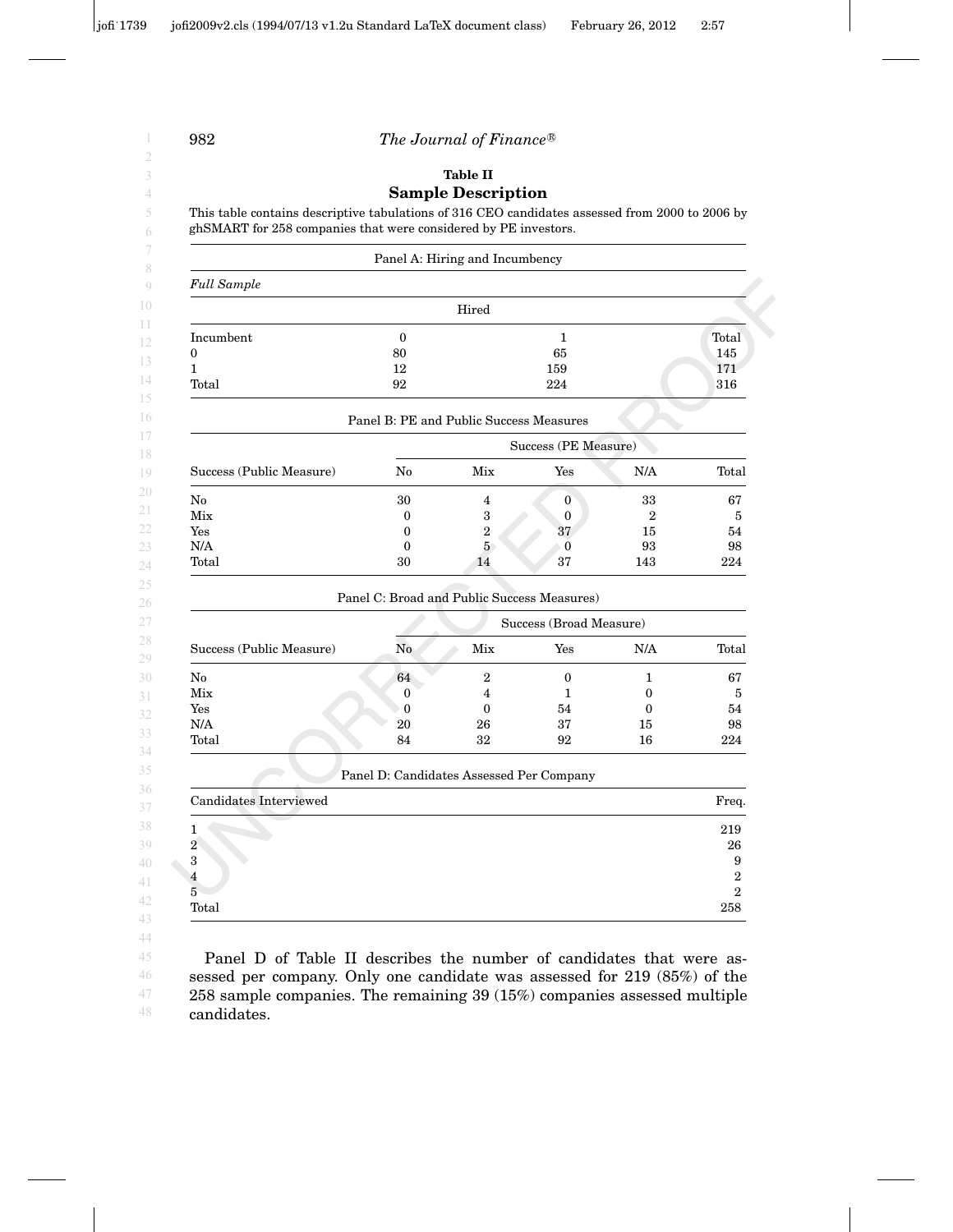# 982 *The Journal of Finance*<sup>®</sup>

# **Table II Sample Description**

This table contains descriptive tabulations of 316 CEO candidates assessed from 2000 to 2006 by ghSMART for 258 companies that were considered by PE investors.

|                    | Panel A: Hiring and Incumbency |     |       |
|--------------------|--------------------------------|-----|-------|
| <b>Full Sample</b> |                                |     |       |
|                    | Hired                          |     |       |
| Incumbent          |                                |     | Total |
| 0                  | 80                             | 65  | 145   |
|                    | 12                             | 159 | 171   |
| Total              | 92                             | 224 | 316   |

#### Panel B: PE and Public Success Measures

|                          |    |     | Success (PE Measure) |     |       |
|--------------------------|----|-----|----------------------|-----|-------|
| Success (Public Measure) | No | Mix | Yes                  | N/A | Total |
| No                       | 30 | 4   |                      | 33  | 67    |
| Mix                      | 0  | 3   |                      | 2   | :5    |
| Yes                      | 0  | 2   | 37                   | 15  | 54    |
| N/A                      | 0  | 5   |                      | 93  | 98    |
| Total                    | 30 | 14  | 37                   | 143 | 224   |

#### Panel C: Broad and Public Success Measures)

|                          |    |     | Success (Broad Measure) |     |       |
|--------------------------|----|-----|-------------------------|-----|-------|
| Success (Public Measure) | No | Mix | Yes                     | N/A | Total |
| No                       | 64 | 2   |                         |     | 67    |
| Mix                      | O  | 4   |                         |     | :5    |
| Yes                      |    |     | 54                      |     | 54    |
| N/A                      | 20 | 26  | 37                      | 15  | 98    |
| Total                    | 84 | 32  | 92                      | 16  | 224   |

|  | Panel D: Candidates Assessed Per Company |  |  |  |
|--|------------------------------------------|--|--|--|
|--|------------------------------------------|--|--|--|

| Candidates Interviewed | Freq.          |
|------------------------|----------------|
|                        | 219            |
| $\overline{2}$         | 26             |
| 3                      | 9              |
| 4                      | $\overline{2}$ |
|                        | $\overline{2}$ |
| Total                  | 258            |

Panel D of Table II describes the number of candidates that were assessed per company. Only one candidate was assessed for 219 (85%) of the 258 sample companies. The remaining 39 (15%) companies assessed multiple candidates.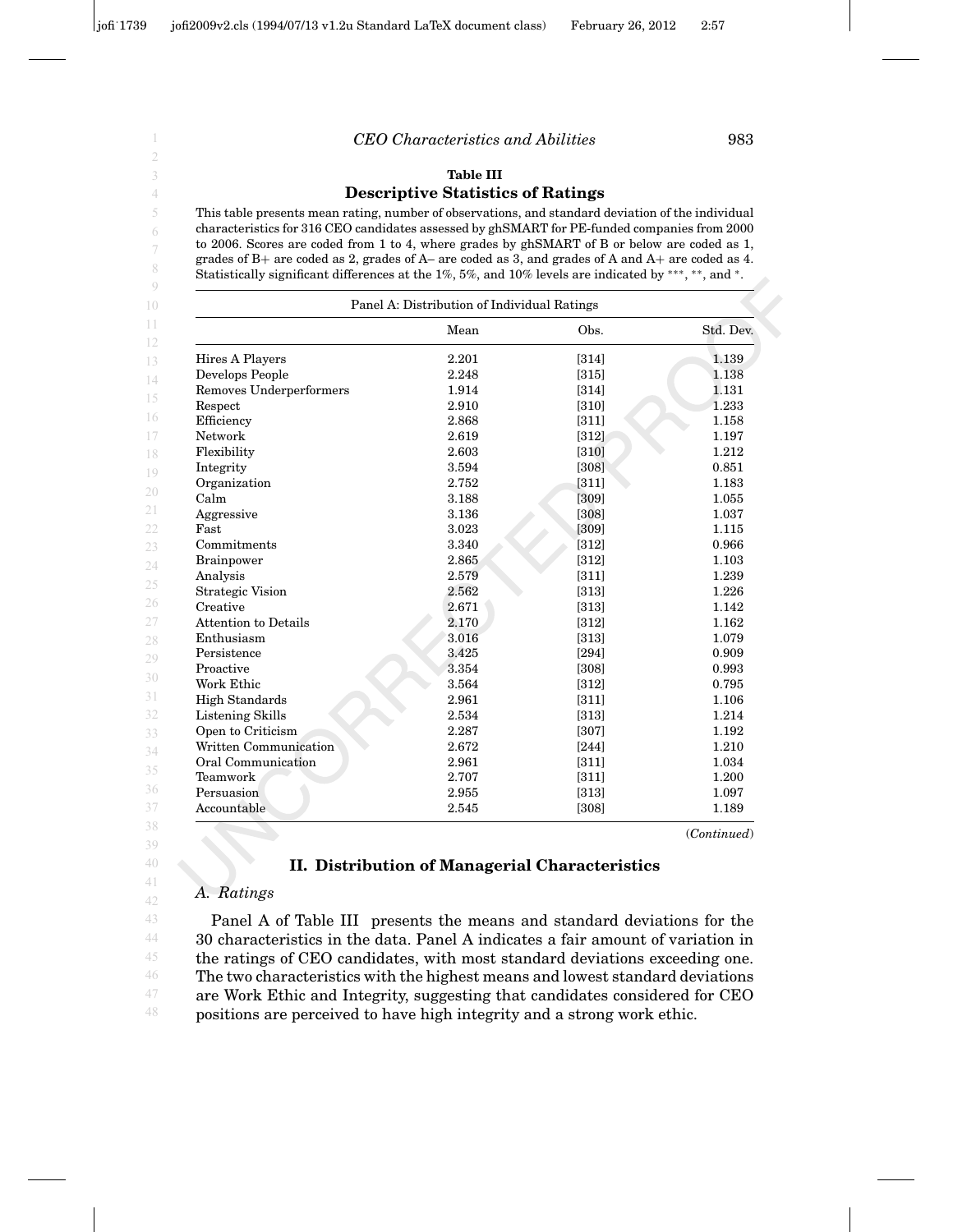# **Table III Descriptive Statistics of Ratings**

This table presents mean rating, number of observations, and standard deviation of the individual characteristics for 316 CEO candidates assessed by ghSMART for PE-funded companies from 2000 to 2006. Scores are coded from 1 to 4, where grades by ghSMART of B or below are coded as 1, grades of B+ are coded as 2, grades of A– are coded as 3, and grades of A and A+ are coded as 4. Statistically significant differences at the 1%, 5%, and 10% levels are indicated by ∗∗∗, ∗∗, and ∗.

|                             | Mean  | Obs.    | Std. Dev. |
|-----------------------------|-------|---------|-----------|
| <b>Hires A Players</b>      | 2.201 | [314]   | 1.139     |
| Develops People             | 2.248 | $[315]$ | 1.138     |
| Removes Underperformers     | 1.914 | [314]   | 1.131     |
| Respect                     | 2.910 | $[310]$ | 1.233     |
| Efficiency                  | 2.868 | $[311]$ | 1.158     |
| Network                     | 2.619 | $[312]$ | 1.197     |
| Flexibility                 | 2.603 | [310]   | 1.212     |
| Integrity                   | 3.594 | [308]   | 0.851     |
| Organization                | 2.752 | $[311]$ | 1.183     |
| Calm                        | 3.188 | [309]   | 1.055     |
| Aggressive                  | 3.136 | $[308]$ | 1.037     |
| Fast                        | 3.023 | [309]   | 1.115     |
| Commitments                 | 3.340 | $[312]$ | 0.966     |
| <b>Brainpower</b>           | 2.865 | $[312]$ | 1.103     |
| Analysis                    | 2.579 | $[311]$ | 1.239     |
| <b>Strategic Vision</b>     | 2.562 | $[313]$ | 1.226     |
| Creative                    | 2.671 | [313]   | 1.142     |
| <b>Attention to Details</b> | 2.170 | $[312]$ | 1.162     |
| Enthusiasm                  | 3.016 | $[313]$ | 1.079     |
| Persistence                 | 3.425 | [294]   | 0.909     |
| Proactive                   | 3.354 | [308]   | 0.993     |
| Work Ethic                  | 3.564 | [312]   | 0.795     |
| <b>High Standards</b>       | 2.961 | $[311]$ | 1.106     |
| Listening Skills            | 2.534 | $[313]$ | 1.214     |
| Open to Criticism           | 2.287 | $[307]$ | 1.192     |
| Written Communication       | 2.672 | $[244]$ | 1.210     |
| Oral Communication          | 2.961 | $[311]$ | 1.034     |
| Teamwork                    | 2.707 | $[311]$ | 1.200     |
| Persuasion                  | 2.955 | [313]   | 1.097     |
| Accountable                 | 2.545 | [308]   | 1.189     |

(*Continued*)

# **II. Distribution of Managerial Characteristics**

#### *A. Ratings*

> Panel A of Table III presents the means and standard deviations for the 30 characteristics in the data. Panel A indicates a fair amount of variation in the ratings of CEO candidates, with most standard deviations exceeding one. The two characteristics with the highest means and lowest standard deviations are Work Ethic and Integrity, suggesting that candidates considered for CEO positions are perceived to have high integrity and a strong work ethic.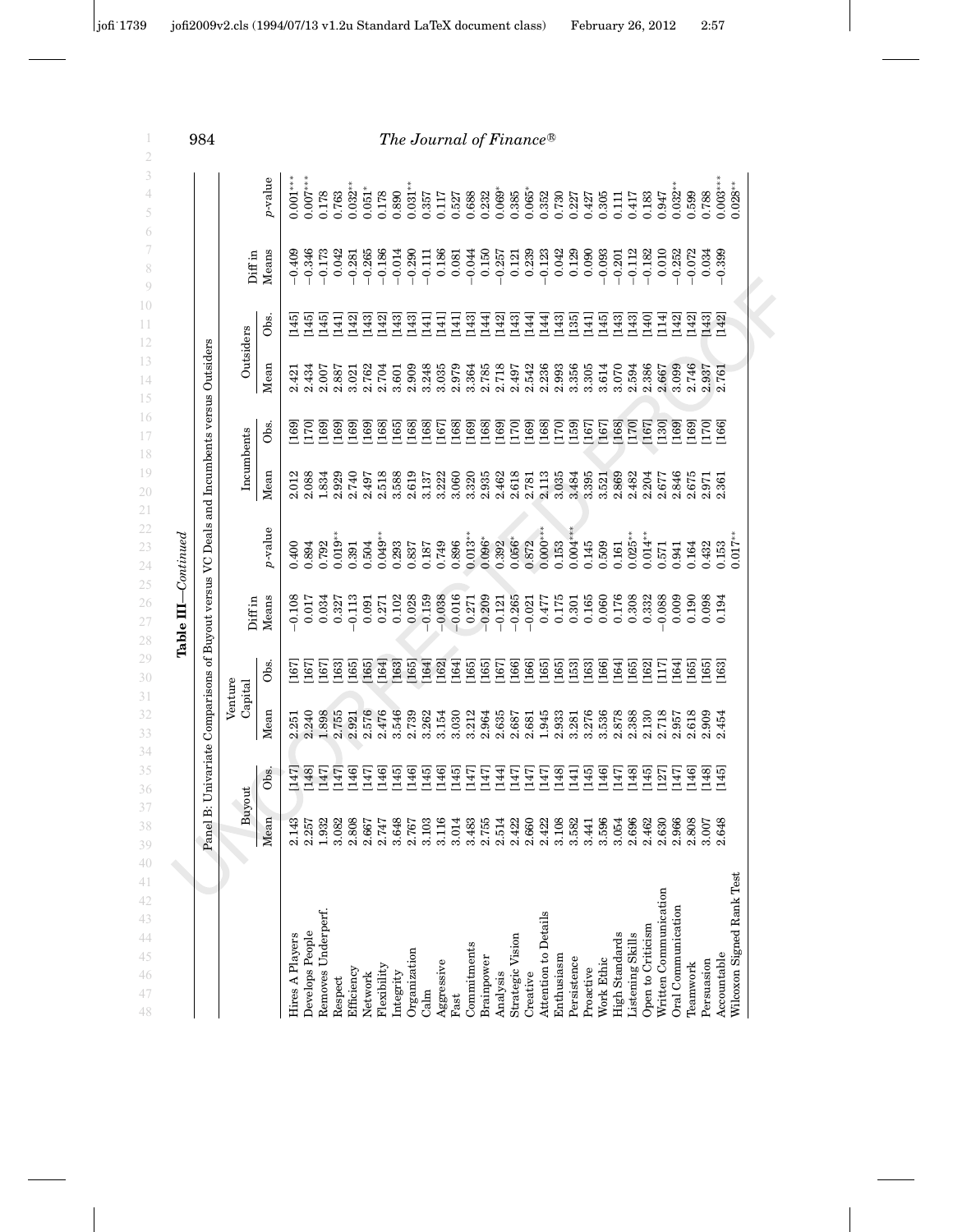$|j$ ofi<sup>-1739</sup> jofi2009v2.cls (1994/07/13 v1.2u Standard LaTeX document class) February 26, 2012 2:57

984 **The Journal of Finance** 

|                           |       |        |                    |                   | Table II—Continued |                                                                                           |       |            |                |       |          |            |
|---------------------------|-------|--------|--------------------|-------------------|--------------------|-------------------------------------------------------------------------------------------|-------|------------|----------------|-------|----------|------------|
|                           |       |        |                    |                   |                    | Panel B: Univariate Comparisons of Buyout versus VC Deals and Incumbents versus Outsiders |       |            |                |       |          |            |
|                           |       | Buyout | Venture<br>Capital |                   | Diff in            |                                                                                           |       | Incumbents | Outsiders      |       | Diff in  |            |
|                           | Mean  | Obs.   | Mean               | Öbs.              | Means              | $p$ -value                                                                                | Mean  | Obs.       | Mean           | Obs.  | Means    | $p$ -value |
| Hires A Players           | 2.143 | 147    | 2.251              | 167               | $-0.108$           | 0.400                                                                                     | 2.012 | 169        | 2.42           | [145] | $-0.409$ | $0.001***$ |
| Develops People           | 2.257 | 148]   | 2.240              | 167               | 0.017              | 0.894                                                                                     | 2.088 | 170        | 2.434          | 145   | $-0.346$ | $0.007***$ |
| Removes Underperf.        | 1.932 | 147    | 1.898              | 167               | 0.034              | 0.792                                                                                     | 1.834 | [63]       | 2.007          | 145   | $-0.173$ | 0.178      |
| Respect                   | 3.082 | 147    | 2.755              | [163]             | 0.327              | $0.019**$                                                                                 | 2.929 | 169        | 2.887          | 141   | 0.042    | 0.763      |
| Efficiency                | 2.808 | 146    | 2.921              | 165               | $-0.113$           | 0.391                                                                                     | 2.740 | [69]       | 3.021          | 142   | $-0.281$ | $0.032**$  |
| Network                   | 2.667 | 147    | 2.576              | 165               | 0.091              | 0.504                                                                                     | 2.497 | [63]       | 2.762<br>2.704 | 143]  | $-0.265$ | $0.051*$   |
| Flexibility               | 2.747 | 146    | 2.476              | [164]             | 0.271              | $0.049**$                                                                                 | 2.518 | [168]      |                | [142] | $-0.186$ | 0.178      |
| Integrity                 | 3.648 | 145    | 3.546              | 163               | 0.102              | 0.293                                                                                     | 3.588 | [165]      | 3.601          | [143] | $-0.014$ | 0.890      |
| Organization              | 2.767 | 146    | 2.739              | [165]             | 0.028              | 0.837                                                                                     | 2.619 | [168]      | 2.909          | [143] | $-0.290$ | $0.031***$ |
| Calm                      | 3.103 | [145]  | 3.262              | 164               | $-0.159$           | 0.187                                                                                     | 3.137 | [168]      | 3.248          | [141] | $-0.111$ | 0.357      |
| Aggressive                | 3.116 | 146]   | 3.154              | [162]             | $-0.038$           | 0.749                                                                                     | 3.222 | [167]      | 3.035          | 141   | 0.186    | 0.117      |
| Fast                      | 3.014 | [145]  | 3.030              | [164]             | $-0.016$           | 0.896                                                                                     | 3.060 | [168]      | 2.979          | [141] | 0.081    | 0.527      |
| Commitments               | 3.483 | [147]  | 3.212              | [165]             | 0.271              | $0.013**$                                                                                 | 3.320 | [169]      | 3.364          | [143] | $-0.044$ | 0.688      |
| Brainpower                | 2.755 | [147]  | 2.964              | [165]             | $-0.209$           | $0.096*$                                                                                  | 2.935 | [168]      | 2.785          | [144] | 0.150    | 0.232      |
| Analysis                  | 2.514 | 144]   | 2.635              | [167]             | $-0.121$           | 0.392                                                                                     | 2.462 | [169]      | 2.718          | [142] | $-0.257$ | $0.069*$   |
| <b>Strategic Vision</b>   | 2.422 | [147]  | 2.687              | [166]             | $-0.265$           | $0.056*$                                                                                  | 2.618 | [170]      | 2.497          | [143] | 0.121    | 0.385      |
| Creative                  | 2.660 | [147]  | 2.681              | [166]             | $-0.021$           | 0.872                                                                                     | 2.781 | [169]      | 2.542          | 144   | 0.239    | $0.065*$   |
| Attention to Details      | 2.422 | [147]  | 1.945              | [165]             | 0.477              | $0.000**$                                                                                 | 2.113 | [168]      | 2.236          | [14]  | $-0.123$ | 0.352      |
| Enthusiasm                | 3.108 | [148]  | 2.933              | [165]             | 0.175              | 0.153                                                                                     | 3.035 | [170]      | 2.993          | [143] | 0.042    | 0.730      |
| Persistence               | 3.582 | [141]  | 3.281              | [153]             | 0.301              | $0.004**$                                                                                 | 3,484 | [159]      | 3.356          | [135] | 0.129    | 0.227      |
| Proactive                 | 3.441 | 145]   | 3.276              | $\frac{163}{166}$ | 0.165              | 0.145                                                                                     | 3.395 | [167]      | 3.305          | [141] | 0.090    | 0.427      |
| Work Ethic                | 3.596 | [146]  | 3.536              |                   | 0.060              | 0.509                                                                                     | 3.521 | [167]      | 3.614          | [145] | $-0.093$ | 0.305      |
| High Standards            | 3.054 | [147]  | 2.878              | 164               | 0.176              | 0.161                                                                                     | 2.869 | [168]      | 3.070          | [143] | $-0.201$ | 0.111      |
| Listening Skills          | 2.696 | 148]   | 2.388              | [165]             | 0.308              | $0.025**$                                                                                 | 2.482 | [170]      | 2.594          | [143] | $-0.112$ | 0.417      |
| Open to Criticism         | 2.462 | 145    | 2.130              | 162               | 0.332              | $0.014**$                                                                                 | 2.204 | [167]      | 2.386          | [140] | $-0.182$ | 0.183      |
| Written Communication     | 2.630 | 127    | 2.718              | EЩ                | 0.088              | 0.571                                                                                     | 2.677 | [130]      | 2.667          | 114   | 0.010    | 0.947      |
| Oral Communication        | 2.966 | [147]  | 2.957              | 164               | 0.009              | 0.941                                                                                     | 2.846 | [169]      | 3.099          | [142] | $-0.252$ | $0.032**$  |
| Teamwork                  | 2.808 | 146    | 2.618              | 165               | 0.190              | 0.164                                                                                     | 2.675 | 169        | 2.746          | 142   | $-0.072$ | 0.599      |
| Persuasion                | 3.007 | 148]   | 2.909              | 165               | 0.098              | 0.432                                                                                     | 2.971 | [170]      | 2.937          | [143] | 0.034    | 0.788      |
| Accountable               | .648  | 145]   | 2.454              | 163               | 0.194              | 0.153                                                                                     | 2.361 | 166        | 2.761          | [142] | $-0.399$ | $0.003***$ |
| Wilcoxon Signed Rank Test |       |        |                    |                   |                    | $0.017**$                                                                                 |       |            |                |       |          | $0.028**$  |
|                           |       |        |                    |                   |                    |                                                                                           |       |            |                |       |          |            |
|                           |       |        |                    |                   |                    |                                                                                           |       |            |                |       |          |            |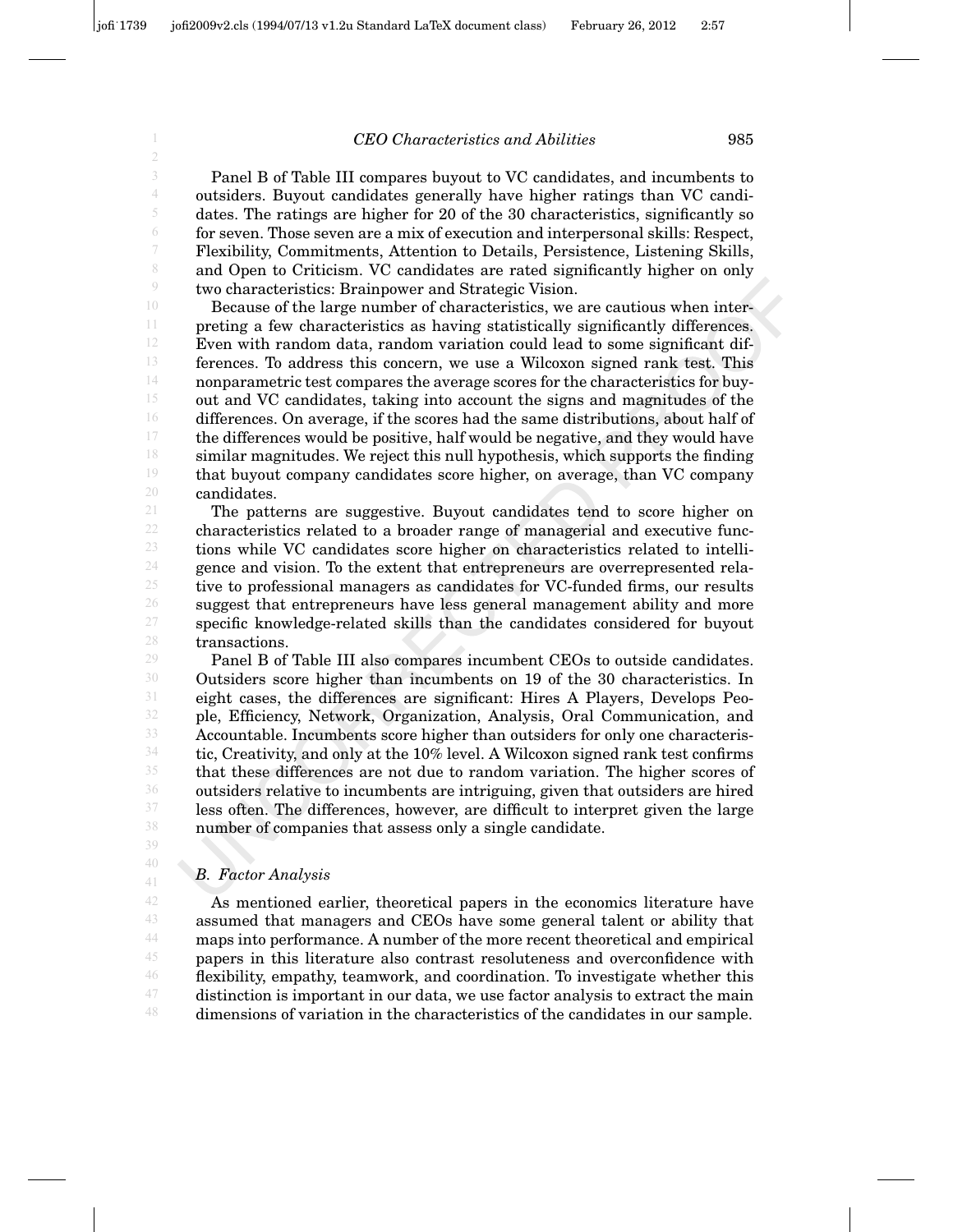Panel B of Table III compares buyout to VC candidates, and incumbents to outsiders. Buyout candidates generally have higher ratings than VC candidates. The ratings are higher for 20 of the 30 characteristics, significantly so for seven. Those seven are a mix of execution and interpersonal skills: Respect, Flexibility, Commitments, Attention to Details, Persistence, Listening Skills, and Open to Criticism. VC candidates are rated significantly higher on only two characteristics: Brainpower and Strategic Vision.

Because of the large number of characteristics, we are cautious when interpreting a few characteristics as having statistically significantly differences. Even with random data, random variation could lead to some significant differences. To address this concern, we use a Wilcoxon signed rank test. This nonparametric test compares the average scores for the characteristics for buyout and VC candidates, taking into account the signs and magnitudes of the differences. On average, if the scores had the same distributions, about half of the differences would be positive, half would be negative, and they would have similar magnitudes. We reject this null hypothesis, which supports the finding that buyout company candidates score higher, on average, than VC company candidates.

21 22 23 24 25 26 27 28 The patterns are suggestive. Buyout candidates tend to score higher on characteristics related to a broader range of managerial and executive functions while VC candidates score higher on characteristics related to intelligence and vision. To the extent that entrepreneurs are overrepresented relative to professional managers as candidates for VC-funded firms, our results suggest that entrepreneurs have less general management ability and more specific knowledge-related skills than the candidates considered for buyout transactions.

Panel B of Table III also compares incumbent CEOs to outside candidates. Outsiders score higher than incumbents on 19 of the 30 characteristics. In eight cases, the differences are significant: Hires A Players, Develops People, Efficiency, Network, Organization, Analysis, Oral Communication, and Accountable. Incumbents score higher than outsiders for only one characteristic, Creativity, and only at the 10% level. A Wilcoxon signed rank test confirms that these differences are not due to random variation. The higher scores of outsiders relative to incumbents are intriguing, given that outsiders are hired less often. The differences, however, are difficult to interpret given the large number of companies that assess only a single candidate.

# *B. Factor Analysis*

29 30 31

As mentioned earlier, theoretical papers in the economics literature have assumed that managers and CEOs have some general talent or ability that maps into performance. A number of the more recent theoretical and empirical papers in this literature also contrast resoluteness and overconfidence with flexibility, empathy, teamwork, and coordination. To investigate whether this distinction is important in our data, we use factor analysis to extract the main dimensions of variation in the characteristics of the candidates in our sample.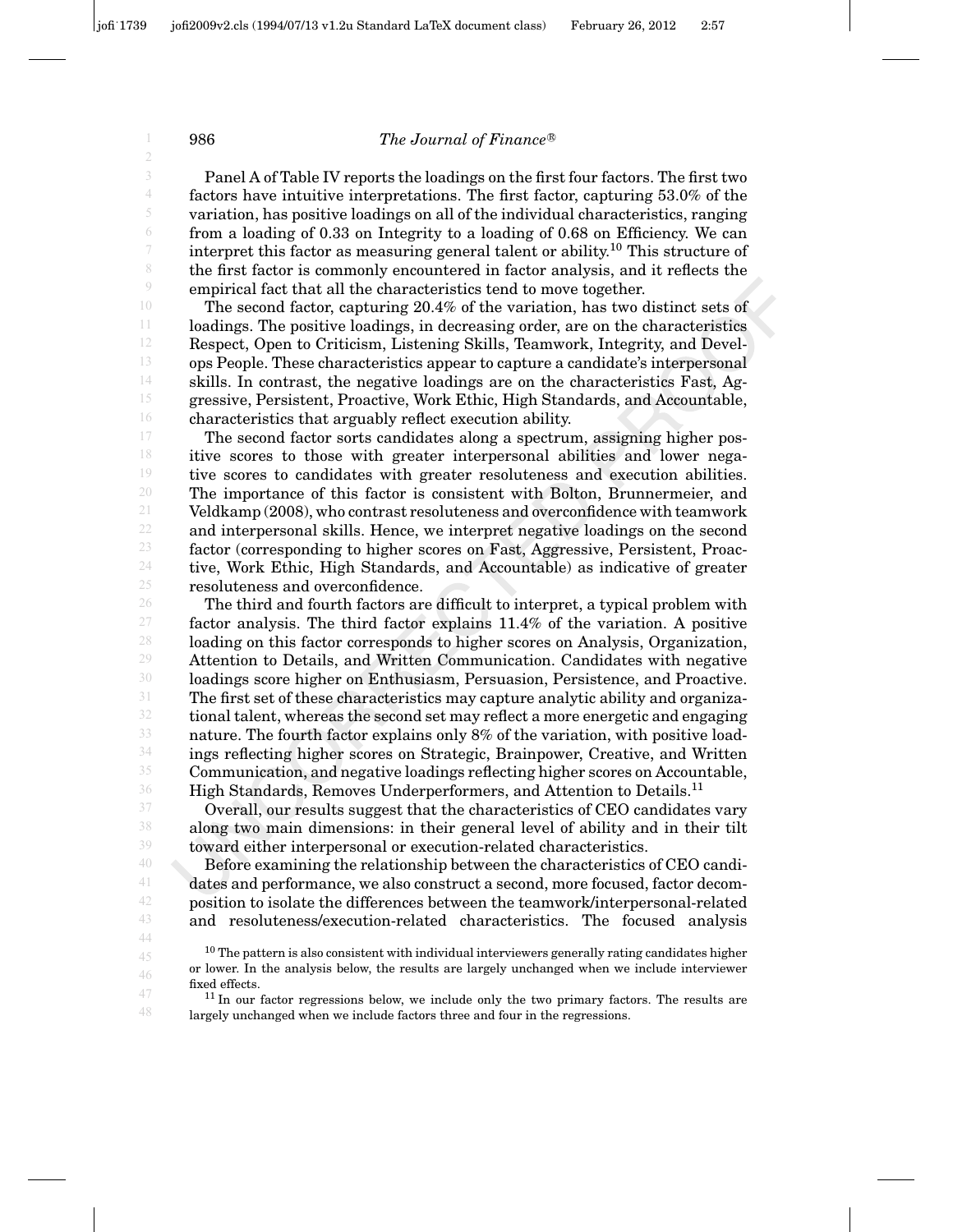#### 986 **The Journal of Finance**<sup>®</sup>

Panel A of Table IV reports the loadings on the first four factors. The first two factors have intuitive interpretations. The first factor, capturing 53.0% of the variation, has positive loadings on all of the individual characteristics, ranging from a loading of 0.33 on Integrity to a loading of 0.68 on Efficiency. We can interpret this factor as measuring general talent or ability.<sup>10</sup> This structure of the first factor is commonly encountered in factor analysis, and it reflects the empirical fact that all the characteristics tend to move together.

The second factor, capturing 20.4% of the variation, has two distinct sets of loadings. The positive loadings, in decreasing order, are on the characteristics Respect, Open to Criticism, Listening Skills, Teamwork, Integrity, and Develops People. These characteristics appear to capture a candidate's interpersonal skills. In contrast, the negative loadings are on the characteristics Fast, Aggressive, Persistent, Proactive, Work Ethic, High Standards, and Accountable, characteristics that arguably reflect execution ability.

The second factor sorts candidates along a spectrum, assigning higher positive scores to those with greater interpersonal abilities and lower negative scores to candidates with greater resoluteness and execution abilities. The importance of this factor is consistent with Bolton, Brunnermeier, and Veldkamp (2008), who contrast resoluteness and overconfidence with teamwork and interpersonal skills. Hence, we interpret negative loadings on the second factor (corresponding to higher scores on Fast, Aggressive, Persistent, Proactive, Work Ethic, High Standards, and Accountable) as indicative of greater resoluteness and overconfidence.

27 28 29 33 35 36 The third and fourth factors are difficult to interpret, a typical problem with factor analysis. The third factor explains 11.4% of the variation. A positive loading on this factor corresponds to higher scores on Analysis, Organization, Attention to Details, and Written Communication. Candidates with negative loadings score higher on Enthusiasm, Persuasion, Persistence, and Proactive. The first set of these characteristics may capture analytic ability and organizational talent, whereas the second set may reflect a more energetic and engaging nature. The fourth factor explains only 8% of the variation, with positive loadings reflecting higher scores on Strategic, Brainpower, Creative, and Written Communication, and negative loadings reflecting higher scores on Accountable, High Standards, Removes Underperformers, and Attention to Details.<sup>11</sup>

Overall, our results suggest that the characteristics of CEO candidates vary along two main dimensions: in their general level of ability and in their tilt toward either interpersonal or execution-related characteristics.

Before examining the relationship between the characteristics of CEO candidates and performance, we also construct a second, more focused, factor decomposition to isolate the differences between the teamwork/interpersonal-related and resoluteness/execution-related characteristics. The focused analysis

 $10$  The pattern is also consistent with individual interviewers generally rating candidates higher or lower. In the analysis below, the results are largely unchanged when we include interviewer fixed effects.

 $11$  In our factor regressions below, we include only the two primary factors. The results are largely unchanged when we include factors three and four in the regressions.

1 2

37 38 39

41 42 43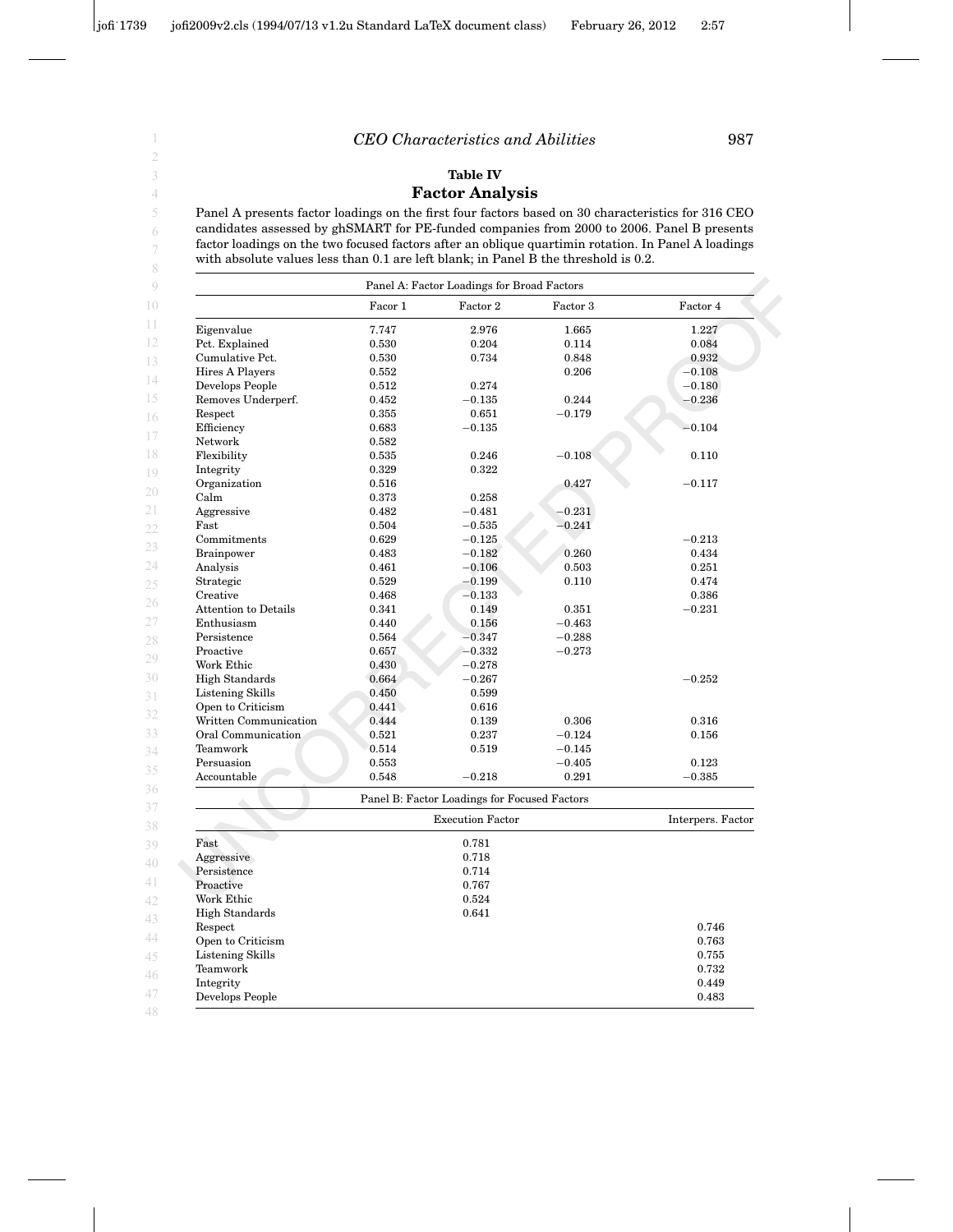$|j$ ofi<sup>-1739</sup> jofi2009v2.cls (1994/07/13 v1.2u Standard LaTeX document class) February 26, 2012 2:57

# **Table IV Factor Analysis**

Panel A presents factor loadings on the first four factors based on 30 characteristics for 316 CEO candidates assessed by ghSMART for PE-funded companies from 2000 to 2006. Panel B presents factor loadings on the two focused factors after an oblique quartimin rotation. In Panel A loadings with absolute values less than 0.1 are left blank; in Panel B the threshold is 0.2.

|                             | Facor 1 | Factor 2                                     | Factor 3 | Factor 4          |
|-----------------------------|---------|----------------------------------------------|----------|-------------------|
| Eigenvalue                  | 7.747   | 2.976                                        | 1.665    | 1.227             |
| Pct. Explained              | 0.530   | 0.204                                        | 0.114    | 0.084             |
| Cumulative Pct.             | 0.530   | 0.734                                        | 0.848    | 0.932             |
| <b>Hires A Players</b>      | 0.552   |                                              | 0.206    | $-0.108$          |
| Develops People             | 0.512   | 0.274                                        |          | $-0.180$          |
| Removes Underperf.          | 0.452   | $-0.135$                                     | 0.244    | $-0.236$          |
| Respect                     | 0.355   | 0.651                                        | $-0.179$ |                   |
| Efficiency                  | 0.683   | $-0.135$                                     |          | $-0.104$          |
| Network                     | 0.582   |                                              |          |                   |
| Flexibility                 | 0.535   | 0.246                                        | $-0.108$ | 0.110             |
| Integrity                   | 0.329   | 0.322                                        |          |                   |
| Organization                | 0.516   |                                              | 0.427    | $-0.117$          |
| Calm                        | 0.373   | 0.258                                        |          |                   |
| Aggressive                  | 0.482   | $-0.481$                                     | $-0.231$ |                   |
| Fast                        | 0.504   | $-0.535$                                     | $-0.241$ |                   |
| Commitments                 | 0.629   | $-0.125$                                     |          | $-0.213$          |
| Brainpower                  | 0.483   | $-0.182$                                     | 0.260    | 0.434             |
| Analysis                    | 0.461   | $-0.106$                                     | 0.503    | 0.251             |
| Strategic                   | 0.529   | $-0.199$                                     | 0.110    | 0.474             |
| Creative                    | 0.468   | $-0.133$                                     |          | 0.386             |
| <b>Attention to Details</b> | 0.341   | 0.149                                        | 0.351    | $-0.231$          |
| Enthusiasm                  | 0.440   | 0.156                                        | $-0.463$ |                   |
| Persistence                 | 0.564   | $-0.347$                                     | $-0.288$ |                   |
| Proactive                   | 0.657   | $-0.332$                                     | $-0.273$ |                   |
| Work Ethic                  | 0.430   | $-0.278$                                     |          |                   |
| <b>High Standards</b>       | 0.664   | $-0.267$                                     |          | $-0.252$          |
| Listening Skills            | 0.450   | 0.599                                        |          |                   |
| Open to Criticism           | 0.441   | 0.616                                        |          |                   |
| Written Communication       | 0.444   | 0.139                                        | 0.306    | 0.316             |
| Oral Communication          | 0.521   | 0.237                                        | $-0.124$ | 0.156             |
| Teamwork                    | 0.514   | 0.519                                        | $-0.145$ |                   |
| Persuasion                  | 0.553   |                                              | $-0.405$ | 0.123             |
| Accountable                 | 0.548   | $-0.218$                                     | 0.291    | $-0.385$          |
|                             |         | Panel B: Factor Loadings for Focused Factors |          |                   |
|                             |         | <b>Execution Factor</b>                      |          | Interpers. Factor |
| Fast                        |         | 0.781                                        |          |                   |
| Aggressive                  |         | 0.718                                        |          |                   |
| Persistence                 |         | 0.714                                        |          |                   |
| Proactive                   |         | 0.767                                        |          |                   |
| Work Ethic                  |         | 0.524                                        |          |                   |
| <b>High Standards</b>       |         | 0.641                                        |          |                   |
| Respect                     |         |                                              |          | 0.746             |
| Open to Criticism           |         |                                              |          | 0.763             |
| Listening Skills            |         |                                              |          | 0.755             |
| Teamwork                    |         |                                              |          | 0.732             |
|                             |         |                                              |          | 0.449             |
| Integrity                   |         |                                              |          |                   |
| Develops People             |         |                                              |          | 0.483             |

48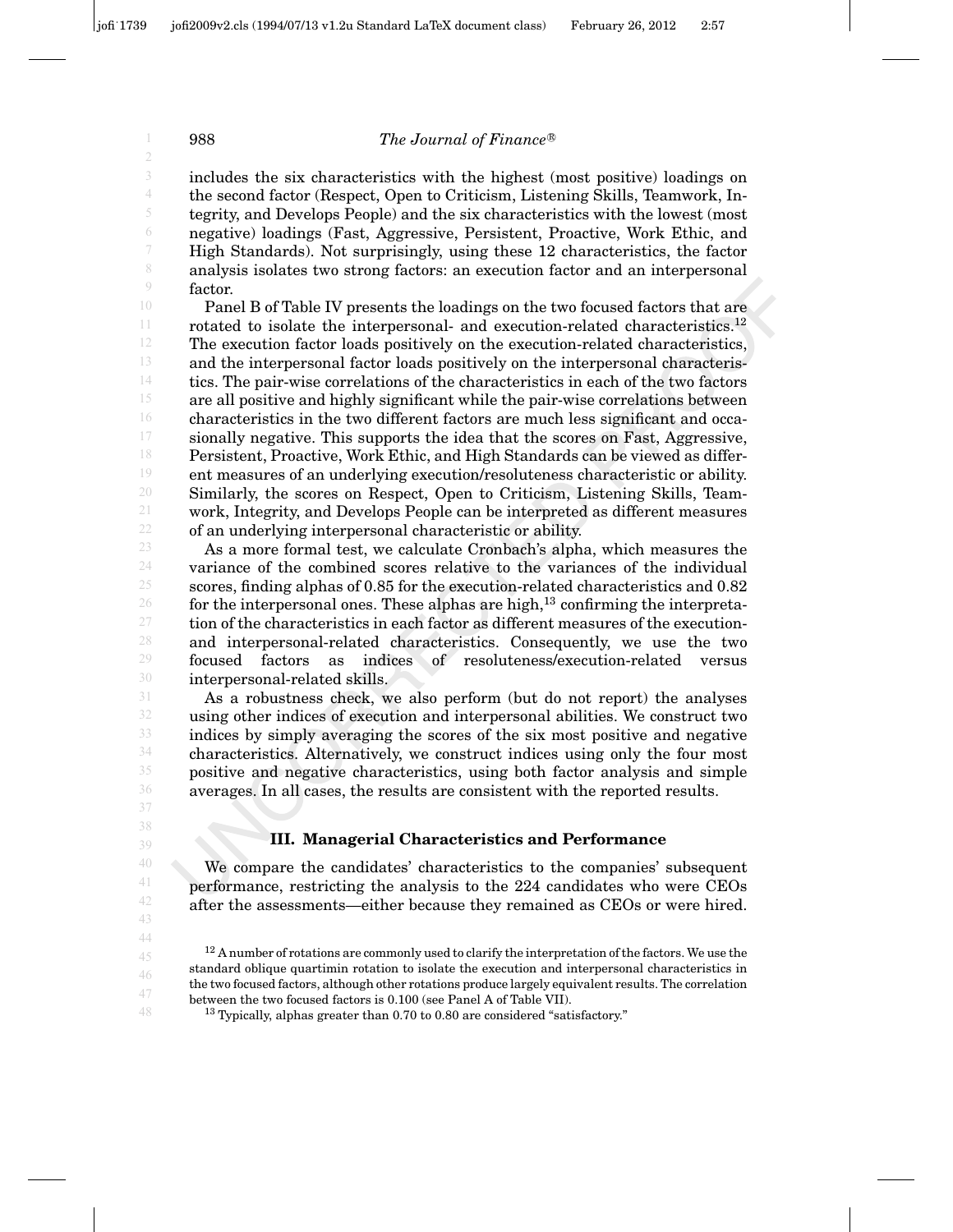# 988 **The Journal of Finance**<sup>®</sup>

includes the six characteristics with the highest (most positive) loadings on the second factor (Respect, Open to Criticism, Listening Skills, Teamwork, Integrity, and Develops People) and the six characteristics with the lowest (most negative) loadings (Fast, Aggressive, Persistent, Proactive, Work Ethic, and High Standards). Not surprisingly, using these 12 characteristics, the factor analysis isolates two strong factors: an execution factor and an interpersonal factor.

Panel B of Table IV presents the loadings on the two focused factors that are rotated to isolate the interpersonal- and execution-related characteristics.<sup>12</sup> The execution factor loads positively on the execution-related characteristics, and the interpersonal factor loads positively on the interpersonal characteristics. The pair-wise correlations of the characteristics in each of the two factors are all positive and highly significant while the pair-wise correlations between characteristics in the two different factors are much less significant and occasionally negative. This supports the idea that the scores on Fast, Aggressive, Persistent, Proactive, Work Ethic, and High Standards can be viewed as different measures of an underlying execution/resoluteness characteristic or ability. Similarly, the scores on Respect, Open to Criticism, Listening Skills, Teamwork, Integrity, and Develops People can be interpreted as different measures of an underlying interpersonal characteristic or ability.

As a more formal test, we calculate Cronbach's alpha, which measures the variance of the combined scores relative to the variances of the individual scores, finding alphas of 0.85 for the execution-related characteristics and 0.82 for the interpersonal ones. These alphas are high, $^{13}$  confirming the interpretation of the characteristics in each factor as different measures of the executionand interpersonal-related characteristics. Consequently, we use the two focused factors as indices of resoluteness/execution-related versus interpersonal-related skills.

As a robustness check, we also perform (but do not report) the analyses using other indices of execution and interpersonal abilities. We construct two indices by simply averaging the scores of the six most positive and negative characteristics. Alternatively, we construct indices using only the four most positive and negative characteristics, using both factor analysis and simple averages. In all cases, the results are consistent with the reported results.

#### **III. Managerial Characteristics and Performance**

We compare the candidates' characteristics to the companies' subsequent performance, restricting the analysis to the 224 candidates who were CEOs after the assessments—either because they remained as CEOs or were hired.

1 2

27 28 29

33

41 42 43

<sup>&</sup>lt;sup>12</sup> A number of rotations are commonly used to clarify the interpretation of the factors. We use the standard oblique quartimin rotation to isolate the execution and interpersonal characteristics in the two focused factors, although other rotations produce largely equivalent results. The correlation between the two focused factors is 0.100 (see Panel A of Table VII).

<sup>13</sup> Typically, alphas greater than 0.70 to 0.80 are considered "satisfactory."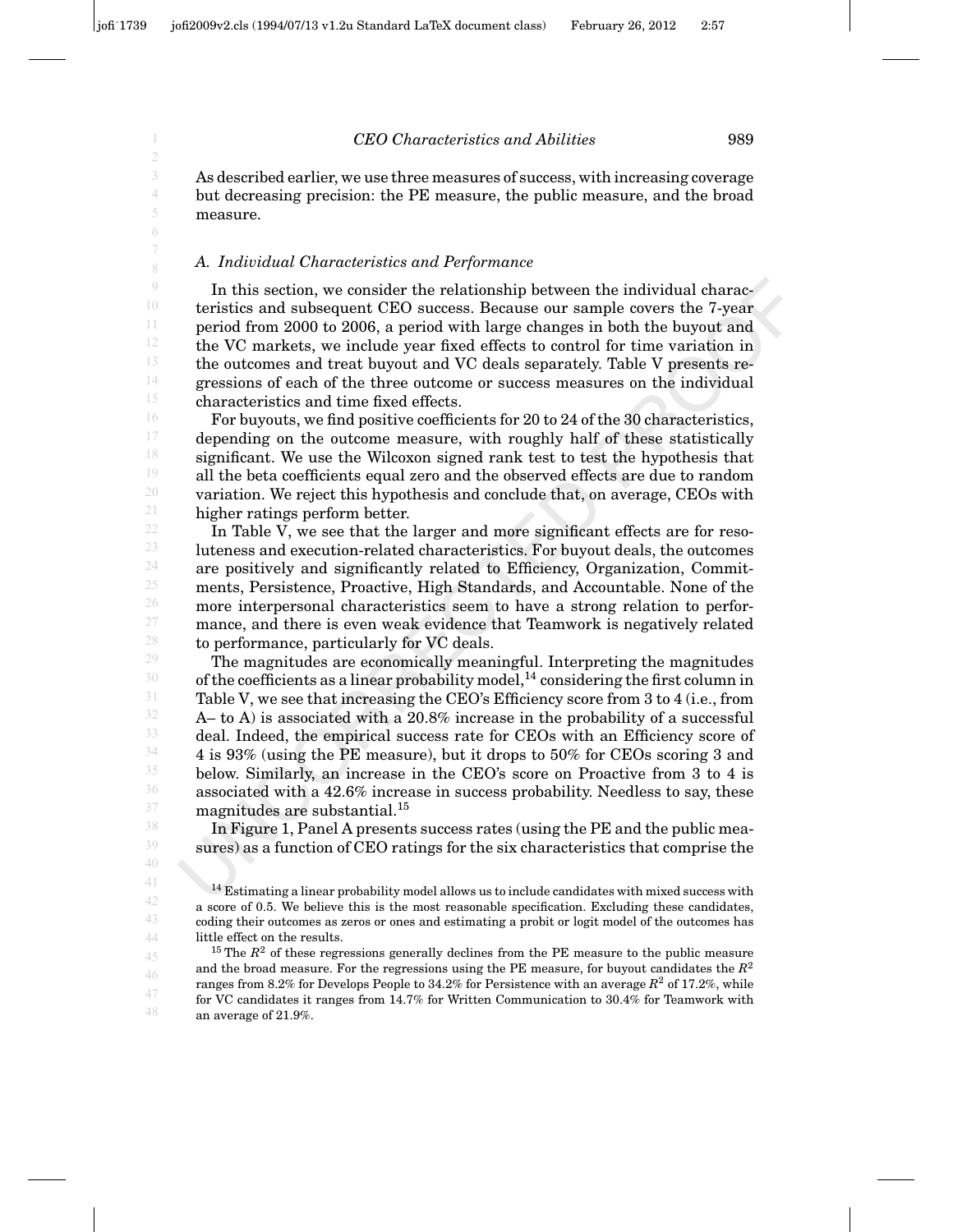As described earlier, we use three measures of success, with increasing coverage but decreasing precision: the PE measure, the public measure, and the broad measure.

# *A. Individual Characteristics and Performance*

In this section, we consider the relationship between the individual characteristics and subsequent CEO success. Because our sample covers the 7-year period from 2000 to 2006, a period with large changes in both the buyout and the VC markets, we include year fixed effects to control for time variation in the outcomes and treat buyout and VC deals separately. Table V presents regressions of each of the three outcome or success measures on the individual characteristics and time fixed effects.

For buyouts, we find positive coefficients for 20 to 24 of the 30 characteristics, depending on the outcome measure, with roughly half of these statistically significant. We use the Wilcoxon signed rank test to test the hypothesis that all the beta coefficients equal zero and the observed effects are due to random variation. We reject this hypothesis and conclude that, on average, CEOs with higher ratings perform better.

In Table V, we see that the larger and more significant effects are for resoluteness and execution-related characteristics. For buyout deals, the outcomes are positively and significantly related to Efficiency, Organization, Commitments, Persistence, Proactive, High Standards, and Accountable. None of the more interpersonal characteristics seem to have a strong relation to performance, and there is even weak evidence that Teamwork is negatively related to performance, particularly for VC deals.

The magnitudes are economically meaningful. Interpreting the magnitudes of the coefficients as a linear probability model,<sup>14</sup> considering the first column in Table V, we see that increasing the CEO's Efficiency score from 3 to 4 (i.e., from A– to A) is associated with a 20.8% increase in the probability of a successful deal. Indeed, the empirical success rate for CEOs with an Efficiency score of 4 is 93% (using the PE measure), but it drops to 50% for CEOs scoring 3 and below. Similarly, an increase in the CEO's score on Proactive from 3 to 4 is associated with a 42.6% increase in success probability. Needless to say, these magnitudes are substantial.<sup>15</sup>

In Figure 1, Panel A presents success rates (using the PE and the public measures) as a function of CEO ratings for the six characteristics that comprise the

 $<sup>14</sup>$  Estimating a linear probability model allows us to include candidates with mixed success with</sup> a score of 0.5. We believe this is the most reasonable specification. Excluding these candidates, coding their outcomes as zeros or ones and estimating a probit or logit model of the outcomes has little effect on the results.

<sup>&</sup>lt;sup>15</sup> The  $R<sup>2</sup>$  of these regressions generally declines from the PE measure to the public measure and the broad measure. For the regressions using the PE measure, for buyout candidates the  $R^2$ ranges from 8.2% for Develops People to 34.2% for Persistence with an average  $R^2$  of 17.2%, while for VC candidates it ranges from 14.7% for Written Communication to 30.4% for Teamwork with an average of 21.9%.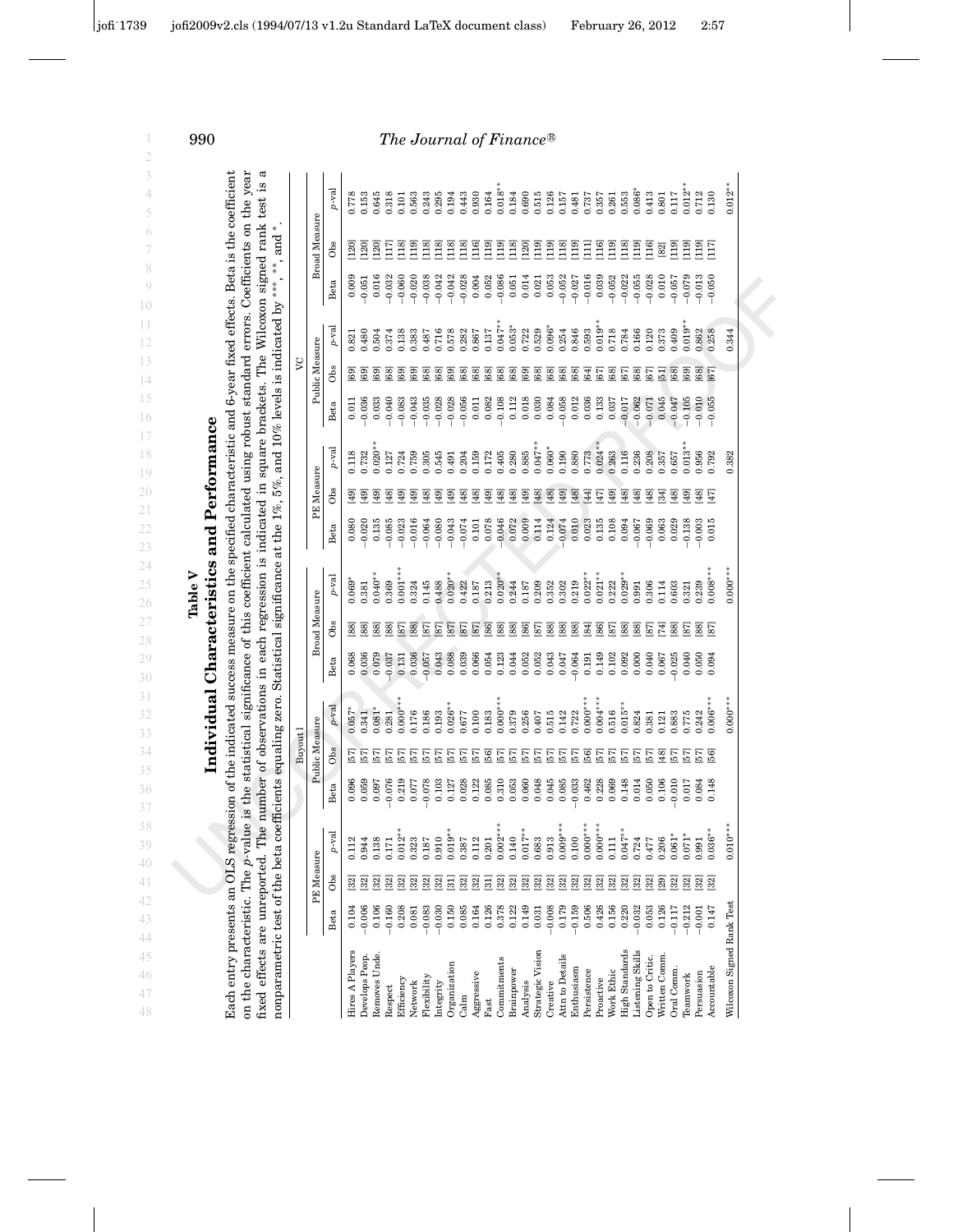*The Journal of Finance* 

|                                                                                                                                                                                                                                                                                                                                                                          |                   |                                            |                    |                   |                   |                    |                |                      | Individual Characteristics and Performance<br>Table V                                                   |                      |              |                    |                      |                       |                    |                      |                                           |                                                                                                                                               |
|--------------------------------------------------------------------------------------------------------------------------------------------------------------------------------------------------------------------------------------------------------------------------------------------------------------------------------------------------------------------------|-------------------|--------------------------------------------|--------------------|-------------------|-------------------|--------------------|----------------|----------------------|---------------------------------------------------------------------------------------------------------|----------------------|--------------|--------------------|----------------------|-----------------------|--------------------|----------------------|-------------------------------------------|-----------------------------------------------------------------------------------------------------------------------------------------------|
| on the characteristic. The <i>p</i> -value is the statistical significance of this coefficient calculated using robust standard errors. Coefficients on the year<br>nomparametric test of the beta coefficients equaling zero. Statistical significance at the 1%, 5%, and 10% levels is indicated by ***,<br>Each entry presents an OLS<br>fixed effects are unreported |                   |                                            |                    |                   |                   |                    |                |                      | The number of observations in each regression is indicated in square brackets. The Wilcoxon signed rank |                      |              |                    |                      |                       |                    |                      | $^{**}$ , and                             | regression of the indicated success measure on the specified characteristic and 6-year fixed effects. Beta is the coefficient<br>ದ<br>test is |
|                                                                                                                                                                                                                                                                                                                                                                          |                   |                                            |                    |                   | Buyout l          |                    |                |                      |                                                                                                         |                      |              |                    |                      | S                     |                    |                      |                                           |                                                                                                                                               |
|                                                                                                                                                                                                                                                                                                                                                                          |                   | PE Measure                                 |                    |                   | Public Measure    |                    |                | <b>Broad Measure</b> |                                                                                                         |                      | PE Measure   |                    |                      | Public Measure        |                    |                      | <b>Broad Measure</b>                      |                                                                                                                                               |
|                                                                                                                                                                                                                                                                                                                                                                          | Beta              | Obs                                        | $p$ -val           | Beta              | Obs               | $p$ -val           | Beta           | Obs                  | $p$ -val                                                                                                | Beta                 | Obs          | $p$ -val           | Beta                 | Obs                   | $p$ -val           | Beta                 | Obs                                       | $p$ -val                                                                                                                                      |
| Hires A Players<br>Develops Peop.                                                                                                                                                                                                                                                                                                                                        | $-0.006$<br>0.104 | 32<br>32                                   | 0.944<br>0.112     | 0.059<br>0.096    | 57<br>$\Xi$       | $0.057*$<br>0.341  | 0.036<br>0.068 | [88]<br>[88]         | $0.069*$<br>0.381                                                                                       | $-0.020$<br>0.080    | [49]<br>[49] | 0.118<br>0.732     | $-0.036$<br>0.011    | 69<br>$\overline{69}$ | 0.480<br>0.821     | 0.009<br>$-0.051$    | [120]<br>120                              | 0.778<br>0.153                                                                                                                                |
| Removes Unde.                                                                                                                                                                                                                                                                                                                                                            | 0.106             | 32                                         | 0.138              | 0.097             | [57]              | $0.081*$           | 0.079          | [88]                 | $0.040**$                                                                                               | 0.135                | [49]         | $0.020**$          | 0.033                | 69]                   | 0.504              | 0.016                | 120                                       | 0.645                                                                                                                                         |
| Respect                                                                                                                                                                                                                                                                                                                                                                  | $-0.160$          | 32]                                        | 0.171              | $-0.076$          | $\overline{57}$   | 0.281              | 0.037          | [88]                 | 0.369                                                                                                   | $-0.085$             | [48]         | 0.127              | $-0.040$             | [68]                  | 0.374              | $-0.032$             | Ξ                                         | 0.318                                                                                                                                         |
| Efficiency                                                                                                                                                                                                                                                                                                                                                               | 0.208             | 32                                         | $0.012*$           | 0.219             | $\overline{57}$   | $0.000**$          | 0.131          | [87]                 | $0.001***$                                                                                              | $-0.023$             | [49]         | 0.724              | $-0.083$             | [69]                  | 0.138              | $-0.060$             | $\frac{18}{2}$                            | 0.101                                                                                                                                         |
| Flexibility<br>Network                                                                                                                                                                                                                                                                                                                                                   | 0.081<br>$-0.083$ | $[32]$<br>[32]                             | 0.323<br>0.187     | $-0.078$<br>0.077 | [57]<br>[57]      | 0.176<br>0.186     | 0.036<br>0.057 | [87]<br>[88]         | 0.324<br>0.145                                                                                          | $-0.016$<br>$-0.064$ | [49]<br>[48] | 0.759<br>0.305     | $-0.043$<br>$-0.035$ | [69]<br>[68]          | 0.383<br>0.487     | $-0.020$<br>$-0.038$ | $\frac{1}{9}$<br>[118]                    | 0.563<br>0.243                                                                                                                                |
| Integrity                                                                                                                                                                                                                                                                                                                                                                | $-0.030$          | [32]                                       | 0.910              | 0.103             | [57]              | 0.193              | 0.043          | [87]                 | 0.488                                                                                                   | $-0.080$             | [49]         | 0.545              | $-0.028$             | [68]                  | $0.716\,$          | $-0.042$             | [118]                                     | 0.295                                                                                                                                         |
| Organization                                                                                                                                                                                                                                                                                                                                                             | 0.150             | $\Xi$                                      | $0.019**$          | 0.127             | $\overline{[57]}$ | $0.026**$          | 0.088          | [87]                 | $0.020**$                                                                                               | $-0.043$             | [49]         | 0.491              | $-0.028$             | [69]                  | 0.578              | $-0.042$             | [118]                                     | 0.194                                                                                                                                         |
| Calm                                                                                                                                                                                                                                                                                                                                                                     | 0.085             | $[32]$                                     | 0.387              | 0.028             | 톱                 | 0.677              | 0.039          | [87]                 | 0.422                                                                                                   | $-0.074$             | [48]         | 0.204              | $-0.056$             | [68]                  | 0.282              | $-0.028$             | $\begin{bmatrix} 118 \\ -4 \end{bmatrix}$ | 0.443                                                                                                                                         |
| Aggressive                                                                                                                                                                                                                                                                                                                                                               | 0.164             | [32]                                       | 0.112              | 0.122             | [57]              | 0.100              | 0.066          | [87]                 | 0.187                                                                                                   | 0.101                | [48]         | 0.159              | 0.011                | [68]                  | 0.867              | 0.004                | [116]                                     | 0.930                                                                                                                                         |
| Fast                                                                                                                                                                                                                                                                                                                                                                     | 0.126             | $\Xi$                                      | 0.201              | 0.085             | [56]              | 0.183              | 0.054          | [86]                 | 0.213                                                                                                   | 0.078                | [49]         | 0.172              | 0.082                | [68]                  | 0.137              | 0.052                | [119]                                     | 0.164                                                                                                                                         |
| Commitments                                                                                                                                                                                                                                                                                                                                                              | 0.378             | $[32]$                                     | $0.002***$         | 0.310             | [57]              | $0.000**$          | 0.123          | [88]                 | $0.020*$                                                                                                | $-0.046$             | [48]         | 0.405              | $-0.108$             | [68]                  | $0.047**$          | $-0.086$             | $\frac{1}{2}$                             | $0.018**$                                                                                                                                     |
| Brainpower                                                                                                                                                                                                                                                                                                                                                               | 0.122             | [32]                                       | 0.140              | 0.053             | [57]              | 0.379              | 0.044          | $[88]$               | 0.244                                                                                                   | 0.072                | [48]         | 0.280              | 0.112                | [68]                  | $0.053*$           | 0.051                | $\begin{bmatrix} 118 \\ -4 \end{bmatrix}$ | 0.184                                                                                                                                         |
| Analysis                                                                                                                                                                                                                                                                                                                                                                 | 0.149             | $\boxed{32}$                               | $0.017**$          | 0.060             | [57]              | 0.256              | 0.052          | $[86]$               | 0.187                                                                                                   | 0.009                | [49]         | 0.885              | 0.018                | [69]                  | 0.722              | 0.014                | [120]                                     | 0.690                                                                                                                                         |
| <b>Strategic Vision</b>                                                                                                                                                                                                                                                                                                                                                  | 0.031             | $[32]$                                     | 0.683              | 0.048             | $[57]$            | 0.407              | 0.052          | [87]                 | 0.209                                                                                                   | 0.114                | [48]         | $0.047**$          | 0.030                | [68]                  | 0.529              | 0.021                | [119]                                     | 0.515                                                                                                                                         |
| Creative                                                                                                                                                                                                                                                                                                                                                                 | $-0.008$          | $[32]$                                     | 0.913              | 0.045             | $[57]$            | 0.515              | 0.043          | $[88]$               | 0.352                                                                                                   | 0.124                | $[48]$       | $0.060*$           | 0.084                | [68]                  | $0.096*$           | 0.053                | $[119]$                                   | 0.126                                                                                                                                         |
| Attn to Details                                                                                                                                                                                                                                                                                                                                                          | 0.179             | $\overline{2}\,\overline{2}\,\overline{2}$ | $0.009***$         | 0.085             | [57]              | 0.142              | 0.047          | [88]                 | 0.302                                                                                                   | $-0.074$             | [49]         | 0.190              | 0.058                | [68]                  | 0.254              | $-0.052$             | $\begin{bmatrix} 118 \\ -4 \end{bmatrix}$ | 0.157                                                                                                                                         |
| Enthusiasm                                                                                                                                                                                                                                                                                                                                                               | $-0.159$          |                                            | 0.100              | $-0.033$          | [57]              | 0.722              | 0.064          | [88]                 | 0.219                                                                                                   | 0.010                | [48]         | 0.880              | 0.012                | [68]                  | 0.846              | $-0.027$             | [119]                                     | 0.481                                                                                                                                         |
| Persistence                                                                                                                                                                                                                                                                                                                                                              | 0.506             | [32]                                       | $0.000**$          | 0.462             | [56]              | 0.000              | 0.191          | [84]                 | $0.022**$                                                                                               | 0.023                | [44]         | 0.773              | 0.036                | [64]                  | 0.593              | $-0.016$             | 目                                         | 0.737                                                                                                                                         |
| Work Ethic<br>Proactive                                                                                                                                                                                                                                                                                                                                                  | 0.426<br>0.156    | [32]<br>[32]                               | $0.000**$<br>0.111 | 0.228<br>0.069    | 區<br>톱            | $0.004**$<br>0.516 | 0.149<br>0.102 | [86]<br>[87]         | $0.021**$<br>0.222                                                                                      | 0.135<br>0.108       | [47]<br>[49] | $0.024**$<br>0.263 | 0.133<br>0.037       | [67]<br>[68]          | $0.019**$<br>0.718 | 0.039<br>$-0.052$    | [116]<br>[119]                            | 0.357<br>0.261                                                                                                                                |
| High Standards                                                                                                                                                                                                                                                                                                                                                           | 0.220             | [32]                                       | $0.047**$          | 0.148             | [57]              | $0.015**$          | 0.092          | [88]                 | $0.029**$                                                                                               | 0.094                | [48]         | 0.116              | $-0.017$             | [67]                  | 0.784              | $-0.022$             | [118]                                     | 0.553                                                                                                                                         |
| Listening Skills                                                                                                                                                                                                                                                                                                                                                         | $-0.032$          | [32]                                       | 0.724              | 0.014             | [57]              | 0.824              | 0.000          | [88]                 | 0.991                                                                                                   | $-0.067$             | [48]         | 0.236              | $-0.062$             | [68]                  | 0.166              | $-0.055$             | $\frac{1}{2}$                             | $0.086*$                                                                                                                                      |
| Open to Critic.                                                                                                                                                                                                                                                                                                                                                          | 0.053             | [32]                                       | 0.477              | 0.050             | [57]              | 0.381              | 0.040          | [87]                 | 0.306                                                                                                   | $-0.069$             | [48]         | 0.208              | $-0.071$             | [67]                  | 0.120              | $-0.028$             | [116]                                     | 0.413                                                                                                                                         |
| Written Comm                                                                                                                                                                                                                                                                                                                                                             | 0.126             | [29]                                       | 0.206              | 0.106             | $[48]$            | 0.121              | 0.067          | [74]                 | 0.114                                                                                                   | 0.063                | $[34]$       | 0.357              | 0.045                | 51                    | 0.373              | 0.010                | [82]                                      | 0.801                                                                                                                                         |
| Oral Comm.                                                                                                                                                                                                                                                                                                                                                               | $-0.117$          | [32]                                       | $0.061*$           | 0.010             | 57                | 0.883              | 0.025          | [88]                 | 0.603                                                                                                   | 0.029                | [48]         | 0.657              | $-0.047$             | [68]                  | 0.409              | $-0.057$             | [119]                                     | $0.117$                                                                                                                                       |
| Teamwork                                                                                                                                                                                                                                                                                                                                                                 | $-0.212$          | 32                                         | $0.071*$           | 0.017             | [57]              | 0.775              | 0.040          | [87]                 | 0.321                                                                                                   | $-0.138$             | [49]         | $0.013**$          | $-0.105$             | [69]                  | $0.019**$          | $-0.079$             | $\frac{1}{2}$                             | $0.012**$                                                                                                                                     |
| Persuasion                                                                                                                                                                                                                                                                                                                                                               | $-0.001$          | $\overline{32}$                            | 0.991              | 0.084             | [57]              | 0.242              | 0.050          | [88]                 | 0.239                                                                                                   | $-0.003$             | [48]         | 0.956              | $-0.010$             | [68]                  | 0.862              | $-0.013$             | $\frac{1}{2}$                             | 0.712                                                                                                                                         |
| Accountable                                                                                                                                                                                                                                                                                                                                                              | 0.147             |                                            | $0.036**$          | 0.148             | [56]              | $0.006**$          | 0.094          | [87]                 | $0.008*$                                                                                                | 0.015                | [47]         | 0.792              | $-0.055$             | [67]                  | 0.258              | $-0.050$             | $\Xi$                                     | 0.130                                                                                                                                         |
| Wilcoxon Signed Rank Test                                                                                                                                                                                                                                                                                                                                                |                   |                                            | $0.010**$          |                   |                   | $0.000^{***}$      |                |                      | $0.000***$                                                                                              |                      |              | 0.382              |                      |                       | 0.344              |                      |                                           | $0.012**$                                                                                                                                     |
|                                                                                                                                                                                                                                                                                                                                                                          |                   |                                            |                    |                   |                   |                    |                |                      |                                                                                                         |                      |              |                    |                      |                       |                    |                      |                                           |                                                                                                                                               |
|                                                                                                                                                                                                                                                                                                                                                                          |                   |                                            |                    |                   |                   |                    |                |                      |                                                                                                         |                      |              |                    |                      |                       |                    |                      |                                           |                                                                                                                                               |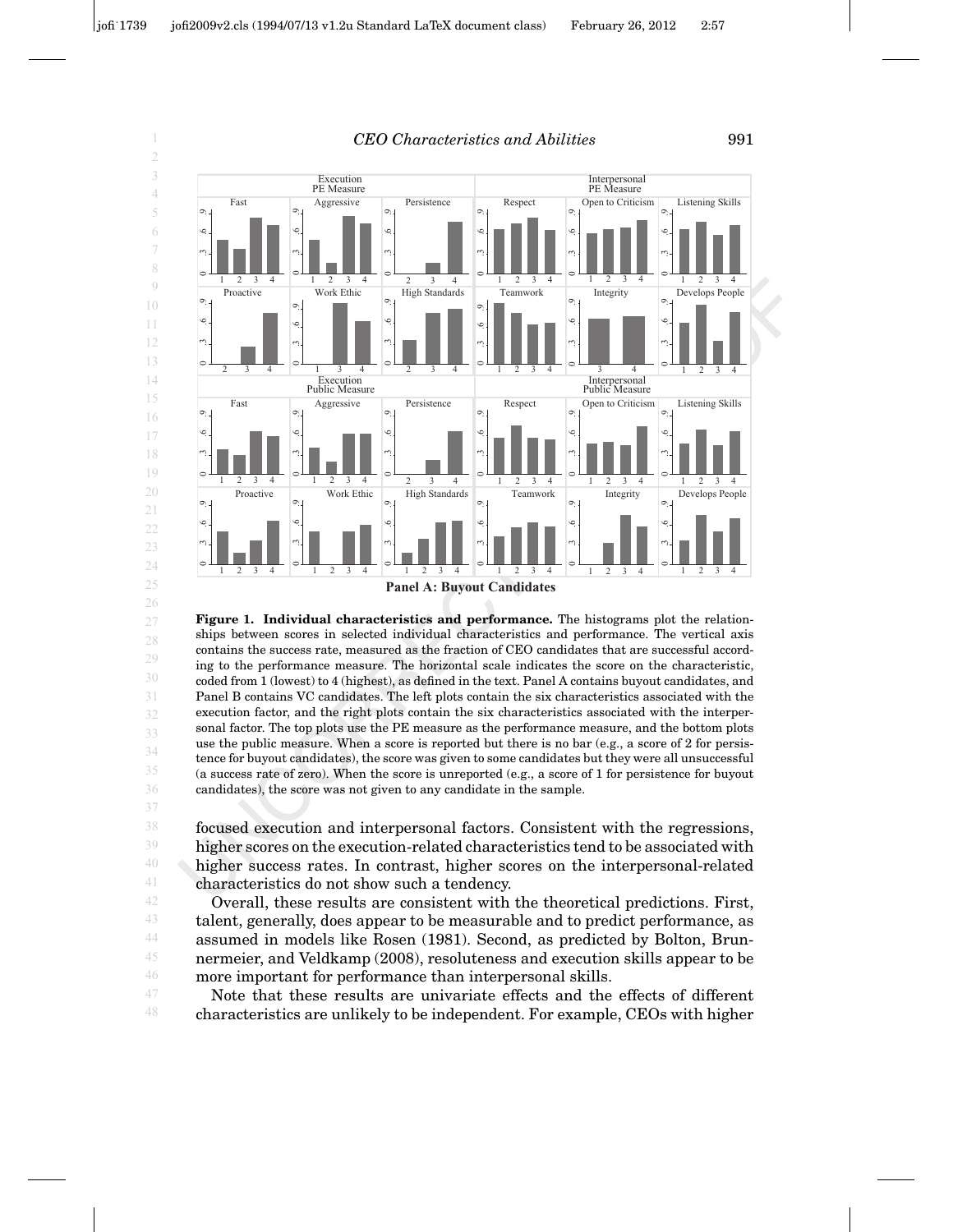41 42 43

45 46

# *CEO Characteristics and Abilities* 991



**Figure 1. Individual characteristics and performance.** The histograms plot the relationships between scores in selected individual characteristics and performance. The vertical axis contains the success rate, measured as the fraction of CEO candidates that are successful according to the performance measure. The horizontal scale indicates the score on the characteristic, coded from 1 (lowest) to 4 (highest), as defined in the text. Panel A contains buyout candidates, and Panel B contains VC candidates. The left plots contain the six characteristics associated with the execution factor, and the right plots contain the six characteristics associated with the interpersonal factor. The top plots use the PE measure as the performance measure, and the bottom plots use the public measure. When a score is reported but there is no bar (e.g., a score of 2 for persistence for buyout candidates), the score was given to some candidates but they were all unsuccessful (a success rate of zero). When the score is unreported (e.g., a score of 1 for persistence for buyout candidates), the score was not given to any candidate in the sample.

focused execution and interpersonal factors. Consistent with the regressions, higher scores on the execution-related characteristics tend to be associated with higher success rates. In contrast, higher scores on the interpersonal-related characteristics do not show such a tendency.

Overall, these results are consistent with the theoretical predictions. First, talent, generally, does appear to be measurable and to predict performance, as assumed in models like Rosen (1981). Second, as predicted by Bolton, Brunnermeier, and Veldkamp (2008), resoluteness and execution skills appear to be more important for performance than interpersonal skills.

47 48 Note that these results are univariate effects and the effects of different characteristics are unlikely to be independent. For example, CEOs with higher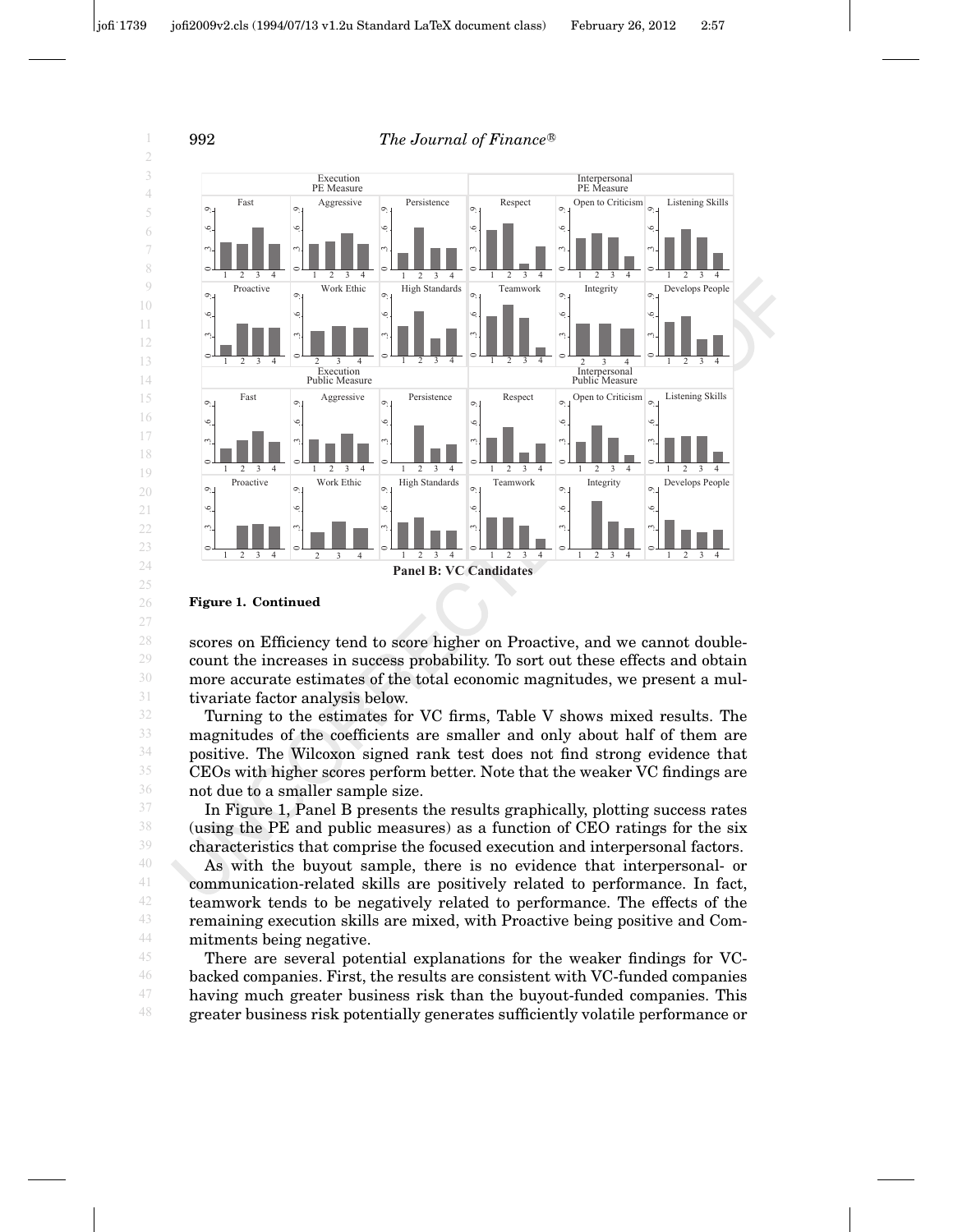

#### **Figure 1. Continued**

1 2

11

13 14 15

17 18

21 22 23

25

27 28 29

33

41 42 43

45

47 48 scores on Efficiency tend to score higher on Proactive, and we cannot doublecount the increases in success probability. To sort out these effects and obtain more accurate estimates of the total economic magnitudes, we present a multivariate factor analysis below.

Turning to the estimates for VC firms, Table V shows mixed results. The magnitudes of the coefficients are smaller and only about half of them are positive. The Wilcoxon signed rank test does not find strong evidence that CEOs with higher scores perform better. Note that the weaker VC findings are not due to a smaller sample size.

In Figure 1, Panel B presents the results graphically, plotting success rates (using the PE and public measures) as a function of CEO ratings for the six characteristics that comprise the focused execution and interpersonal factors.

As with the buyout sample, there is no evidence that interpersonal- or communication-related skills are positively related to performance. In fact, teamwork tends to be negatively related to performance. The effects of the remaining execution skills are mixed, with Proactive being positive and Commitments being negative.

There are several potential explanations for the weaker findings for VCbacked companies. First, the results are consistent with VC-funded companies having much greater business risk than the buyout-funded companies. This greater business risk potentially generates sufficiently volatile performance or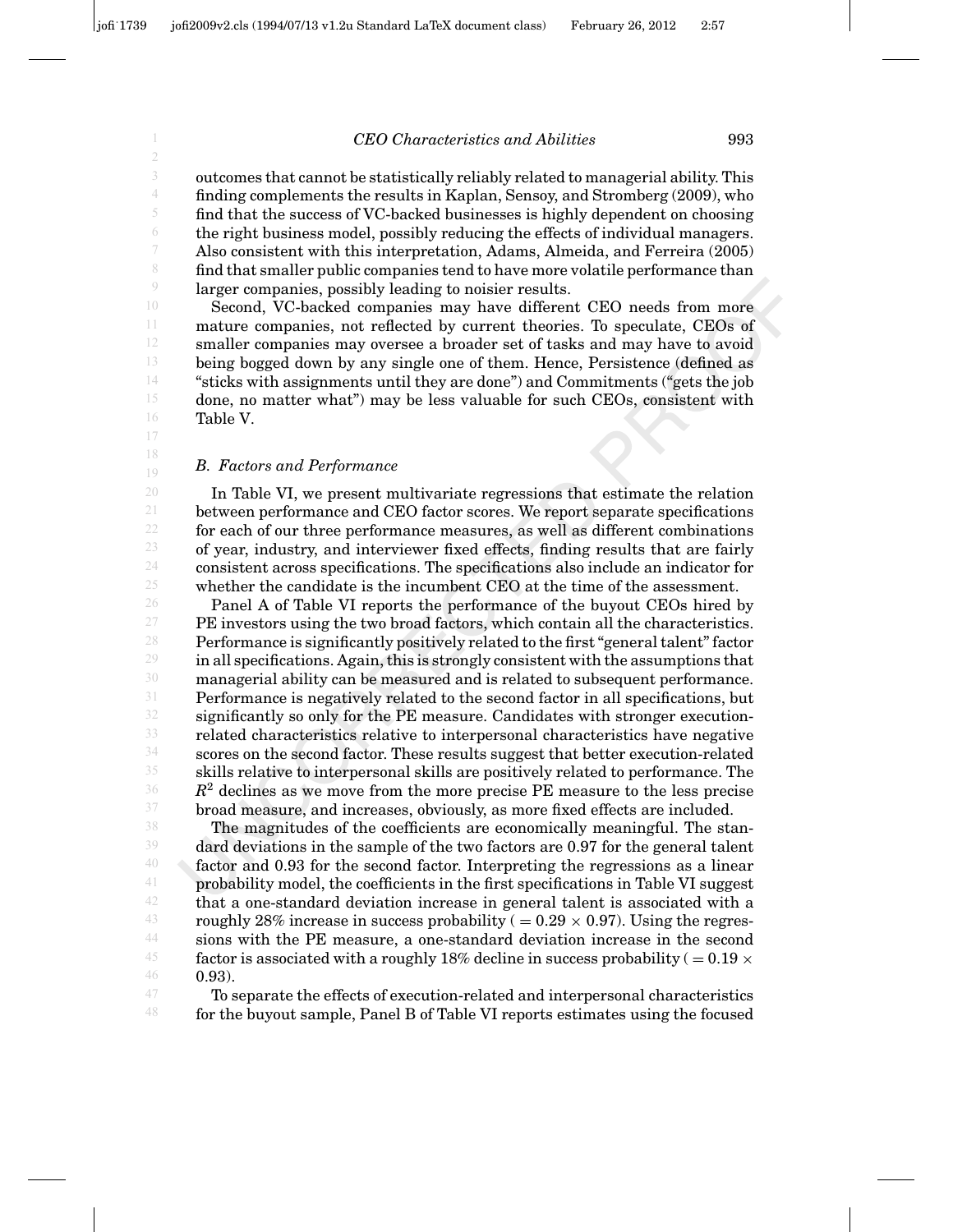outcomes that cannot be statistically reliably related to managerial ability. This finding complements the results in Kaplan, Sensoy, and Stromberg (2009), who find that the success of VC-backed businesses is highly dependent on choosing the right business model, possibly reducing the effects of individual managers. Also consistent with this interpretation, Adams, Almeida, and Ferreira (2005) find that smaller public companies tend to have more volatile performance than larger companies, possibly leading to noisier results.

Second, VC-backed companies may have different CEO needs from more mature companies, not reflected by current theories. To speculate, CEOs of smaller companies may oversee a broader set of tasks and may have to avoid being bogged down by any single one of them. Hence, Persistence (defined as "sticks with assignments until they are done") and Commitments ("gets the job done, no matter what") may be less valuable for such CEOs, consistent with Table V.

# *B. Factors and Performance*

In Table VI, we present multivariate regressions that estimate the relation between performance and CEO factor scores. We report separate specifications for each of our three performance measures, as well as different combinations of year, industry, and interviewer fixed effects, finding results that are fairly consistent across specifications. The specifications also include an indicator for whether the candidate is the incumbent CEO at the time of the assessment.

Panel A of Table VI reports the performance of the buyout CEOs hired by PE investors using the two broad factors, which contain all the characteristics. Performance is significantly positively related to the first "general talent" factor in all specifications. Again, this is strongly consistent with the assumptions that managerial ability can be measured and is related to subsequent performance. Performance is negatively related to the second factor in all specifications, but significantly so only for the PE measure. Candidates with stronger executionrelated characteristics relative to interpersonal characteristics have negative scores on the second factor. These results suggest that better execution-related skills relative to interpersonal skills are positively related to performance. The *R*<sup>2</sup> declines as we move from the more precise PE measure to the less precise broad measure, and increases, obviously, as more fixed effects are included.

The magnitudes of the coefficients are economically meaningful. The standard deviations in the sample of the two factors are 0.97 for the general talent factor and 0.93 for the second factor. Interpreting the regressions as a linear probability model, the coefficients in the first specifications in Table VI suggest that a one-standard deviation increase in general talent is associated with a roughly 28% increase in success probability ( $= 0.29 \times 0.97$ ). Using the regressions with the PE measure, a one-standard deviation increase in the second factor is associated with a roughly 18% decline in success probability ( $= 0.19 \times$ 0.93).

47 48 To separate the effects of execution-related and interpersonal characteristics for the buyout sample, Panel B of Table VI reports estimates using the focused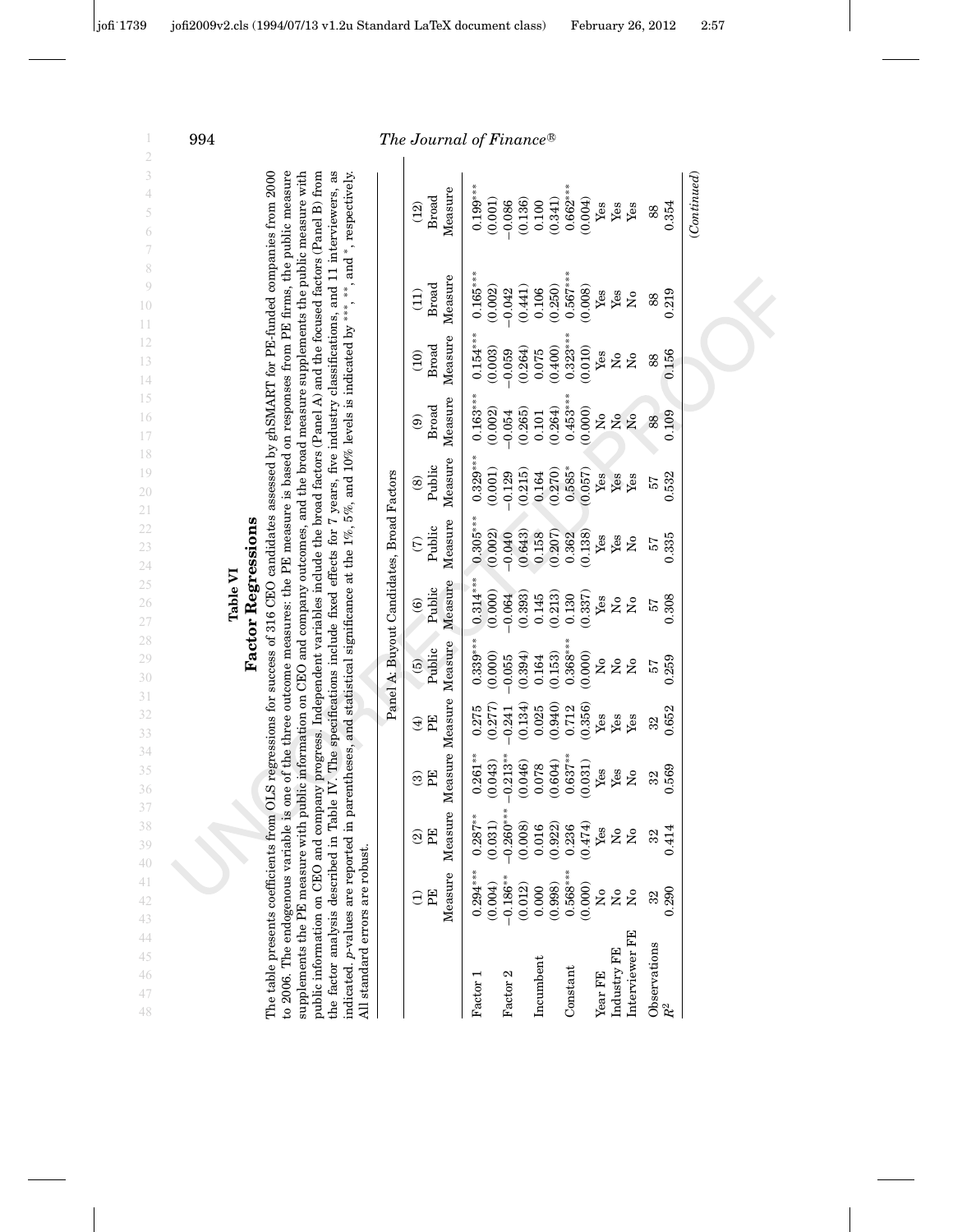# **Table VI Factor Regressions**

the factor analysis described in Table IV. The specifications include fixed effects for 7 years, five industry classifications, and 11 interviewers, as indicated. p-values are reported in parentheses, and statistical sign to 2006. The endogenous variable is one of the three outcome measures: the PE measure is based on responses from PE firms, the public measure supplements the PE measure with public information on CEO and company outcomes, and the broad measure supplements the public measure with The table presents coefficients from OLS regressions for success of 316 CEO candidates assessed by ghSMART for PE-funded companies from 2000 The table presents coefficients from OLS regressions for success of 316 CEO candidates assessed by ghSMART for PE-funded companies from 2000 to 2006. The endogenous variable is one of the three outcome measures: the PE me public information on CEO and company progress. Independent variables include the broad factors (Panel A) and the focused factors (Panel B) from *p*-values are reported in parentheses, and statistical significance at the 1%, 5%, and 10% levels is indicated by <sup>∗∗∗</sup>, \*\*, and \*, respectively. All standard errors are robust. All standard errors are robust.

|                    |                                                                                                                                                                                                                                                                                                                                                                                                                                      |                                                                                                                   |                                                                                                                                                                             |                                                                                                                                                              |                                                                                                                                                                                                                                                                                                       |                                                                                                                                                                                    | Panel A: Buyout Candidates, Broad Factors                                                                                                                                                                                                                                                                                                                                                                                                                                   |                                                                                                                                              |                                                                                                                                                                  |                                                                                                                                                                        |                                                                                                                                                                                                                                                                                                     |                                                                                                                                              |
|--------------------|--------------------------------------------------------------------------------------------------------------------------------------------------------------------------------------------------------------------------------------------------------------------------------------------------------------------------------------------------------------------------------------------------------------------------------------|-------------------------------------------------------------------------------------------------------------------|-----------------------------------------------------------------------------------------------------------------------------------------------------------------------------|--------------------------------------------------------------------------------------------------------------------------------------------------------------|-------------------------------------------------------------------------------------------------------------------------------------------------------------------------------------------------------------------------------------------------------------------------------------------------------|------------------------------------------------------------------------------------------------------------------------------------------------------------------------------------|-----------------------------------------------------------------------------------------------------------------------------------------------------------------------------------------------------------------------------------------------------------------------------------------------------------------------------------------------------------------------------------------------------------------------------------------------------------------------------|----------------------------------------------------------------------------------------------------------------------------------------------|------------------------------------------------------------------------------------------------------------------------------------------------------------------|------------------------------------------------------------------------------------------------------------------------------------------------------------------------|-----------------------------------------------------------------------------------------------------------------------------------------------------------------------------------------------------------------------------------------------------------------------------------------------------|----------------------------------------------------------------------------------------------------------------------------------------------|
|                    | $\mathbb{F}$                                                                                                                                                                                                                                                                                                                                                                                                                         | $\frac{\partial}{\partial E}$                                                                                     | ලි සි                                                                                                                                                                       | (4)<br>空間                                                                                                                                                    | $(5)$<br>Public                                                                                                                                                                                                                                                                                       | (6)<br>Public<br>Measure                                                                                                                                                           | $\begin{array}{l} (7) \\ \text{Public} \\ \text{Measure} \end{array}$                                                                                                                                                                                                                                                                                                                                                                                                       | $\begin{array}{c} (8) \\ \text{Public} \\ \text{Measure} \end{array}$                                                                        | (9)<br>Broad<br>Measure                                                                                                                                          | $(10)$<br>Broad<br>Measure                                                                                                                                             | $\begin{array}{c} {\rm (11)} \\ {\rm Broad} \\ {\rm Measure} \end{array}$                                                                                                                                                                                                                           | $rac{(12)}{\text{Broad}}$<br>Measure                                                                                                         |
|                    | Measure M                                                                                                                                                                                                                                                                                                                                                                                                                            | leasure                                                                                                           | Measure!                                                                                                                                                                    | Measure                                                                                                                                                      | Measure                                                                                                                                                                                                                                                                                               |                                                                                                                                                                                    |                                                                                                                                                                                                                                                                                                                                                                                                                                                                             |                                                                                                                                              |                                                                                                                                                                  |                                                                                                                                                                        |                                                                                                                                                                                                                                                                                                     |                                                                                                                                              |
| actor <sup>1</sup> | $\begin{array}{l} \vspace{2mm} \begin{array}{l} \vspace{2mm} \vspace{2mm} \vspace{2mm} \vspace{2mm} \vspace{2mm} \vspace{2mm} \vspace{2mm} \vspace{2mm} \vspace{2mm} \vspace{2mm} \vspace{2mm} \vspace{2mm} \vspace{2mm} \vspace{2mm} \vspace{2mm} \vspace{2mm} \vspace{2mm} \vspace{2mm} \vspace{2mm} \vspace{2mm} \vspace{2mm} \vspace{2mm} \vspace{2mm} \vspace{2mm} \vspace{2mm} \vspace{2mm} \vspace{2mm} \vspace{2mm} \vspace$ |                                                                                                                   |                                                                                                                                                                             |                                                                                                                                                              |                                                                                                                                                                                                                                                                                                       |                                                                                                                                                                                    |                                                                                                                                                                                                                                                                                                                                                                                                                                                                             |                                                                                                                                              |                                                                                                                                                                  |                                                                                                                                                                        |                                                                                                                                                                                                                                                                                                     |                                                                                                                                              |
|                    |                                                                                                                                                                                                                                                                                                                                                                                                                                      |                                                                                                                   |                                                                                                                                                                             |                                                                                                                                                              |                                                                                                                                                                                                                                                                                                       |                                                                                                                                                                                    |                                                                                                                                                                                                                                                                                                                                                                                                                                                                             |                                                                                                                                              |                                                                                                                                                                  |                                                                                                                                                                        |                                                                                                                                                                                                                                                                                                     |                                                                                                                                              |
| actor 2            |                                                                                                                                                                                                                                                                                                                                                                                                                                      |                                                                                                                   |                                                                                                                                                                             |                                                                                                                                                              |                                                                                                                                                                                                                                                                                                       |                                                                                                                                                                                    |                                                                                                                                                                                                                                                                                                                                                                                                                                                                             |                                                                                                                                              |                                                                                                                                                                  |                                                                                                                                                                        |                                                                                                                                                                                                                                                                                                     |                                                                                                                                              |
|                    |                                                                                                                                                                                                                                                                                                                                                                                                                                      |                                                                                                                   |                                                                                                                                                                             |                                                                                                                                                              |                                                                                                                                                                                                                                                                                                       |                                                                                                                                                                                    |                                                                                                                                                                                                                                                                                                                                                                                                                                                                             |                                                                                                                                              |                                                                                                                                                                  |                                                                                                                                                                        |                                                                                                                                                                                                                                                                                                     |                                                                                                                                              |
| ncumbent           |                                                                                                                                                                                                                                                                                                                                                                                                                                      |                                                                                                                   |                                                                                                                                                                             |                                                                                                                                                              |                                                                                                                                                                                                                                                                                                       |                                                                                                                                                                                    |                                                                                                                                                                                                                                                                                                                                                                                                                                                                             |                                                                                                                                              |                                                                                                                                                                  |                                                                                                                                                                        |                                                                                                                                                                                                                                                                                                     |                                                                                                                                              |
|                    |                                                                                                                                                                                                                                                                                                                                                                                                                                      |                                                                                                                   |                                                                                                                                                                             |                                                                                                                                                              |                                                                                                                                                                                                                                                                                                       |                                                                                                                                                                                    |                                                                                                                                                                                                                                                                                                                                                                                                                                                                             |                                                                                                                                              |                                                                                                                                                                  |                                                                                                                                                                        |                                                                                                                                                                                                                                                                                                     |                                                                                                                                              |
| <b>Constant</b>    |                                                                                                                                                                                                                                                                                                                                                                                                                                      |                                                                                                                   |                                                                                                                                                                             |                                                                                                                                                              |                                                                                                                                                                                                                                                                                                       |                                                                                                                                                                                    |                                                                                                                                                                                                                                                                                                                                                                                                                                                                             |                                                                                                                                              |                                                                                                                                                                  |                                                                                                                                                                        |                                                                                                                                                                                                                                                                                                     |                                                                                                                                              |
|                    |                                                                                                                                                                                                                                                                                                                                                                                                                                      |                                                                                                                   |                                                                                                                                                                             |                                                                                                                                                              |                                                                                                                                                                                                                                                                                                       |                                                                                                                                                                                    |                                                                                                                                                                                                                                                                                                                                                                                                                                                                             |                                                                                                                                              |                                                                                                                                                                  |                                                                                                                                                                        |                                                                                                                                                                                                                                                                                                     |                                                                                                                                              |
| Tear FE            |                                                                                                                                                                                                                                                                                                                                                                                                                                      |                                                                                                                   |                                                                                                                                                                             |                                                                                                                                                              |                                                                                                                                                                                                                                                                                                       |                                                                                                                                                                                    |                                                                                                                                                                                                                                                                                                                                                                                                                                                                             |                                                                                                                                              |                                                                                                                                                                  |                                                                                                                                                                        |                                                                                                                                                                                                                                                                                                     |                                                                                                                                              |
| adustry FE         |                                                                                                                                                                                                                                                                                                                                                                                                                                      |                                                                                                                   |                                                                                                                                                                             |                                                                                                                                                              |                                                                                                                                                                                                                                                                                                       |                                                                                                                                                                                    |                                                                                                                                                                                                                                                                                                                                                                                                                                                                             |                                                                                                                                              |                                                                                                                                                                  |                                                                                                                                                                        |                                                                                                                                                                                                                                                                                                     |                                                                                                                                              |
| nterviewer FE      |                                                                                                                                                                                                                                                                                                                                                                                                                                      | $0.287$<br>$0.031$<br>$0.030$<br>$0.008$<br>$0.008$<br>$0.008$<br>$0.008$<br>$0.008$<br>$0.474$<br>$X_B$<br>$X_B$ | $\begin{array}{l} 0.261^{**} \\ 0.043) \\ 0.040 \\ 0.0466 \\ 0.078 \\ 0.078 \\ 0.031 \\ 0.031 \\ 0.031 \\ 0.031 \\ 0.87^{**} \\ 0.87^{**} \\ 0.031 \\ 0.031 \\ \end{array}$ | $\begin{array}{l} 0.275 \\ 0.277 \\ -0.241 \\ 0.134 \\ 0.026 \\ 0.040 \\ 0.712 \\ 0.036 \\ \text{Yes} \\ \text{Yes} \\ \text{Yes} \\ \text{Yes} \end{array}$ | $\begin{array}{l} 0.339^{**} \\ 0.000 \\ 0.055 \\ 0.055 \\ 0.034 \\ 0.164 \\ 0.053 \\ 0.053 \\ 0.000 \\ 0.000 \\ 0.000 \\ 0.000 \\ 0.000 \\ 0.000 \\ 0.000 \\ 0.000 \\ 0.000 \\ 0.000 \\ 0.000 \\ 0.000 \\ 0.000 \\ 0.000 \\ 0.000 \\ 0.000 \\ 0.000 \\ 0.000 \\ 0.000 \\ 0.000 \\ 0.000 \\ 0.000 \\$ | $(3.314)$<br>$(0.000)$<br>$(0.000)$<br>$(0.000)$<br>$(0.000)$<br>$(0.000)$<br>$(0.000)$<br>$(0.000)$<br>$(0.000)$<br>$(0.000)$<br>$(0.000)$<br>$(0.000)$<br>$(0.000)$<br>$(0.000)$ | $\begin{array}{l} \text{1.30\textwidth} \\ \text{1.30\textwidth} \\ \text{2.30\textwidth} \\ \text{3.30\textwidth} \\ \text{4.30\textwidth} \\ \text{5.30\textwidth} \\ \text{6.30\textwidth} \\ \text{7.30\textwidth} \\ \text{8.30\textwidth} \\ \text{9.30\textwidth} \\ \text{1.30\textwidth} \\ \text{1.30\textwidth} \\ \text{1.30\textwidth} \\ \text{1.30\textwidth} \\ \text{1.30\textwidth} \\ \text{1.30\textwidth} \\ \text{1.30\textwidth} \\ \text{1.30\text$ | $0.329$<br>$0.011$<br>$0.0129$<br>$0.01316$<br>$0.01464$<br>$0.01657$<br>$0.0577$<br>$0.0577$<br>$0.0577$<br>$0.0577$<br>$0.058$<br>$0.0577$ | $\begin{array}{l} 0.163^{**} \ 0.002) \ 0.002 \ 0.054 \ 0.265) \ 0.101 \ 0.101 \ 0.059 \ 0.453^{**} \ 0.000 \ 0.000 \ 0.000 \ 0.000 \ 0.000 \ 0.000 \end{array}$ | $0.154$ **<br>$(0.003)$<br>$(0.003)$<br>$(0.004)$<br>$(0.005)$<br>$(0.006)$<br>$(0.000)$<br>$(0.000)$<br>$(0.000)$<br>$(0.000)$<br>$(0.000)$<br>$(0.000)$<br>$(0.000)$ | $\begin{array}{l} 1.165^{**} \\ 0.062 \\ 0.0141 \\ 0.141 \\ 0.106 \\ 0.028 \\ 0.030 \\ 0.041 \\ 0.008 \\ 0.008 \\ 0.008 \\ 0.008 \\ 0.010 \\ 0.008 \\ 0.019 \\ 0.019 \\ 0.019 \\ 0.019 \\ 0.019 \\ 0.019 \\ 0.019 \\ 0.019 \\ 0.019 \\ 0.019 \\ 0.019 \\ 0.019 \\ 0.019 \\ 0.019 \\ 0.019 \\ 0.019$ | $\begin{array}{l} 0.199^{**}\\ 0.001)\\ 0.006\\ 0.136\\ 0.100\\ 0.004\\ 0.004\\ 0.004\\ 0.004\\ 0.004\\ 0.004\\ 0.035\\ 0.354\\ \end{array}$ |
| <b>bservations</b> | 32                                                                                                                                                                                                                                                                                                                                                                                                                                   |                                                                                                                   |                                                                                                                                                                             |                                                                                                                                                              | 57<br>0.259                                                                                                                                                                                                                                                                                           | 57<br>0.308                                                                                                                                                                        |                                                                                                                                                                                                                                                                                                                                                                                                                                                                             | 57<br>332                                                                                                                                    | 88                                                                                                                                                               | 88                                                                                                                                                                     |                                                                                                                                                                                                                                                                                                     |                                                                                                                                              |
|                    | 0.290                                                                                                                                                                                                                                                                                                                                                                                                                                | 324                                                                                                               |                                                                                                                                                                             | $\frac{32}{0.652}$                                                                                                                                           |                                                                                                                                                                                                                                                                                                       |                                                                                                                                                                                    |                                                                                                                                                                                                                                                                                                                                                                                                                                                                             |                                                                                                                                              | 0.109                                                                                                                                                            | 0.156                                                                                                                                                                  |                                                                                                                                                                                                                                                                                                     |                                                                                                                                              |

(*Continued*)

# *The Journal of Finance*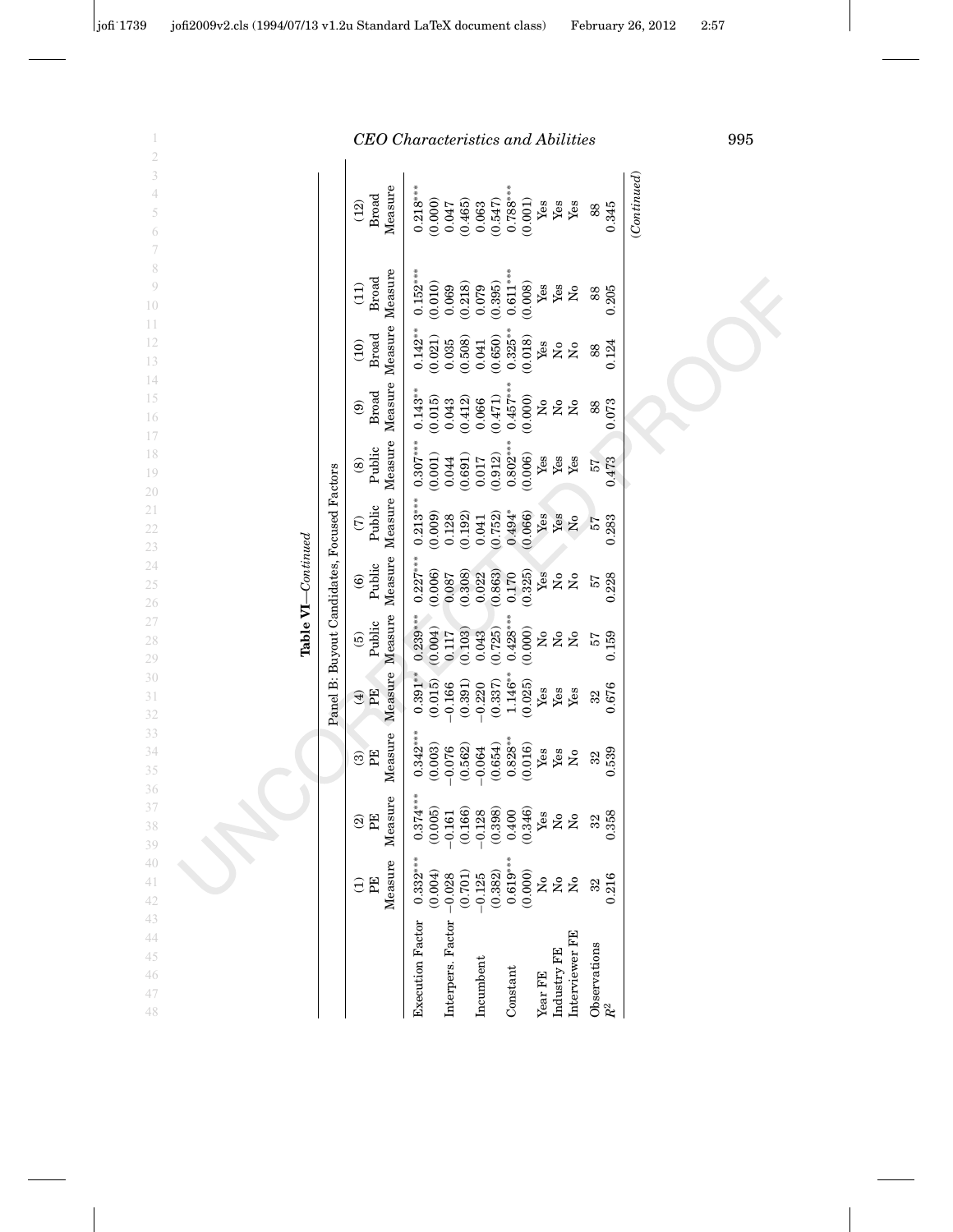|                                    |                    |                                             | <b>CEO</b>                         | Characteristics and Abilities |                                                                                                      |                                                            |                            |                           |                                |                           |              |       |
|------------------------------------|--------------------|---------------------------------------------|------------------------------------|-------------------------------|------------------------------------------------------------------------------------------------------|------------------------------------------------------------|----------------------------|---------------------------|--------------------------------|---------------------------|--------------|-------|
| $\overline{c}$                     |                    |                                             |                                    |                               |                                                                                                      |                                                            |                            |                           |                                |                           |              |       |
| 3                                  |                    |                                             |                                    |                               |                                                                                                      |                                                            |                            |                           |                                |                           |              |       |
| 4                                  |                    |                                             | Measure<br><b>Broad</b><br>(12)    | $0.218***$                    |                                                                                                      |                                                            | $\frac{(0.547)}{0.788***}$ | Yes                       | Yes                            | Yes                       | 88           |       |
| 5<br>6                             |                    |                                             |                                    | (0.000)                       | (0.465)<br>0.047                                                                                     | 0.063                                                      | (0.001)                    |                           |                                |                           |              | 0.345 |
| 7                                  |                    |                                             |                                    |                               |                                                                                                      |                                                            |                            |                           |                                |                           |              |       |
| 8                                  |                    |                                             |                                    |                               |                                                                                                      |                                                            |                            |                           |                                |                           |              |       |
| 9                                  |                    |                                             |                                    |                               |                                                                                                      |                                                            |                            |                           |                                |                           |              |       |
| 10                                 |                    |                                             | Measure<br><b>Broad</b><br>(11)    | $0.152***$                    | $\begin{array}{c} (0.010) \\ 0.069 \end{array}$                                                      | $(0.218)$<br>0.079<br>(0.395)<br>0.611***                  | (0.008)                    | Yes                       | ${\rm Yes}$                    | $\tilde{\mathbf{z}}$      | 88           | 0.205 |
| 11                                 |                    |                                             |                                    |                               |                                                                                                      |                                                            |                            |                           |                                |                           |              |       |
| 12                                 |                    |                                             | Measure<br><b>Broad</b>            | $0.142**$                     |                                                                                                      |                                                            | $0.325***$                 |                           |                                |                           |              |       |
| 13                                 |                    |                                             | $\widehat{E}$                      | (0.021)                       | (0.508)<br>0.035                                                                                     | (0.650)                                                    | (0.018)                    | ${\it Yes}$               | $\mathsf{\hat{z}}$             | $\tilde{\mathbf{z}}$      | 88           | 0.124 |
| 14                                 |                    |                                             |                                    |                               |                                                                                                      |                                                            |                            |                           |                                |                           |              |       |
| 15                                 |                    |                                             | $\odot$                            |                               |                                                                                                      |                                                            |                            | $\mathsf{S}^{\mathsf{o}}$ | $\stackrel{\circ}{\mathbf{Z}}$ | $\tilde{\mathbf{z}}$      | 88           |       |
| 16                                 |                    |                                             | Measure<br><b>Broad</b>            | $0.143**$<br>(0.015)          | 0.043                                                                                                | $\begin{array}{c} (0.412) \\ 0.066 \\ (0.471) \end{array}$ | $0.457***$<br>(0.000)      |                           |                                |                           |              | 0.073 |
| 17                                 |                    |                                             |                                    |                               |                                                                                                      |                                                            |                            |                           |                                |                           |              |       |
| 18                                 |                    |                                             | Public<br>$\circledast$            |                               |                                                                                                      |                                                            | $0.802***$                 |                           | $_{\rm Yes}^{\rm Yes}$         | Yes                       | 57           |       |
| 19                                 |                    |                                             | Measure                            | $0.307***$<br>(0.001)         | (0.691)<br>0.044                                                                                     | $\begin{array}{c} 0.017 \\ 0.912 \end{array}$              | (0.006)                    |                           |                                |                           |              | 0.473 |
| $\overline{20}$                    |                    | Panel B: Buyout Candidates, Focused Factors |                                    |                               |                                                                                                      |                                                            |                            |                           |                                |                           |              |       |
| $\overline{21}$<br>$\overline{22}$ |                    |                                             | Measure<br>Public<br>$\widehat{z}$ | $0.213***$                    | $\begin{array}{c} (0.009) \\ 0.128 \\ (0.192) \end{array}$                                           |                                                            | $0.494*$                   | Yes                       | Yes                            | $\overline{R}$            | 57           |       |
| 23                                 |                    |                                             |                                    |                               |                                                                                                      | $\frac{0.041}{0.752}$                                      | (0.066)                    |                           |                                |                           |              | 0.283 |
| $\overline{24}$                    |                    |                                             |                                    |                               |                                                                                                      |                                                            |                            |                           |                                |                           |              |       |
| 25                                 |                    |                                             | Public<br>$\widehat{\mathbf{e}}$   | $0.227***$                    |                                                                                                      |                                                            |                            | $\mathbf{Yes}$            | $\rm \stackrel{o}{\simeq}$     | $\mathsf{S}^{\mathsf{o}}$ | 57           |       |
| 26                                 | Table VI-Continued |                                             | Measure                            | (0.006)                       | (0.308)<br>0.087                                                                                     | (0.863)<br>0.022                                           | $\frac{0.170}{(0.325)}$    |                           |                                |                           |              | 0.228 |
| 27                                 |                    |                                             |                                    |                               |                                                                                                      |                                                            |                            |                           |                                |                           |              |       |
| 28                                 |                    |                                             | Public<br>$\widetilde{g}$          | $0.239***$<br>(0.004)         | (0.103)<br>0.117                                                                                     | $\frac{0.043}{(0.725)}$                                    | $0.428***$<br>(0.000)      |                           | 2å                             | $\tilde{\mathbf{z}}$      | 57           | 0.159 |
| 29                                 |                    |                                             |                                    |                               |                                                                                                      |                                                            |                            |                           |                                |                           |              |       |
| $30^{\circ}$                       |                    |                                             |                                    |                               |                                                                                                      |                                                            |                            |                           |                                |                           |              |       |
| 31                                 |                    |                                             | PE<br>$\left( 4\right)$            | $0.391**$<br>(0.015)          | (0.391)<br>$-0.166$                                                                                  | (0.337)<br>$-0.220$                                        | $1.146**$<br>(0.025)       | $\mathbf{Yes}$            | ${\rm Yes}$                    | ${\rm Yes}$               | 32           | 0.676 |
| 32                                 |                    |                                             | Measure Measure Measure            |                               |                                                                                                      |                                                            |                            |                           |                                |                           |              |       |
| 33                                 |                    |                                             |                                    |                               |                                                                                                      |                                                            |                            |                           |                                |                           |              |       |
| 34                                 |                    |                                             | EE<br>$\widehat{\mathbf{e}}$       | $0.342***$<br>(0.003)         | (0.562)<br>$-0.076$                                                                                  | (0.654)<br>$-0.064$                                        | $0.828**$<br>(0.016)       | $\mathbf{Yes}$            | $_{\rm X_{\rm CO}}^{\rm ^{56}$ |                           | 32           | 0.539 |
| 35                                 |                    |                                             |                                    |                               |                                                                                                      |                                                            |                            |                           |                                |                           |              |       |
| 36                                 |                    |                                             |                                    |                               |                                                                                                      |                                                            |                            |                           |                                |                           |              |       |
| 37<br>38                           |                    |                                             | Ë<br>$\widehat{\mathcal{O}}$       | $0.374***$                    |                                                                                                      |                                                            |                            | Yes                       | $\mathsf{S}^{\mathsf{o}}$      | $\tilde{\mathbf{z}}$      | 32           | 0.358 |
| 39                                 |                    |                                             | Measure                            |                               | $\begin{array}{c} (0.005) \\ -0.161 \\ (0.166) \\ -0.128 \\ (0.398) \\ 0.400 \\ (0.346) \end{array}$ |                                                            |                            |                           |                                |                           |              |       |
| $40^{\circ}$                       |                    |                                             |                                    |                               |                                                                                                      |                                                            |                            |                           |                                |                           |              |       |
| 41                                 |                    |                                             | Measure<br>Э                       |                               |                                                                                                      |                                                            | $0.619***$                 | å                         | $\mathsf{\overset{o}}$         | $\tilde{\mathbf{z}}$      |              |       |
| 42                                 |                    |                                             | P <sub>E</sub>                     | (0.004)                       | $(0.701)$                                                                                            | (0.382)<br>$-0.125$                                        | (0.000)                    |                           |                                |                           |              | 0.216 |
| 43                                 |                    |                                             |                                    | Execution Factor 0.332***     | Interpers. Factor -0.028                                                                             |                                                            |                            |                           |                                |                           |              |       |
| 44                                 |                    |                                             |                                    |                               |                                                                                                      |                                                            |                            |                           |                                |                           |              |       |
| 45                                 |                    |                                             |                                    |                               |                                                                                                      |                                                            |                            |                           |                                | Interviewer FE            | Observations |       |
| 46                                 |                    |                                             |                                    |                               |                                                                                                      |                                                            |                            |                           |                                |                           |              |       |
| 47                                 |                    |                                             |                                    |                               |                                                                                                      | Incumbent                                                  | Constant                   | Year FE                   | Industry FE                    |                           |              |       |
| 48                                 |                    |                                             |                                    |                               |                                                                                                      |                                                            |                            |                           |                                |                           |              | $R^2$ |

*CEO Characteristics and Abilities* 995

 $(Continued) % \begin{center} \includegraphics[width=0.6\textwidth]{figures/cdf} \end{center} % \vspace{-1em} \caption{The first two different values of the parameter $\mathcal{M}_1$-error of the parameter $\mathcal{M}_2$-error of the parameter $\mathcal{M}_1$-error of the parameter $\mathcal{M}_2$-error of the parameter $\mathcal{M}_1$-error of the parameter $\mathcal{M}_2$-error of the parameter $\mathcal{M}_1$-error of the parameter $\mathcal{M}_2$-error of the parameter $\mathcal{M}_1$-error of the parameter $\mathcal{M}_2$-error of the parameter $\mathcal{M}_1$-error of the parameter $\mathcal{M}_2$-error of the parameter $\mathcal{M}_1$-error of the parameter$ (*Continued*)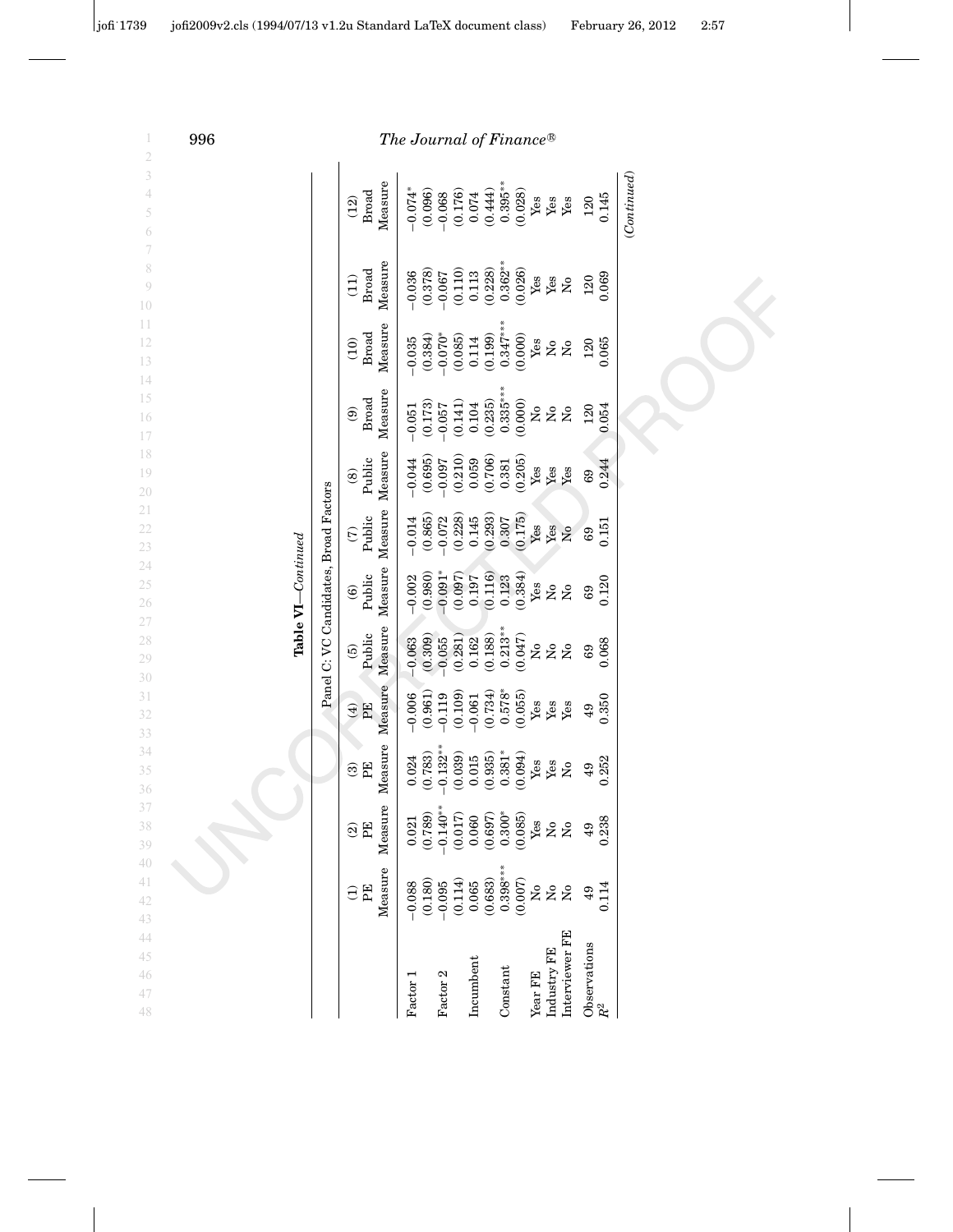**The Journal of Finance** 

|                                          |                                                                                                                               |                                                              |                                                    |                                 |                                      | Table VI-Continued                                           |                                       |                                    |                                                                                        |                                                                                    |                                               |                                   |
|------------------------------------------|-------------------------------------------------------------------------------------------------------------------------------|--------------------------------------------------------------|----------------------------------------------------|---------------------------------|--------------------------------------|--------------------------------------------------------------|---------------------------------------|------------------------------------|----------------------------------------------------------------------------------------|------------------------------------------------------------------------------------|-----------------------------------------------|-----------------------------------|
|                                          |                                                                                                                               |                                                              |                                                    |                                 |                                      | Panel C: VC Candidates, Broad Factors                        |                                       |                                    |                                                                                        |                                                                                    |                                               |                                   |
|                                          | Measure<br>E<br>$\widehat{\Xi}$                                                                                               | Measure<br>EE<br>$\widehat{\mathfrak{D}}$                    | Measure<br>EE<br>$\odot$                           | Measure<br>ΕE<br>$\overline{4}$ | Measure<br>Public<br>$\widetilde{G}$ | Measure<br>Public<br>$\odot$                                 | Measure<br>Public<br>$\mathfrak{S}$   | Measure<br>Public<br>$\circledast$ | Measure<br>Broad<br>$\odot$                                                            | Measure<br><b>Broad</b><br>(10)                                                    | Measure<br>Broad<br>$\overline{1}$            | Measure<br><b>Broad</b><br>(12)   |
| Factor 1                                 | $-0.088$                                                                                                                      | (0.789)<br>0.021                                             | (0.783)<br>0.024                                   | (0.961)<br>$-0.006$             | (0.309)<br>$-0.063$                  | (0.980)<br>$-0.002$                                          | (0.865)<br>$-0.014$                   | (0.695)<br>$-0.044$                | (0.173)<br>$-0.051$                                                                    | (0.384)<br>$-0.035$                                                                | (0.378)<br>$-0.036$                           | $-0.074*$<br>(0.096)              |
| Factor 2                                 |                                                                                                                               | $-0.140**$<br>(0.017)                                        | $-0.132**$<br>(0.039)                              | (0.109)<br>$-0.119$             | (0.281)                              | $-0.091*$<br>(0.097)                                         | (0.228)<br>$-0.072$                   | (0.210)<br>$-0.097$                | (0.141)<br>$-0.057$                                                                    | $-0.070*$<br>(0.085)                                                               | (0.110)<br>$-0.067$                           | (0.176)<br>$-0.068$               |
| Incumbent                                |                                                                                                                               | (0.697)<br>0.060                                             | (0.935)<br>0.015                                   | (0.734)<br>$-0.061$             | $\frac{0.162}{(0.188)}$              | (0.116)<br>0.197                                             | $\frac{0.145}{(0.293)}$               | (0.706)<br>0.059                   | (0.235)<br>0.104                                                                       | (0.199)<br>0.114                                                                   | (0.228)<br>0.113                              | (0.444)<br>0.074                  |
| Constant                                 | $\begin{array}{c} (0.180) \\ -0.095 \\ (0.114) \\ 0.665 \\ 0.063) \\ 0.938^{***} \\ (0.0308^{***}) \\ (0.007) \\ \end{array}$ | $0.300*$<br>(0.085)                                          | $0.381*$<br>(0.094)                                | $0.578*$<br>(0.055)             | $0.213**$<br>(0.047)                 | (0.123)                                                      | (0.175)<br>0.307                      | (0.205)<br>0.381                   | $0.335***$<br>(0.000)                                                                  | $0.347***$<br>(0.000)                                                              | $0.362**$<br>(0.026)                          | $0.395***$<br>(0.028)             |
| Interviewer FE<br>Industry FE<br>Year FE | $\overline{X}$<br>2 å                                                                                                         | Yes<br>$\rm \stackrel{\circ}{\rm X}$<br>$\tilde{\mathbf{z}}$ | $\mathbf{Yes}$<br>Yes<br>$\mathsf{S}^{\mathsf{o}}$ | ${\rm Yes}$<br>Yes<br>Yes       | 2g<br>$\tilde{Z}$                    | $\mathbf{Yes}$<br>$\mathsf{\hat{z}}$<br>$\tilde{\mathbf{z}}$ | Yes<br>Yes<br>$\overline{\mathsf{x}}$ | Yes<br>Yes<br>Yes                  | $\mathsf{S}^{\mathsf{o}}$<br>$\rm \stackrel{\circ}{\rm \bf Z}$<br>$\tilde{\mathbf{X}}$ | $\operatorname{\mathsf{Yes}}$<br>$\mathsf{S}^{\mathsf{o}}$<br>$\tilde{\mathbf{z}}$ | $\rm Yes$<br>Yes<br>$\mathsf{S}^{\mathsf{o}}$ | ${\it Yes}$<br>${\rm Yes}$<br>Yes |
| Observations<br>$\mathbb{R}^2$           | 0.114<br>49                                                                                                                   | 0.238<br>49                                                  | 0.252<br>49                                        | 0.350<br>49                     | 0.068<br>69                          | 0.120<br>69                                                  | 0.151<br>69                           | 0.244<br>69                        | 0.054<br>120                                                                           | 0.065<br>120                                                                       | 0.069<br>120                                  | 0.145<br>120                      |
|                                          |                                                                                                                               |                                                              |                                                    |                                 |                                      |                                                              |                                       |                                    |                                                                                        |                                                                                    |                                               | (Continued)                       |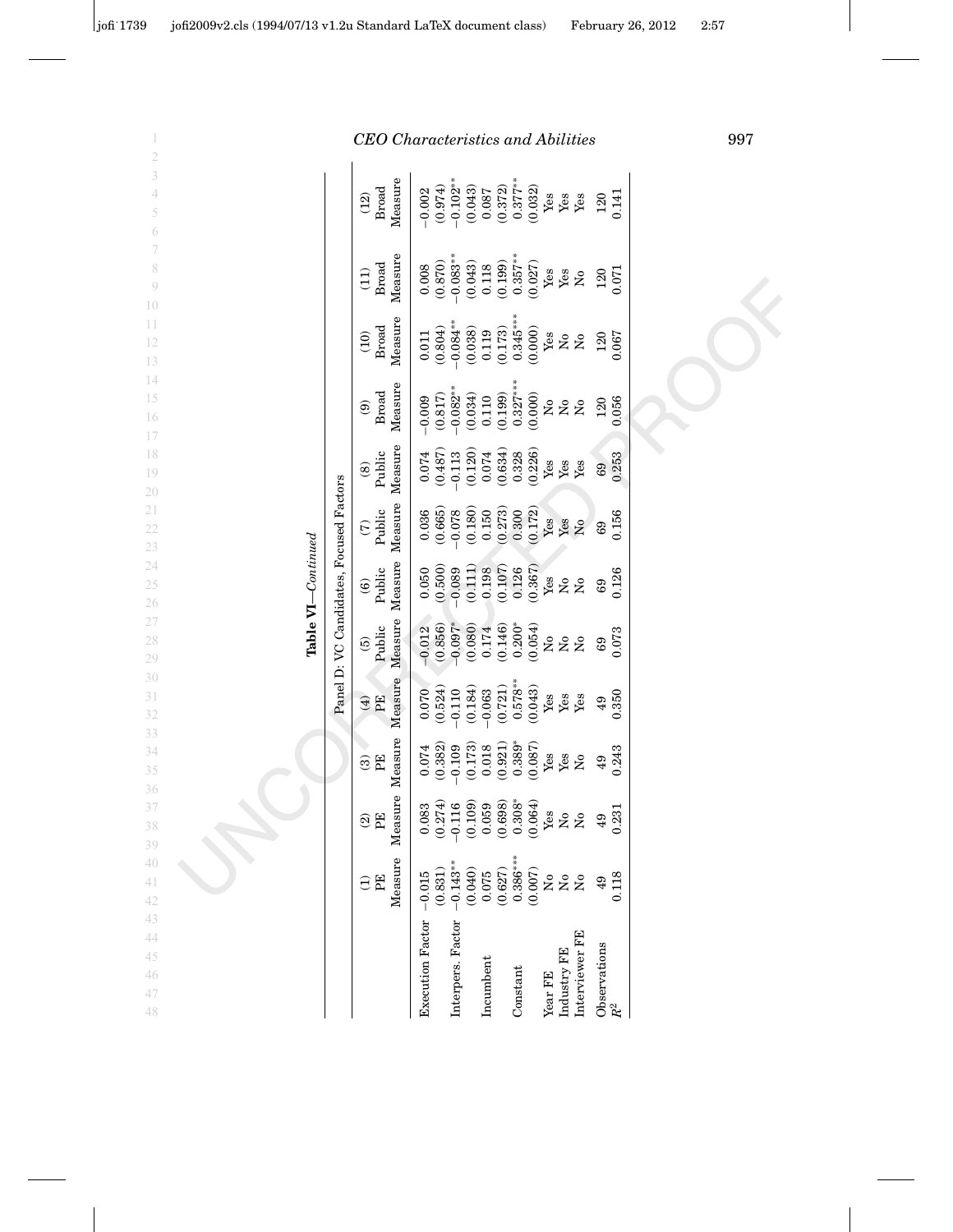|                    |                                         | Measure<br><b>Broad</b><br>(12)                   | (0.974)<br>$-0.002$     | $-0.102**$<br>(0.043)                                                                | (0.372)<br>0.087    | $0.377***$<br>(0.032)                                                                                                                                                                                                                                                                                                                                                                                                | $_{\rm Yes}^{\rm Yes}$        | $\mathbf{Yes}$                                              | 0.141<br>120                |  |
|--------------------|-----------------------------------------|---------------------------------------------------|-------------------------|--------------------------------------------------------------------------------------|---------------------|----------------------------------------------------------------------------------------------------------------------------------------------------------------------------------------------------------------------------------------------------------------------------------------------------------------------------------------------------------------------------------------------------------------------|-------------------------------|-------------------------------------------------------------|-----------------------------|--|
|                    |                                         | Measure<br><b>Broad</b><br>$\left(11\right)$      | (0.870)<br>0.008        | $-0.083**$<br>(0.043)                                                                | (0.199)<br>0.118    | $0.357***$<br>(0.027)                                                                                                                                                                                                                                                                                                                                                                                                | ${\bf Yes}$                   | $\mathbf{Yes}$<br>$\mathsf{S}^{\mathsf{o}}$                 | 0.071<br>120                |  |
|                    |                                         | Measure<br>Broad<br>(10)                          |                         | $\begin{array}{c} 0.011 \\ (0.804) \\ -0.084^{**} \\ (0.038) \end{array}$            | (0.173)<br>0.119    | $0.345***$<br>(0.000)                                                                                                                                                                                                                                                                                                                                                                                                | $_{\rm Yes}^{\rm Yes}$        | $\rm \stackrel{\circ}{\rm X}$                               | 120<br>0.067                |  |
|                    |                                         | Measure<br><b>Broad</b><br>$\odot$                | $-0.009$                | $(0.817)$<br>-0.082**<br>(0.034)                                                     | (0.199)<br>0.110    | $0.327***$<br>(0.000)                                                                                                                                                                                                                                                                                                                                                                                                | 2g                            | $\stackrel{\circ}{\mathbf{Z}}$                              | 0.056<br>120                |  |
|                    |                                         | Measure<br>Public<br>$\circledast$                | (0.487)<br>0.074        | (0.120)<br>$-0.113$                                                                  | (0.634)<br>0.074    | (0.226)<br>0.328                                                                                                                                                                                                                                                                                                                                                                                                     | Yes                           | $\gamma_{\rm{es}}$<br>$\rm Yes$                             | 0.253<br>69                 |  |
|                    |                                         | Measure<br>Public<br>$\epsilon$                   | 0.036                   | $\begin{array}{c} (0.665) \\ -0.078 \\ (0.180) \end{array}$                          | (0.273)<br>0.150    | (0.172)<br>0.300                                                                                                                                                                                                                                                                                                                                                                                                     | Yes                           | Yes<br>$\mathsf{N}_0$                                       | 0.156<br>69                 |  |
| Table VI-Continued |                                         | Measure<br>Public<br>$\mathbf{e}$                 | (0.500)<br>0.050        | (0.111)<br>$-0.089$                                                                  | (0.107)<br>0.198    | (0.367)<br>0.126                                                                                                                                                                                                                                                                                                                                                                                                     | Yes                           | $\stackrel{\circ}{\mathsf{Z}}$<br>$\rm \stackrel{\circ}{X}$ | 0.126<br>69                 |  |
|                    | Panel D: VC Candidates, Focused Factors | Measure<br>Public<br>$\widetilde{g}$              | (0.856)<br>$-0.012$     | $-0.097*$<br>(0.080)                                                                 | (0.146)<br>0.174    | $0.200*$<br>(0.054)                                                                                                                                                                                                                                                                                                                                                                                                  | 2å                            | $\stackrel{\circ}{\rm X}$                                   | 0.073<br>69                 |  |
|                    |                                         | Measure<br>E<br>$\bigoplus$                       | (0.524)<br>0.070        | (0.184)<br>$-0.110$                                                                  | (0.721)<br>$-0.063$ | $0.578**$<br>(0.043)                                                                                                                                                                                                                                                                                                                                                                                                 | $\operatorname{\mathsf{Yes}}$ | ${\rm Yes}$<br>$Y$ es                                       | 0.350<br>49                 |  |
|                    |                                         | Measure<br>FE<br>$\widehat{\mathbf{e}}$           | (0.382)<br>0.074        | (0.173)<br>$-0.109$                                                                  | (0.921)<br>0.018    | $0.389*$<br>(0.087)                                                                                                                                                                                                                                                                                                                                                                                                  | $\operatorname{Yes}$          | $\mathbf{Yes}$<br>$\tilde{z}$                               | 0.243<br>49                 |  |
|                    |                                         | Measure<br>E<br>$\widehat{\mathfrak{D}}$          | (0.274)<br>0.083        | (0.109)<br>$-0.116$                                                                  | (0.698)<br>0.059    | $0.308^\ast$<br>(0.064)                                                                                                                                                                                                                                                                                                                                                                                              | Yes                           | $\mathring{z}$<br>$\rm \stackrel{\circ}{X}$                 | 0.231<br>49                 |  |
|                    |                                         | Measure<br>$\mathbb{F}^{\mathbb{E}}$<br>$\ominus$ |                         | $-0.015$<br>$(0.831)$<br>$-0.143**$<br>$-0.143**$<br>$(0.040)$<br>$0.075$<br>$0.027$ |                     | $\overset{0.386***}{0.386***} \ \overset{0.007}{\times} \overset{0.007}{\times} \overset{0.007}{\times} \overset{0.007}{\times} \overset{0.007}{\times} \overset{0.007}{\times} \overset{0.007}{\times} \overset{0.007}{\times} \overset{0.007}{\times} \overset{0.007}{\times} \overset{0.007}{\times} \overset{0.007}{\times} \overset{0.007}{\times} \overset{0.007}{\times} \overset{0.007}{\times} \overset{0.$ |                               |                                                             | 0.118<br>49                 |  |
|                    |                                         |                                                   | <b>Execution Factor</b> | Interpers. Factor                                                                    | Incumbent           | Constant                                                                                                                                                                                                                                                                                                                                                                                                             | Year FE                       | Interviewer FE<br>Industry FE                               | Observations $\mathbb{R}^2$ |  |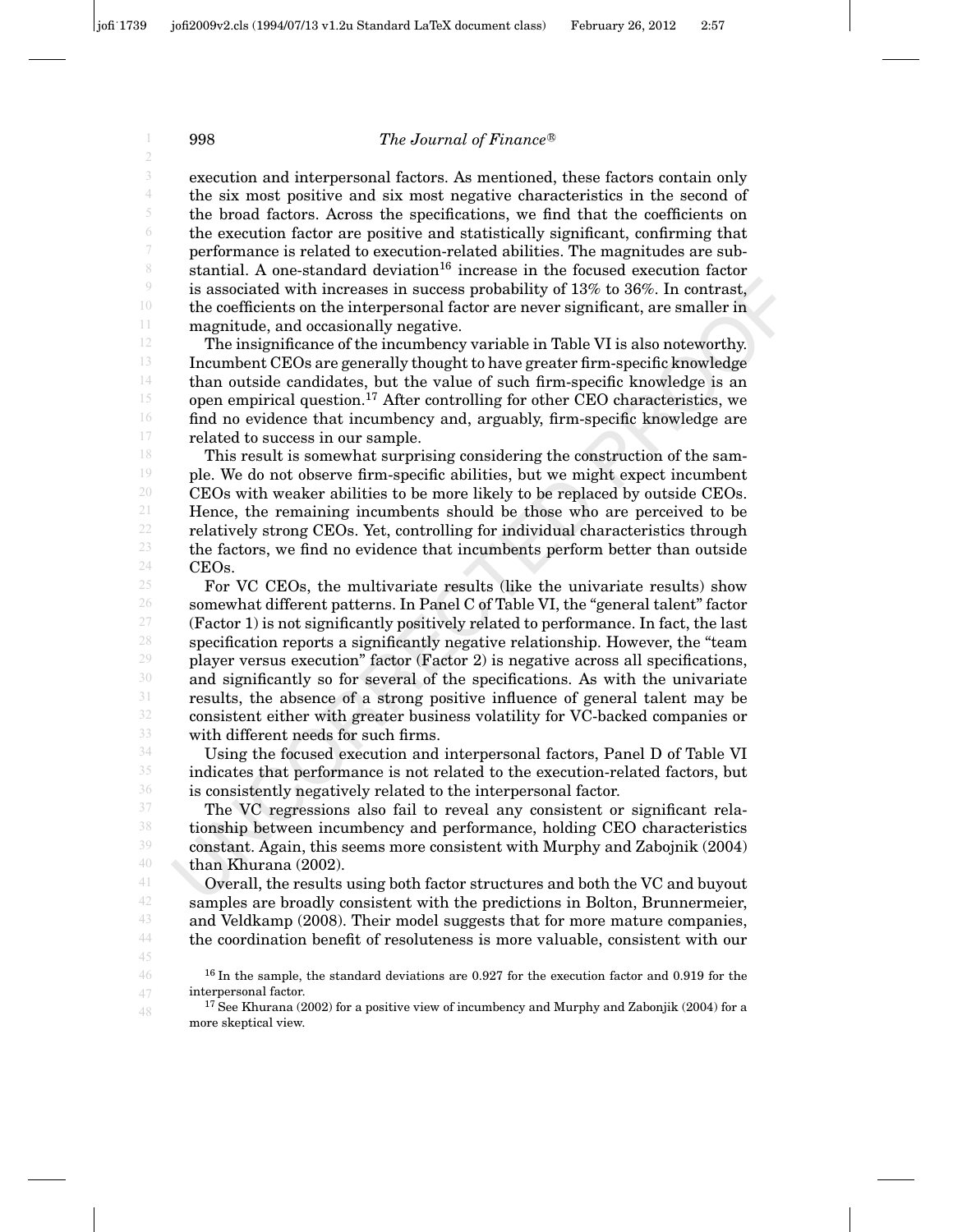# 998 *The Journal of Finance*

execution and interpersonal factors. As mentioned, these factors contain only the six most positive and six most negative characteristics in the second of the broad factors. Across the specifications, we find that the coefficients on the execution factor are positive and statistically significant, confirming that performance is related to execution-related abilities. The magnitudes are substantial. A one-standard deviation<sup>16</sup> increase in the focused execution factor is associated with increases in success probability of 13% to 36%. In contrast, the coefficients on the interpersonal factor are never significant, are smaller in magnitude, and occasionally negative.

The insignificance of the incumbency variable in Table VI is also noteworthy. Incumbent CEOs are generally thought to have greater firm-specific knowledge than outside candidates, but the value of such firm-specific knowledge is an open empirical question.<sup>17</sup> After controlling for other CEO characteristics, we find no evidence that incumbency and, arguably, firm-specific knowledge are related to success in our sample.

This result is somewhat surprising considering the construction of the sample. We do not observe firm-specific abilities, but we might expect incumbent CEOs with weaker abilities to be more likely to be replaced by outside CEOs. Hence, the remaining incumbents should be those who are perceived to be relatively strong CEOs. Yet, controlling for individual characteristics through the factors, we find no evidence that incumbents perform better than outside CEOs.

For VC CEOs, the multivariate results (like the univariate results) show somewhat different patterns. In Panel C of Table VI, the "general talent" factor (Factor 1) is not significantly positively related to performance. In fact, the last specification reports a significantly negative relationship. However, the "team player versus execution" factor (Factor 2) is negative across all specifications, and significantly so for several of the specifications. As with the univariate results, the absence of a strong positive influence of general talent may be consistent either with greater business volatility for VC-backed companies or with different needs for such firms.

Using the focused execution and interpersonal factors, Panel D of Table VI indicates that performance is not related to the execution-related factors, but is consistently negatively related to the interpersonal factor.

The VC regressions also fail to reveal any consistent or significant relationship between incumbency and performance, holding CEO characteristics constant. Again, this seems more consistent with Murphy and Zabojnik (2004) than Khurana (2002).

Overall, the results using both factor structures and both the VC and buyout samples are broadly consistent with the predictions in Bolton, Brunnermeier, and Veldkamp (2008). Their model suggests that for more mature companies, the coordination benefit of resoluteness is more valuable, consistent with our

45 46

47 48

41 42 43

> <sup>16</sup> In the sample, the standard deviations are 0.927 for the execution factor and 0.919 for the interpersonal factor.

> <sup>17</sup> See Khurana (2002) for a positive view of incumbency and Murphy and Zabonjik (2004) for a more skeptical view.

1 2

27 28 29

33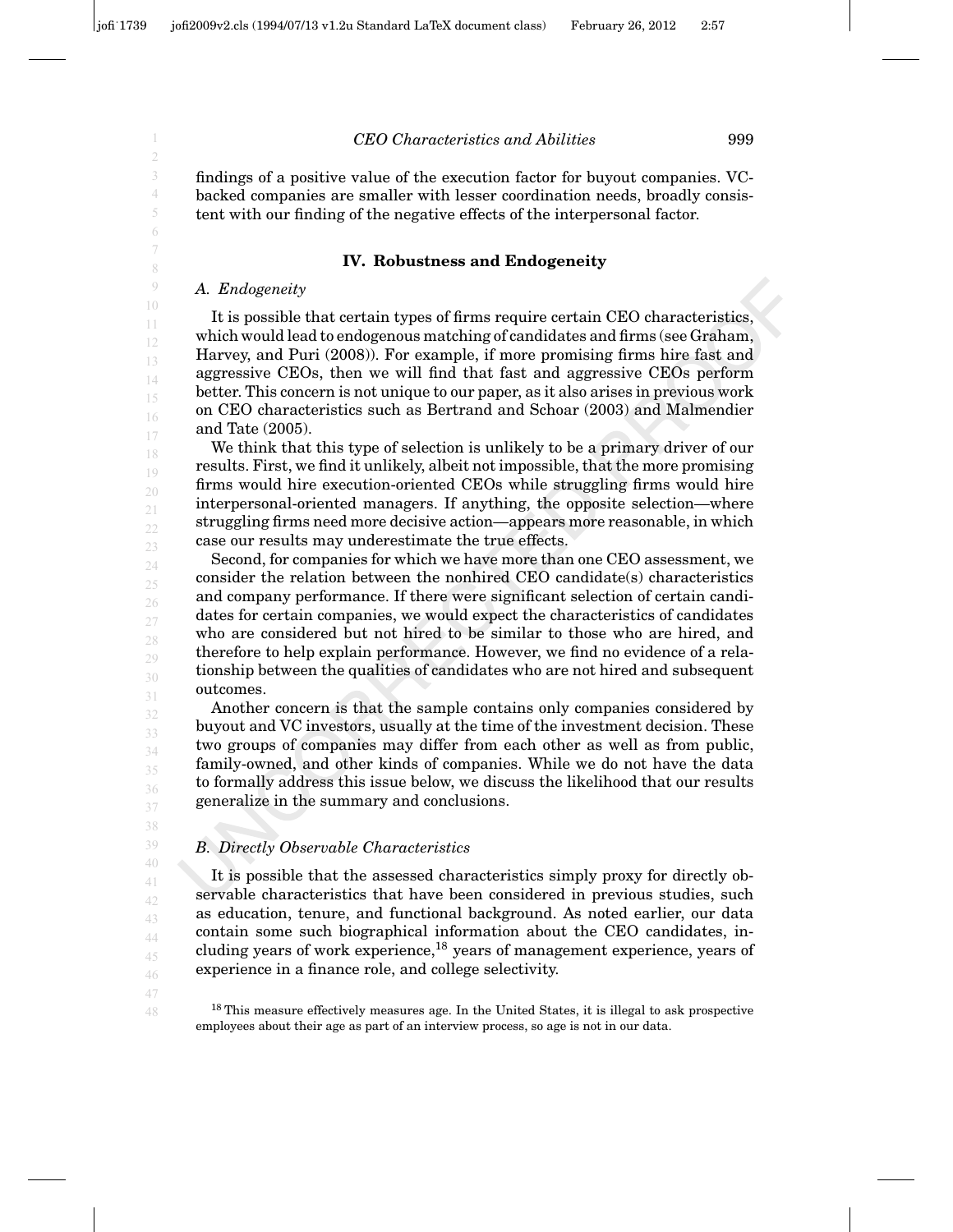findings of a positive value of the execution factor for buyout companies. VCbacked companies are smaller with lesser coordination needs, broadly consistent with our finding of the negative effects of the interpersonal factor.

#### **IV. Robustness and Endogeneity**

#### *A. Endogeneity*

It is possible that certain types of firms require certain CEO characteristics, which would lead to endogenous matching of candidates and firms (see Graham, Harvey, and Puri (2008)). For example, if more promising firms hire fast and aggressive CEOs, then we will find that fast and aggressive CEOs perform better. This concern is not unique to our paper, as it also arises in previous work on CEO characteristics such as Bertrand and Schoar (2003) and Malmendier and Tate (2005).

We think that this type of selection is unlikely to be a primary driver of our results. First, we find it unlikely, albeit not impossible, that the more promising firms would hire execution-oriented CEOs while struggling firms would hire interpersonal-oriented managers. If anything, the opposite selection—where struggling firms need more decisive action—appears more reasonable, in which case our results may underestimate the true effects.

Second, for companies for which we have more than one CEO assessment, we consider the relation between the nonhired CEO candidate(s) characteristics and company performance. If there were significant selection of certain candidates for certain companies, we would expect the characteristics of candidates who are considered but not hired to be similar to those who are hired, and therefore to help explain performance. However, we find no evidence of a relationship between the qualities of candidates who are not hired and subsequent outcomes.

Another concern is that the sample contains only companies considered by buyout and VC investors, usually at the time of the investment decision. These two groups of companies may differ from each other as well as from public, family-owned, and other kinds of companies. While we do not have the data to formally address this issue below, we discuss the likelihood that our results generalize in the summary and conclusions.

# *B. Directly Observable Characteristics*

It is possible that the assessed characteristics simply proxy for directly observable characteristics that have been considered in previous studies, such as education, tenure, and functional background. As noted earlier, our data contain some such biographical information about the CEO candidates, including years of work experience,  $^{18}$  years of management experience, years of experience in a finance role, and college selectivity.

47 48

45

<sup>&</sup>lt;sup>18</sup> This measure effectively measures age. In the United States, it is illegal to ask prospective employees about their age as part of an interview process, so age is not in our data.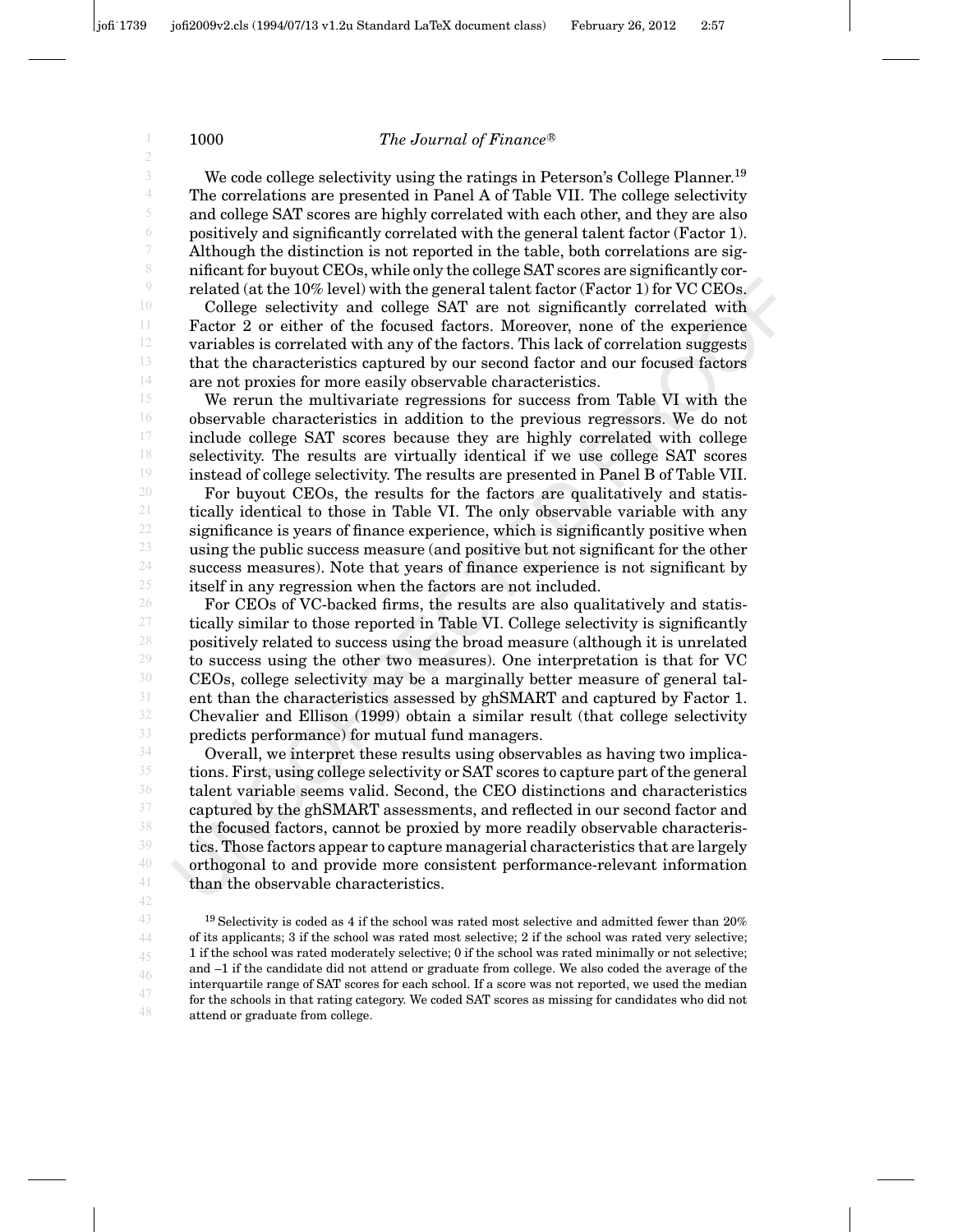#### 1000 **The Journal of Finance**<sup>®</sup>

We code college selectivity using the ratings in Peterson's College Planner.<sup>19</sup> The correlations are presented in Panel A of Table VII. The college selectivity and college SAT scores are highly correlated with each other, and they are also positively and significantly correlated with the general talent factor (Factor 1). Although the distinction is not reported in the table, both correlations are significant for buyout CEOs, while only the college SAT scores are significantly correlated (at the 10% level) with the general talent factor (Factor 1) for VC CEOs.

College selectivity and college SAT are not significantly correlated with Factor 2 or either of the focused factors. Moreover, none of the experience variables is correlated with any of the factors. This lack of correlation suggests that the characteristics captured by our second factor and our focused factors are not proxies for more easily observable characteristics.

We rerun the multivariate regressions for success from Table VI with the observable characteristics in addition to the previous regressors. We do not include college SAT scores because they are highly correlated with college selectivity. The results are virtually identical if we use college SAT scores instead of college selectivity. The results are presented in Panel B of Table VII.

21 22 23 24 25 For buyout CEOs, the results for the factors are qualitatively and statistically identical to those in Table VI. The only observable variable with any significance is years of finance experience, which is significantly positive when using the public success measure (and positive but not significant for the other success measures). Note that years of finance experience is not significant by itself in any regression when the factors are not included.

27 28 29 For CEOs of VC-backed firms, the results are also qualitatively and statistically similar to those reported in Table VI. College selectivity is significantly positively related to success using the broad measure (although it is unrelated to success using the other two measures). One interpretation is that for VC CEOs, college selectivity may be a marginally better measure of general talent than the characteristics assessed by ghSMART and captured by Factor 1. Chevalier and Ellison (1999) obtain a similar result (that college selectivity predicts performance) for mutual fund managers.

Overall, we interpret these results using observables as having two implications. First, using college selectivity or SAT scores to capture part of the general talent variable seems valid. Second, the CEO distinctions and characteristics captured by the ghSMART assessments, and reflected in our second factor and the focused factors, cannot be proxied by more readily observable characteristics. Those factors appear to capture managerial characteristics that are largely orthogonal to and provide more consistent performance-relevant information than the observable characteristics.

41 42 43

33

> $^{19}$  Selectivity is coded as 4 if the school was rated most selective and admitted fewer than  $20\%$ of its applicants; 3 if the school was rated most selective; 2 if the school was rated very selective; 1 if the school was rated moderately selective; 0 if the school was rated minimally or not selective; and –1 if the candidate did not attend or graduate from college. We also coded the average of the interquartile range of SAT scores for each school. If a score was not reported, we used the median for the schools in that rating category. We coded SAT scores as missing for candidates who did not attend or graduate from college.

1 2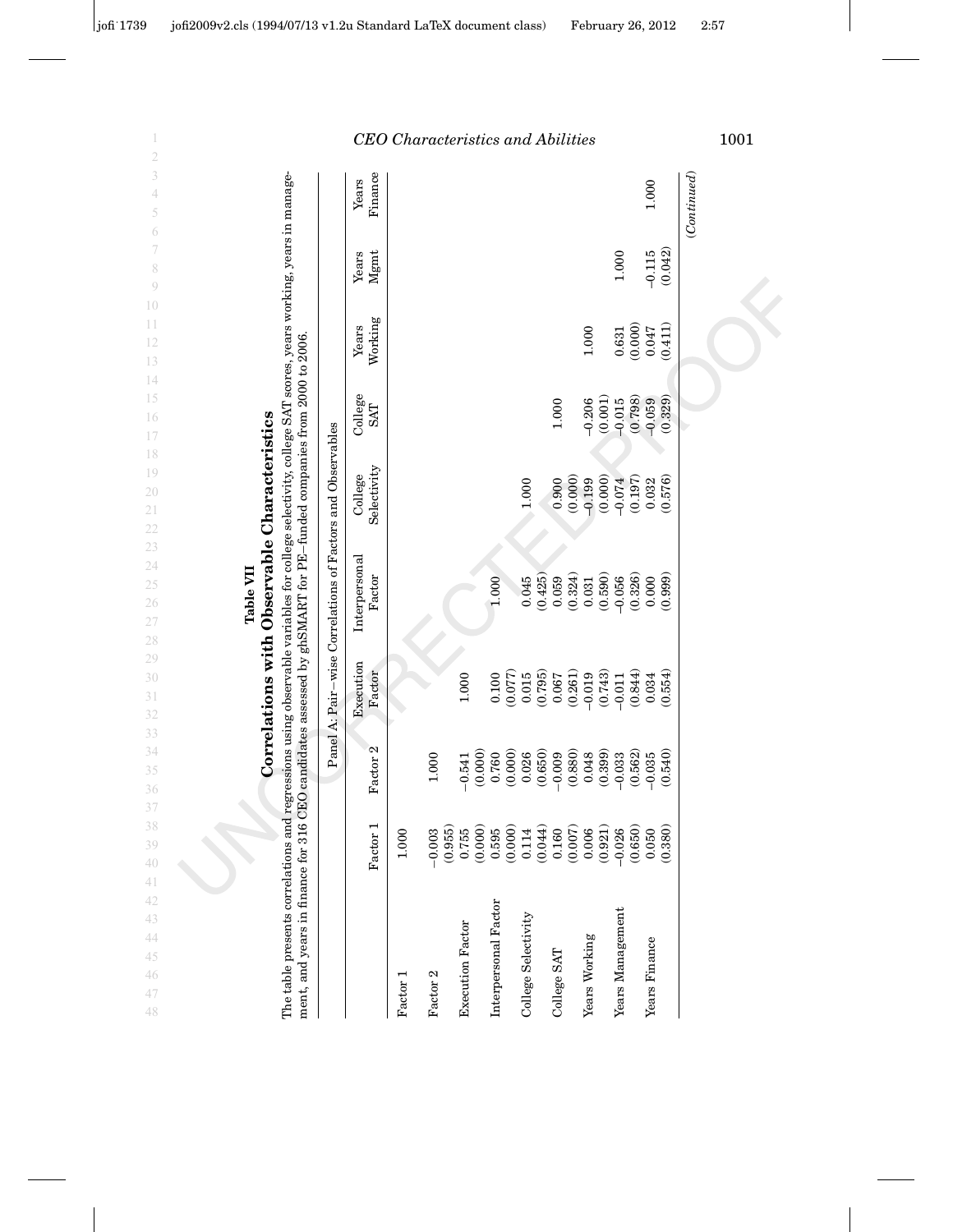**Table VII Correlations with Observable Characteristics** The table presents correlations and regressions using observable variables for college selectivity, college SAT scores, years working, years in manage-

Correlations with Observable Characteristics Table VII

 

| Finance<br>Years<br>1.000<br>(0.042)<br>$-0.115$<br>1.000<br>Years<br>Mgmt<br>Working<br>(0.000)<br>(0.411)<br>Years<br>1.000<br>0.047<br>0.631<br>College<br>(0.798)<br>(0.001)<br>(0.329)<br>$-0.206$<br>$-0.015$<br>1.000<br>$-0.059$<br><b>SAT</b><br>Selectivity<br>College<br>(0.000)<br>(0.000)<br>$-0.074$<br>(0.197)<br>(0.576)<br>1.000<br>$-0.199$<br>0.032<br>0.900<br>Interpersonal<br>(0.425)<br>(0.590)<br>(0.324)<br>(0.326)<br>(0.999)<br>Factor<br>1.000<br>0.045<br>0.059<br>$-0.056$<br>0.000<br>0.031<br>Execution<br>$-0.019$<br>(0.743)<br>(0.795)<br>(0.261)<br>(0.844)<br>(0.077)<br>(0.554)<br>0.100<br>0.015<br>Factor<br>1.000<br>0.067<br>0.034<br>$-0.011$<br>Factor 2<br>(0.650)<br>(0.399)<br>(0.562)<br>(0.000)<br>$\begin{array}{c} 0.760 \\ (0.000) \\ 0.026 \end{array}$<br>(0.880)<br>(0.540)<br>1.000<br>$-0.009$<br>0.048<br>$-0.033$<br>$-0.035$<br>$-0.541$<br>⊣<br>(0.000)<br>(0.000)<br>(0.044)<br>(0.650)<br>1.000<br>$-0.003$<br>(0.955)<br>0.755<br>0.595<br>0.114<br>0.160<br>(0.007)<br>0.006<br>(0.921)<br>$-0.026$<br>0.050<br>Factor<br>(0.380) | (Continued)<br>Years Finance | Interpersonal Factor<br>College Selectivity<br><b>Execution Factor</b><br>Years Working<br>College SAT<br>Factor 2<br>Factor 1 |                  |  | Panel A: Pair-wise Correlations of Factors and Observables |  |  |  |
|----------------------------------------------------------------------------------------------------------------------------------------------------------------------------------------------------------------------------------------------------------------------------------------------------------------------------------------------------------------------------------------------------------------------------------------------------------------------------------------------------------------------------------------------------------------------------------------------------------------------------------------------------------------------------------------------------------------------------------------------------------------------------------------------------------------------------------------------------------------------------------------------------------------------------------------------------------------------------------------------------------------------------------------------------------------------------------------------------|------------------------------|--------------------------------------------------------------------------------------------------------------------------------|------------------|--|------------------------------------------------------------|--|--|--|
|                                                                                                                                                                                                                                                                                                                                                                                                                                                                                                                                                                                                                                                                                                                                                                                                                                                                                                                                                                                                                                                                                                    |                              |                                                                                                                                |                  |  |                                                            |  |  |  |
|                                                                                                                                                                                                                                                                                                                                                                                                                                                                                                                                                                                                                                                                                                                                                                                                                                                                                                                                                                                                                                                                                                    |                              |                                                                                                                                |                  |  |                                                            |  |  |  |
|                                                                                                                                                                                                                                                                                                                                                                                                                                                                                                                                                                                                                                                                                                                                                                                                                                                                                                                                                                                                                                                                                                    |                              |                                                                                                                                |                  |  |                                                            |  |  |  |
|                                                                                                                                                                                                                                                                                                                                                                                                                                                                                                                                                                                                                                                                                                                                                                                                                                                                                                                                                                                                                                                                                                    |                              |                                                                                                                                |                  |  |                                                            |  |  |  |
|                                                                                                                                                                                                                                                                                                                                                                                                                                                                                                                                                                                                                                                                                                                                                                                                                                                                                                                                                                                                                                                                                                    |                              |                                                                                                                                |                  |  |                                                            |  |  |  |
|                                                                                                                                                                                                                                                                                                                                                                                                                                                                                                                                                                                                                                                                                                                                                                                                                                                                                                                                                                                                                                                                                                    |                              |                                                                                                                                |                  |  |                                                            |  |  |  |
|                                                                                                                                                                                                                                                                                                                                                                                                                                                                                                                                                                                                                                                                                                                                                                                                                                                                                                                                                                                                                                                                                                    |                              |                                                                                                                                |                  |  |                                                            |  |  |  |
|                                                                                                                                                                                                                                                                                                                                                                                                                                                                                                                                                                                                                                                                                                                                                                                                                                                                                                                                                                                                                                                                                                    |                              |                                                                                                                                |                  |  |                                                            |  |  |  |
|                                                                                                                                                                                                                                                                                                                                                                                                                                                                                                                                                                                                                                                                                                                                                                                                                                                                                                                                                                                                                                                                                                    |                              |                                                                                                                                |                  |  |                                                            |  |  |  |
|                                                                                                                                                                                                                                                                                                                                                                                                                                                                                                                                                                                                                                                                                                                                                                                                                                                                                                                                                                                                                                                                                                    |                              |                                                                                                                                |                  |  |                                                            |  |  |  |
|                                                                                                                                                                                                                                                                                                                                                                                                                                                                                                                                                                                                                                                                                                                                                                                                                                                                                                                                                                                                                                                                                                    |                              |                                                                                                                                |                  |  |                                                            |  |  |  |
|                                                                                                                                                                                                                                                                                                                                                                                                                                                                                                                                                                                                                                                                                                                                                                                                                                                                                                                                                                                                                                                                                                    |                              |                                                                                                                                |                  |  |                                                            |  |  |  |
|                                                                                                                                                                                                                                                                                                                                                                                                                                                                                                                                                                                                                                                                                                                                                                                                                                                                                                                                                                                                                                                                                                    |                              |                                                                                                                                | Years Management |  |                                                            |  |  |  |
|                                                                                                                                                                                                                                                                                                                                                                                                                                                                                                                                                                                                                                                                                                                                                                                                                                                                                                                                                                                                                                                                                                    |                              |                                                                                                                                |                  |  |                                                            |  |  |  |
|                                                                                                                                                                                                                                                                                                                                                                                                                                                                                                                                                                                                                                                                                                                                                                                                                                                                                                                                                                                                                                                                                                    |                              |                                                                                                                                |                  |  |                                                            |  |  |  |
|                                                                                                                                                                                                                                                                                                                                                                                                                                                                                                                                                                                                                                                                                                                                                                                                                                                                                                                                                                                                                                                                                                    |                              |                                                                                                                                |                  |  |                                                            |  |  |  |

 $\delta^2$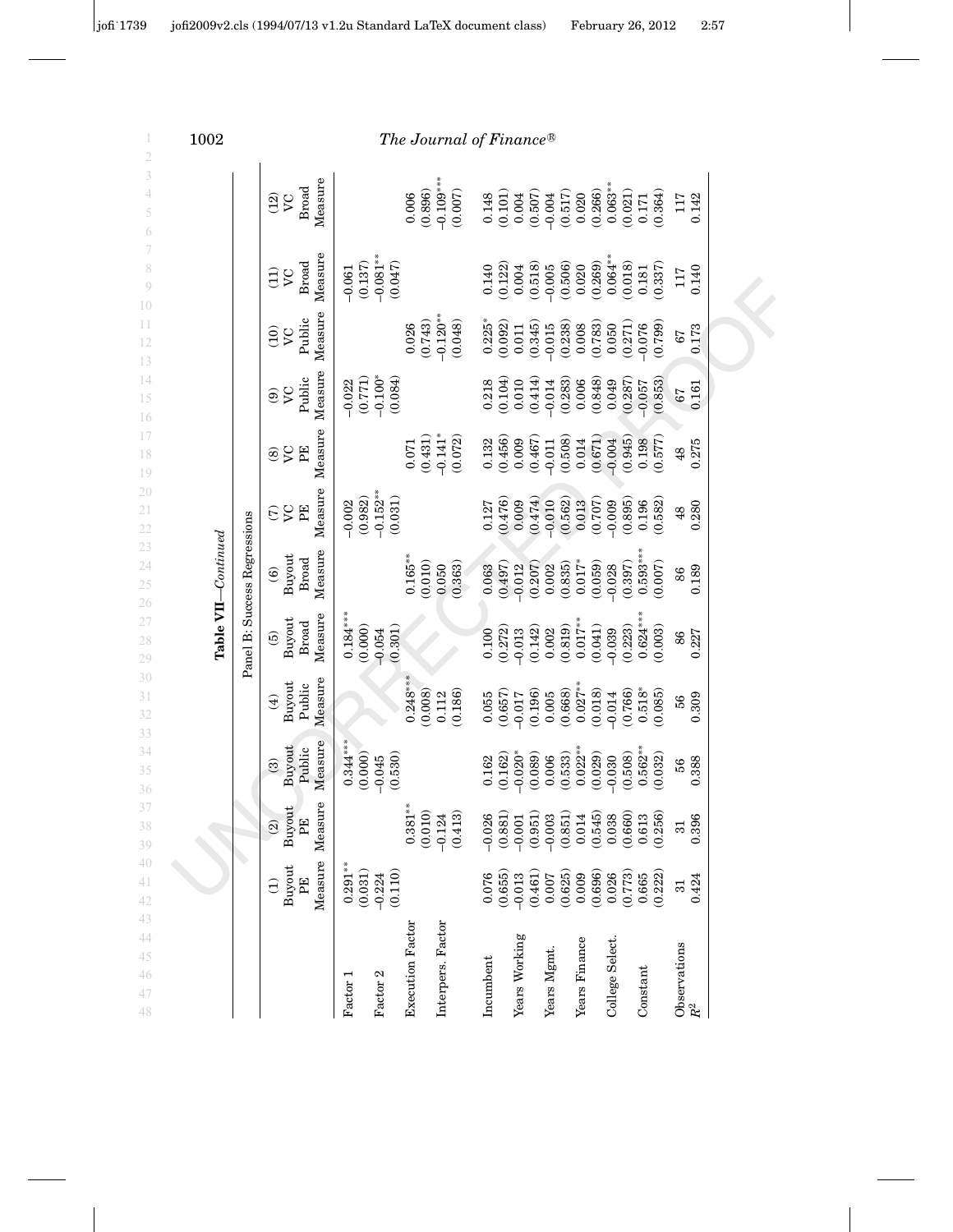|                         |                                                                                |                                         |                                                        |                                            |                                                    | Table VII-Continued                                         |                                                  |                                       |                                                                |                                            |                                                            |                                           |
|-------------------------|--------------------------------------------------------------------------------|-----------------------------------------|--------------------------------------------------------|--------------------------------------------|----------------------------------------------------|-------------------------------------------------------------|--------------------------------------------------|---------------------------------------|----------------------------------------------------------------|--------------------------------------------|------------------------------------------------------------|-------------------------------------------|
|                         |                                                                                |                                         |                                                        |                                            | Panel B: Success Regressions                       |                                                             |                                                  |                                       |                                                                |                                            |                                                            |                                           |
|                         | Measure<br>Buyout<br>EE<br>$\ominus$                                           | Measure<br>Buyout<br>E<br>$\widehat{2}$ | Measure<br>Buyout<br>Public<br>$\widehat{\mathcal{E}}$ | Measure<br>Buyout<br>Public<br>$\bigoplus$ | Measure<br>Buyout<br><b>Broad</b><br>$\widehat{e}$ | Measure<br>Buyout<br><b>Broad</b><br>$\widehat{\mathbf{e}}$ | Measure Measure<br>$\sum$<br>됍<br>$\mathfrak{S}$ | $\overline{V}C$<br>티<br>$\circledast$ | Measure<br>Public<br>$\overline{V}C$<br>$\widehat{\mathbf{e}}$ | Measure<br>Public<br>(10)<br>$\mathcal{L}$ | Measure<br><b>Broad</b><br>$\overline{1}$<br>$\mathcal{L}$ | Measure<br>Broad<br>(12)<br>$\mathcal{L}$ |
| Factor 2<br>Factor 1    | $0.291***$<br>$(0.031)$<br>-0.224<br>(0.110)                                   |                                         | $0.344***$<br>(0.000)<br>$-0.045$                      |                                            | $0.184***$<br>(0.000)<br>$-0.054$                  |                                                             | $-0.152**$<br>(0.982)<br>$-0.002$                |                                       | $-0.100*$<br>(0.771)<br>$-0.022$                               |                                            | $-0.081**$<br>(0.137)<br>$-0.061$                          |                                           |
| <b>Execution Factor</b> |                                                                                | $0.381**$<br>(0.010)                    | (0.530)                                                | $0.248***$<br>(0.008)                      | (0.301)                                            | $0.165**$<br>(0.010)                                        | (0.031)                                          | $(0.071$<br>(0.431)                   | (0.084)                                                        | (0.743)<br>0.026                           | (0.047)                                                    | (0.896)<br>0.006                          |
| Interpers. Factor       |                                                                                | (0.413)<br>$-0.124$                     |                                                        | (0.186)<br>0.112                           |                                                    | (0.363)<br>0.050                                            |                                                  | $-0.141*$<br>(0.072)                  |                                                                | $-0.120**$<br>(0.048)                      |                                                            | $-0.109***$<br>(0.007)                    |
| Incumbent               | (0.655)<br>0.076                                                               | (0.881)<br>$-0.026$                     | (0.162)<br>0.162                                       | (0.657)<br>0.055                           | (0.272)<br>0.100                                   | (0.497)<br>0.063                                            | (0.476)<br>0.127                                 | (0.456)<br>0.132                      | (0.104)<br>0.218                                               | $0.225*$<br>(0.092)                        | (0.122)<br>0.140                                           | (0.101)<br>0.148                          |
| Years Working           | $-0.013$                                                                       | (0.951)<br>$-0.001$                     | $-0.020*$<br>(0.089)                                   | (0.196)<br>$-0.017$                        | (0.142)<br>$-0.013$                                | (0.207)<br>$-0.012$                                         | (0.474)<br>0.009                                 | (0.467)<br>0.009                      | (0.414)<br>0.010                                               | (0.345)<br>0.011                           | (0.518)<br>0.004                                           | (0.507)<br>0.004                          |
| Years Mgmt.             | $\begin{array}{c} (0.461) \\ 0.007 \end{array}$                                | (0.851)<br>$-0.003$                     | (0.533)<br>0.006                                       | (0.668)<br>0.005                           | (0.819)<br>0.002                                   | (0.835)<br>0.002                                            | (0.562)<br>$-0.010$                              | (0.508)<br>$-0.011$                   | (0.283)<br>$-0.014$                                            | (0.238)<br>$-0.015$                        | (0.506)<br>$-0.005$                                        | (0.517)<br>$-0.004$                       |
| Years Finance           | $\begin{array}{c} (0.625) \\ 0.009 \\ (0.696) \\ 0.026 \\ (0.773) \end{array}$ | (0.545)<br>0.014                        | $0.022**$<br>(0.029)                                   | $0.027***$<br>(0.018)                      | $0.017**$<br>(0.041)                               | $0.017*$<br>(0.059)                                         | (0.707)<br>0.013                                 | (0.671)<br>0.014                      | (0.848)<br>0.006                                               | (0.783)<br>0.008                           | (0.269)<br>0.020                                           | (0.266)<br>0.020                          |
| College Select.         |                                                                                | (0.660)<br>0.038                        | (0.508)<br>$-0.030$                                    | (0.766)<br>$-0.014$                        | (0.223)<br>$-0.039$                                | (0.397)<br>$-0.028$                                         | (0.895)<br>$-0.009$                              | (0.945)<br>$-0.004$                   | (0.287)<br>0.049                                               | (0.271)<br>0.050                           | $0.064***$<br>(0.018)                                      | $0.063***$<br>(0.021)                     |
| Constant                | (0.222)<br>0.665                                                               | (0.256)<br>0.613                        | $0.562***$<br>(0.032)                                  | $0.518*$<br>(0.085)                        | $0.624***$<br>(0.003)                              | $0.593***$<br>(0.007)                                       | (0.582)<br>0.196                                 | (0.577)<br>0.198                      | (0.853)<br>$-0.057$                                            | (6.799)<br>$-0.076$                        | (0.337)<br>0.181                                           | (0.364)<br>0.171                          |
| Observations<br>$R^2$   | 0.424<br>51                                                                    | 0.396<br>51                             | 0.388<br>56                                            | 0.309<br>56                                | 0.227<br>86                                        | 0.189<br>86                                                 | 0.280<br>48                                      | 0.275<br>48                           | 0.161<br>67                                                    | 0.173<br>57                                | 0.140<br>117                                               | 0.142<br>117                              |
|                         |                                                                                |                                         |                                                        |                                            |                                                    |                                                             |                                                  |                                       |                                                                |                                            |                                                            |                                           |

 $|j$ ofi<sup>-1739</sup> jofi2009v2.cls (1994/07/13 v1.2u Standard LaTeX document class) February 26, 2012 2:57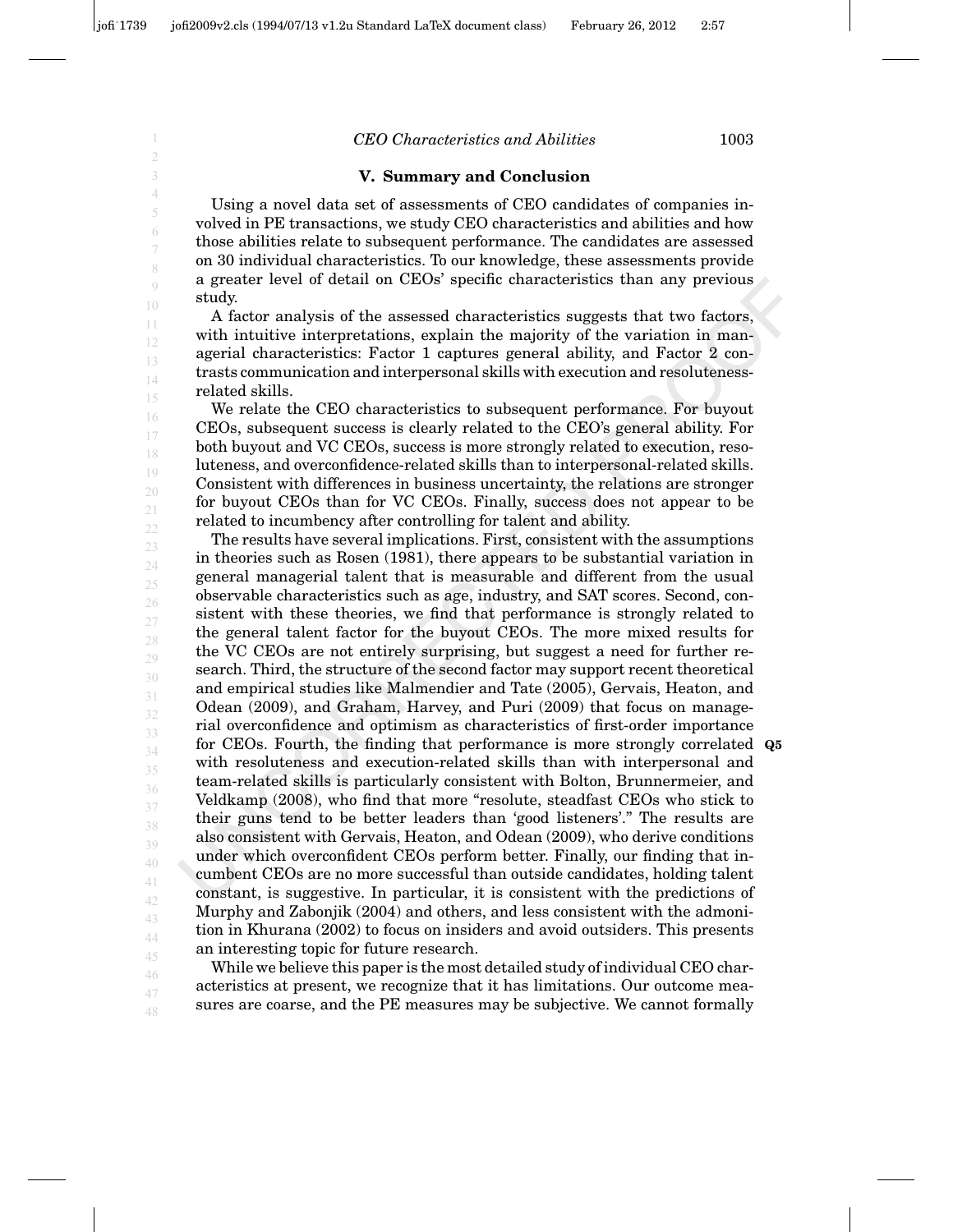# **V. Summary and Conclusion**

Using a novel data set of assessments of CEO candidates of companies involved in PE transactions, we study CEO characteristics and abilities and how those abilities relate to subsequent performance. The candidates are assessed on 30 individual characteristics. To our knowledge, these assessments provide a greater level of detail on CEOs' specific characteristics than any previous study.

A factor analysis of the assessed characteristics suggests that two factors, with intuitive interpretations, explain the majority of the variation in managerial characteristics: Factor 1 captures general ability, and Factor 2 contrasts communication and interpersonal skills with execution and resolutenessrelated skills.

We relate the CEO characteristics to subsequent performance. For buyout CEOs, subsequent success is clearly related to the CEO's general ability. For both buyout and VC CEOs, success is more strongly related to execution, resoluteness, and overconfidence-related skills than to interpersonal-related skills. Consistent with differences in business uncertainty, the relations are stronger for buyout CEOs than for VC CEOs. Finally, success does not appear to be related to incumbency after controlling for talent and ability.

The results have several implications. First, consistent with the assumptions in theories such as Rosen (1981), there appears to be substantial variation in general managerial talent that is measurable and different from the usual observable characteristics such as age, industry, and SAT scores. Second, consistent with these theories, we find that performance is strongly related to the general talent factor for the buyout CEOs. The more mixed results for the VC CEOs are not entirely surprising, but suggest a need for further research. Third, the structure of the second factor may support recent theoretical and empirical studies like Malmendier and Tate (2005), Gervais, Heaton, and Odean (2009), and Graham, Harvey, and Puri (2009) that focus on managerial overconfidence and optimism as characteristics of first-order importance for CEOs. Fourth, the finding that performance is more strongly correlated **Q5** with resoluteness and execution-related skills than with interpersonal and team-related skills is particularly consistent with Bolton, Brunnermeier, and Veldkamp (2008), who find that more "resolute, steadfast CEOs who stick to their guns tend to be better leaders than 'good listeners'." The results are also consistent with Gervais, Heaton, and Odean (2009), who derive conditions under which overconfident CEOs perform better. Finally, our finding that incumbent CEOs are no more successful than outside candidates, holding talent constant, is suggestive. In particular, it is consistent with the predictions of Murphy and Zabonjik (2004) and others, and less consistent with the admonition in Khurana (2002) to focus on insiders and avoid outsiders. This presents an interesting topic for future research.

While we believe this paper is the most detailed study of individual CEO characteristics at present, we recognize that it has limitations. Our outcome measures are coarse, and the PE measures may be subjective. We cannot formally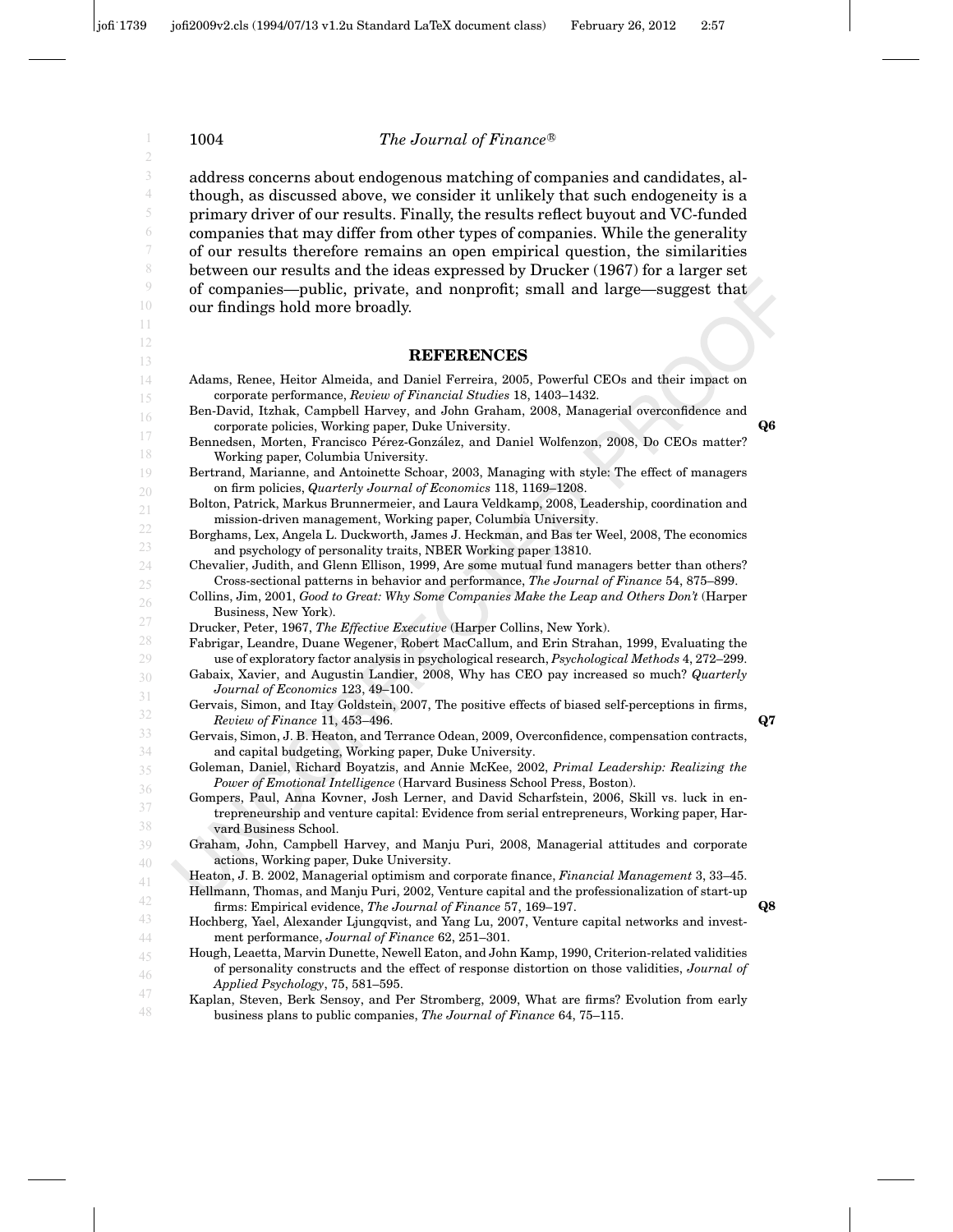4

6

17 18

21 22 23

25

27 28 29

33

35

38 39

41 42 43

45

#### 1004 **The Journal of Finance**<sup>®</sup>

address concerns about endogenous matching of companies and candidates, although, as discussed above, we consider it unlikely that such endogeneity is a primary driver of our results. Finally, the results reflect buyout and VC-funded companies that may differ from other types of companies. While the generality of our results therefore remains an open empirical question, the similarities between our results and the ideas expressed by Drucker (1967) for a larger set of companies—public, private, and nonprofit; small and large—suggest that our findings hold more broadly.

#### **REFERENCES**

- Adams, Renee, Heitor Almeida, and Daniel Ferreira, 2005, Powerful CEOs and their impact on corporate performance, *Review of Financial Studies* 18, 1403–1432.
- Ben-David, Itzhak, Campbell Harvey, and John Graham, 2008, Managerial overconfidence and corporate policies, Working paper, Duke University. **Q6**
- Bennedsen, Morten, Francisco Pérez-González, and Daniel Wolfenzon, 2008, Do CEOs matter? Working paper, Columbia University.
- Bertrand, Marianne, and Antoinette Schoar, 2003, Managing with style: The effect of managers on firm policies, *Quarterly Journal of Economics* 118, 1169–1208.
- Bolton, Patrick, Markus Brunnermeier, and Laura Veldkamp, 2008, Leadership, coordination and mission-driven management, Working paper, Columbia University.

Borghams, Lex, Angela L. Duckworth, James J. Heckman, and Bas ter Weel, 2008, The economics and psychology of personality traits, NBER Working paper 13810.

- Chevalier, Judith, and Glenn Ellison, 1999, Are some mutual fund managers better than others? Cross-sectional patterns in behavior and performance, *The Journal of Finance* 54, 875–899.
- Collins, Jim, 2001, *Good to Great: Why Some Companies Make the Leap and Others Don't* (Harper Business, New York).

Drucker, Peter, 1967, *The Effective Executive* (Harper Collins, New York).

Fabrigar, Leandre, Duane Wegener, Robert MacCallum, and Erin Strahan, 1999, Evaluating the use of exploratory factor analysis in psychological research, *Psychological Methods* 4, 272–299.

- Gabaix, Xavier, and Augustin Landier, 2008, Why has CEO pay increased so much? *Quarterly Journal of Economics* 123, 49–100.
- Gervais, Simon, and Itay Goldstein, 2007, The positive effects of biased self-perceptions in firms, *Review of Finance* 11, 453–496. **Q7**
- Gervais, Simon, J. B. Heaton, and Terrance Odean, 2009, Overconfidence, compensation contracts, and capital budgeting, Working paper, Duke University.
- Goleman, Daniel, Richard Boyatzis, and Annie McKee, 2002, *Primal Leadership: Realizing the Power of Emotional Intelligence* (Harvard Business School Press, Boston).
- Gompers, Paul, Anna Kovner, Josh Lerner, and David Scharfstein, 2006, Skill vs. luck in entrepreneurship and venture capital: Evidence from serial entrepreneurs, Working paper, Harvard Business School.
- Graham, John, Campbell Harvey, and Manju Puri, 2008, Managerial attitudes and corporate actions, Working paper, Duke University.
- Heaton, J. B. 2002, Managerial optimism and corporate finance, *Financial Management* 3, 33–45. Hellmann, Thomas, and Manju Puri, 2002, Venture capital and the professionalization of start-up firms: Empirical evidence, *The Journal of Finance* 57, 169–197. **Q8**
- Hochberg, Yael, Alexander Ljungqvist, and Yang Lu, 2007, Venture capital networks and investment performance, *Journal of Finance* 62, 251–301.
- Hough, Leaetta, Marvin Dunette, Newell Eaton, and John Kamp, 1990, Criterion-related validities of personality constructs and the effect of response distortion on those validities, *Journal of Applied Psychology*, 75, 581–595.
- 47 48 Kaplan, Steven, Berk Sensoy, and Per Stromberg, 2009, What are firms? Evolution from early business plans to public companies, *The Journal of Finance* 64, 75–115.